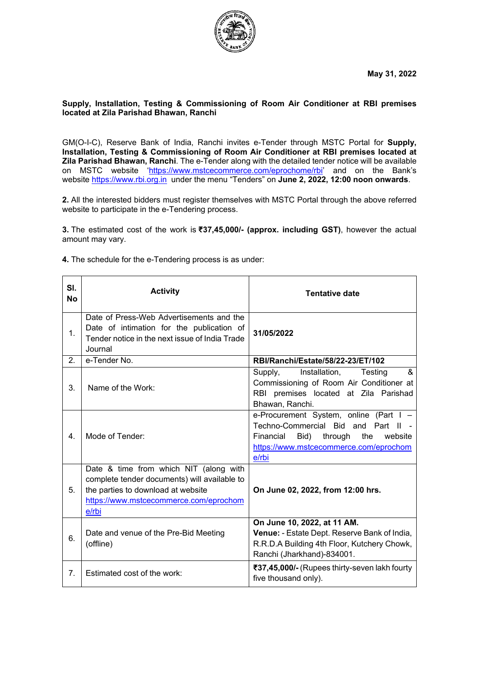

#### **Supply, Installation, Testing & Commissioning of Room Air Conditioner at RBI premises located at Zila Parishad Bhawan, Ranchi**

GM(O-I-C), Reserve Bank of India, Ranchi invites e-Tender through MSTC Portal for **Supply, Installation, Testing & Commissioning of Room Air Conditioner at RBI premises located at Zila Parishad Bhawan, Ranchi**. The e-Tender along with the detailed tender notice will be available on MSTC website ['https://www.mstcecommerce.com/eprochome/rbi'](https://www.mstcecommerce.com/eprochome/rbi) and on the Bank's website [https://www.rbi.org.in](https://www.rbi.org.in/) under the menu "Tenders" on **June 2, 2022, 12:00 noon onwards**.

**2.** All the interested bidders must register themselves with MSTC Portal through the above referred website to participate in the e-Tendering process.

**3.** The estimated cost of the work is **₹37,45,000/- (approx. including GST)**, however the actual amount may vary.

| SI.<br>No      | <b>Activity</b>                                                                                                                                                                 | <b>Tentative date</b>                                                                                                                                                            |
|----------------|---------------------------------------------------------------------------------------------------------------------------------------------------------------------------------|----------------------------------------------------------------------------------------------------------------------------------------------------------------------------------|
| 1.             | Date of Press-Web Advertisements and the<br>Date of intimation for the publication of<br>Tender notice in the next issue of India Trade<br>Journal                              | 31/05/2022                                                                                                                                                                       |
| 2.             | e-Tender No.                                                                                                                                                                    | RBI/Ranchi/Estate/58/22-23/ET/102                                                                                                                                                |
| 3.             | Name of the Work:                                                                                                                                                               | Installation,<br>&<br>Supply,<br>Testing<br>Commissioning of Room Air Conditioner at<br>RBI premises located at Zila Parishad<br>Bhawan, Ranchi.                                 |
| 4.             | Mode of Tender:                                                                                                                                                                 | e-Procurement System, online (Part I -<br>Techno-Commercial Bid and Part II<br>Financial<br>Bid)<br>the<br>through<br>website<br>https://www.mstcecommerce.com/eprochom<br>e/rbi |
| 5.             | Date & time from which NIT (along with<br>complete tender documents) will available to<br>the parties to download at website<br>https://www.mstcecommerce.com/eprochom<br>e/rbi | On June 02, 2022, from 12:00 hrs.                                                                                                                                                |
| 6.             | Date and venue of the Pre-Bid Meeting<br>(offline)                                                                                                                              | On June 10, 2022, at 11 AM.<br>Venue: - Estate Dept. Reserve Bank of India,<br>R.R.D.A Building 4th Floor, Kutchery Chowk,<br>Ranchi (Jharkhand)-834001.                         |
| 7 <sub>1</sub> | Estimated cost of the work:                                                                                                                                                     | ₹37,45,000/- (Rupees thirty-seven lakh fourty<br>five thousand only).                                                                                                            |

**4.** The schedule for the e-Tendering process is as under: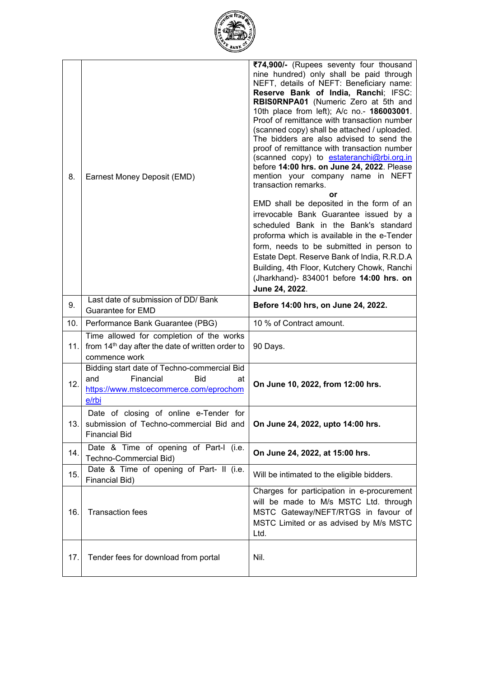

| 8.  | Earnest Money Deposit (EMD)                                                                                                     | ₹74,900/- (Rupees seventy four thousand<br>nine hundred) only shall be paid through<br>NEFT, details of NEFT: Beneficiary name:<br>Reserve Bank of India, Ranchi; IFSC:<br>RBIS0RNPA01 (Numeric Zero at 5th and<br>10th place from left); A/c no.- 186003001.<br>Proof of remittance with transaction number<br>(scanned copy) shall be attached / uploaded.<br>The bidders are also advised to send the<br>proof of remittance with transaction number<br>(scanned copy) to estateranchi@rbi.org.in<br>before 14:00 hrs. on June 24, 2022. Please<br>mention your company name in NEFT<br>transaction remarks.<br>or<br>EMD shall be deposited in the form of an<br>irrevocable Bank Guarantee issued by a<br>scheduled Bank in the Bank's standard<br>proforma which is available in the e-Tender<br>form, needs to be submitted in person to<br>Estate Dept. Reserve Bank of India, R.R.D.A<br>Building, 4th Floor, Kutchery Chowk, Ranchi<br>(Jharkhand)- 834001 before 14:00 hrs. on<br>June 24, 2022. |
|-----|---------------------------------------------------------------------------------------------------------------------------------|-------------------------------------------------------------------------------------------------------------------------------------------------------------------------------------------------------------------------------------------------------------------------------------------------------------------------------------------------------------------------------------------------------------------------------------------------------------------------------------------------------------------------------------------------------------------------------------------------------------------------------------------------------------------------------------------------------------------------------------------------------------------------------------------------------------------------------------------------------------------------------------------------------------------------------------------------------------------------------------------------------------|
| 9.  | Last date of submission of DD/ Bank<br><b>Guarantee for EMD</b>                                                                 | Before 14:00 hrs, on June 24, 2022.                                                                                                                                                                                                                                                                                                                                                                                                                                                                                                                                                                                                                                                                                                                                                                                                                                                                                                                                                                         |
| 10. | Performance Bank Guarantee (PBG)                                                                                                | 10 % of Contract amount.                                                                                                                                                                                                                                                                                                                                                                                                                                                                                                                                                                                                                                                                                                                                                                                                                                                                                                                                                                                    |
| 11. | Time allowed for completion of the works<br>from 14 <sup>th</sup> day after the date of written order to<br>commence work       | 90 Days.                                                                                                                                                                                                                                                                                                                                                                                                                                                                                                                                                                                                                                                                                                                                                                                                                                                                                                                                                                                                    |
| 12. | Bidding start date of Techno-commercial Bid<br>Financial<br>Bid<br>and<br>at<br>https://www.mstcecommerce.com/eprochom<br>e/rbi | On June 10, 2022, from 12:00 hrs.                                                                                                                                                                                                                                                                                                                                                                                                                                                                                                                                                                                                                                                                                                                                                                                                                                                                                                                                                                           |
| 13. | Date of closing of online e-Tender for<br>submission of Techno-commercial Bid and<br><b>Financial Bid</b>                       | On June 24, 2022, upto 14:00 hrs.                                                                                                                                                                                                                                                                                                                                                                                                                                                                                                                                                                                                                                                                                                                                                                                                                                                                                                                                                                           |
| 14. | Date & Time of opening of Part-I (i.e.                                                                                          |                                                                                                                                                                                                                                                                                                                                                                                                                                                                                                                                                                                                                                                                                                                                                                                                                                                                                                                                                                                                             |
|     | Techno-Commercial Bid)                                                                                                          | On June 24, 2022, at 15:00 hrs.                                                                                                                                                                                                                                                                                                                                                                                                                                                                                                                                                                                                                                                                                                                                                                                                                                                                                                                                                                             |
| 15. | Date & Time of opening of Part- II (i.e.<br>Financial Bid)                                                                      | Will be intimated to the eligible bidders.                                                                                                                                                                                                                                                                                                                                                                                                                                                                                                                                                                                                                                                                                                                                                                                                                                                                                                                                                                  |
| 16. | <b>Transaction fees</b>                                                                                                         | Charges for participation in e-procurement<br>will be made to M/s MSTC Ltd. through<br>MSTC Gateway/NEFT/RTGS in favour of<br>MSTC Limited or as advised by M/s MSTC<br>Ltd.                                                                                                                                                                                                                                                                                                                                                                                                                                                                                                                                                                                                                                                                                                                                                                                                                                |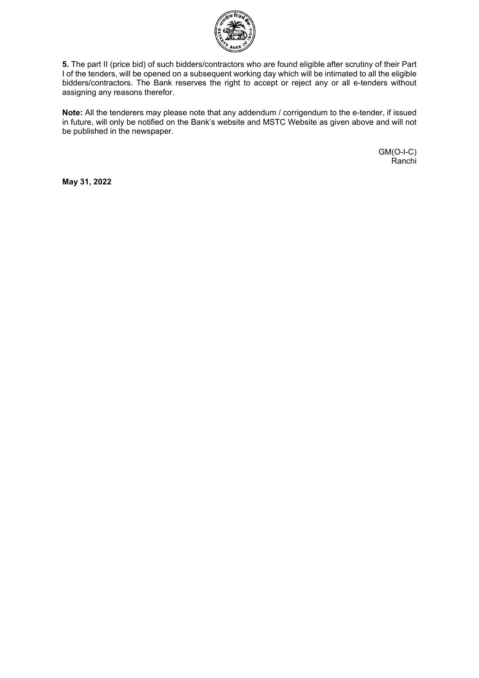

**5.** The part II (price bid) of such bidders/contractors who are found eligible after scrutiny of their Part I of the tenders, will be opened on a subsequent working day which will be intimated to all the eligible bidders/contractors. The Bank reserves the right to accept or reject any or all e-tenders without assigning any reasons therefor.

**Note:** All the tenderers may please note that any addendum / corrigendum to the e-tender, if issued in future, will only be notified on the Bank's website and MSTC Website as given above and will not be published in the newspaper.

> GM(O-I-C) Ranchi

**May 31, 2022**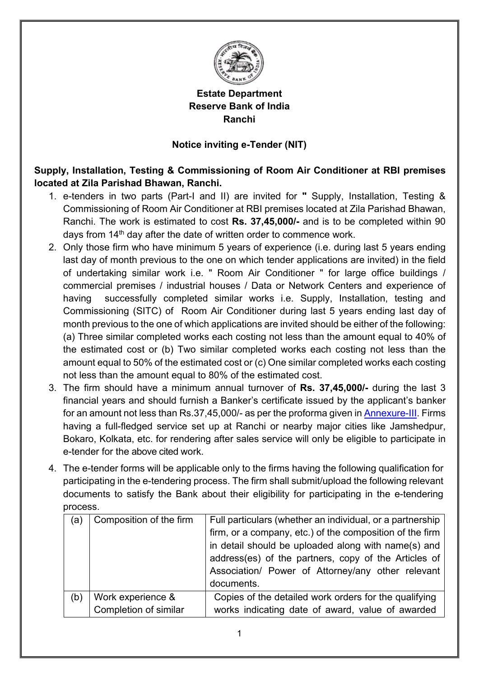

### **Estate Department Reserve Bank of India Ranchi**

#### **Notice inviting e-Tender (NIT)**

**Supply, Installation, Testing & Commissioning of Room Air Conditioner at RBI premises located at Zila Parishad Bhawan, Ranchi.**

- 1. e-tenders in two parts (Part-I and II) are invited for **"** Supply, Installation, Testing & Commissioning of Room Air Conditioner at RBI premises located at Zila Parishad Bhawan, Ranchi. The work is estimated to cost **Rs. 37,45,000/-** and is to be completed within 90 days from 14<sup>th</sup> day after the date of written order to commence work.
- 2. Only those firm who have minimum 5 years of experience (i.e. during last 5 years ending last day of month previous to the one on which tender applications are invited) in the field of undertaking similar work i.e. " Room Air Conditioner " for large office buildings / commercial premises / industrial houses / Data or Network Centers and experience of having successfully completed similar works i.e. Supply, Installation, testing and Commissioning (SITC) of Room Air Conditioner during last 5 years ending last day of month previous to the one of which applications are invited should be either of the following: (a) Three similar completed works each costing not less than the amount equal to 40% of the estimated cost or (b) Two similar completed works each costing not less than the amount equal to 50% of the estimated cost or (c) One similar completed works each costing not less than the amount equal to 80% of the estimated cost.
- 3. The firm should have a minimum annual turnover of **Rs. 37,45,000/-** during the last 3 financial years and should furnish a Banker's certificate issued by the applicant's banker for an amount not less than Rs.37,45,000/- as per the proforma given in [Annexure-III.](#page-69-0) Firms having a full-fledged service set up at Ranchi or nearby major cities like Jamshedpur, Bokaro, Kolkata, etc. for rendering after sales service will only be eligible to participate in e-tender for the above cited work.
- 4. The e-tender forms will be applicable only to the firms having the following qualification for participating in the e-tendering process. The firm shall submit/upload the following relevant documents to satisfy the Bank about their eligibility for participating in the e-tendering process.

| Composition of the firm | Full particulars (whether an individual, or a partnership<br>firm, or a company, etc.) of the composition of the firm<br>in detail should be uploaded along with name(s) and<br>address(es) of the partners, copy of the Articles of<br>Association/ Power of Attorney/any other relevant<br>documents. |
|-------------------------|---------------------------------------------------------------------------------------------------------------------------------------------------------------------------------------------------------------------------------------------------------------------------------------------------------|
| Work experience &       | Copies of the detailed work orders for the qualifying<br>works indicating date of award, value of awarded                                                                                                                                                                                               |
|                         | Completion of similar                                                                                                                                                                                                                                                                                   |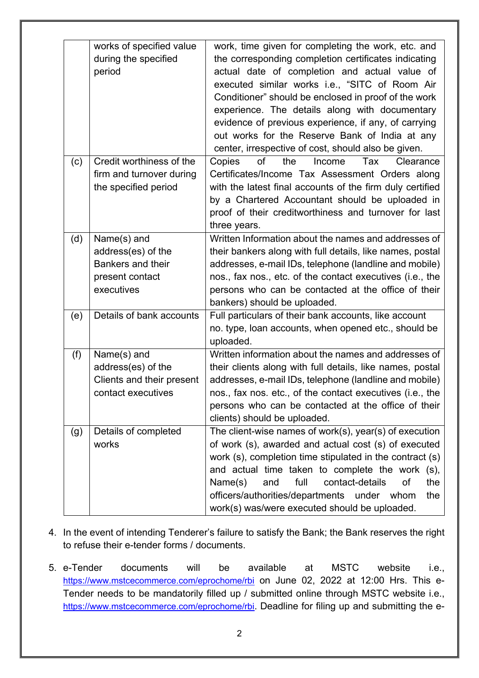|     | works of specified value<br>during the specified<br>period                              | work, time given for completing the work, etc. and<br>the corresponding completion certificates indicating<br>actual date of completion and actual value of<br>executed similar works i.e., "SITC of Room Air<br>Conditioner" should be enclosed in proof of the work<br>experience. The details along with documentary<br>evidence of previous experience, if any, of carrying<br>out works for the Reserve Bank of India at any<br>center, irrespective of cost, should also be given. |
|-----|-----------------------------------------------------------------------------------------|------------------------------------------------------------------------------------------------------------------------------------------------------------------------------------------------------------------------------------------------------------------------------------------------------------------------------------------------------------------------------------------------------------------------------------------------------------------------------------------|
| (c) | Credit worthiness of the<br>firm and turnover during<br>the specified period            | of<br>Copies<br>the<br>Income<br>Tax<br>Clearance<br>Certificates/Income Tax Assessment Orders along<br>with the latest final accounts of the firm duly certified<br>by a Chartered Accountant should be uploaded in<br>proof of their creditworthiness and turnover for last<br>three years.                                                                                                                                                                                            |
| (d) | Name(s) and<br>address(es) of the<br>Bankers and their<br>present contact<br>executives | Written Information about the names and addresses of<br>their bankers along with full details, like names, postal<br>addresses, e-mail IDs, telephone (landline and mobile)<br>nos., fax nos., etc. of the contact executives (i.e., the<br>persons who can be contacted at the office of their<br>bankers) should be uploaded.                                                                                                                                                          |
| (e) | Details of bank accounts                                                                | Full particulars of their bank accounts, like account<br>no. type, loan accounts, when opened etc., should be<br>uploaded.                                                                                                                                                                                                                                                                                                                                                               |
| (f) | Name(s) and<br>address(es) of the<br>Clients and their present<br>contact executives    | Written information about the names and addresses of<br>their clients along with full details, like names, postal<br>addresses, e-mail IDs, telephone (landline and mobile)<br>nos., fax nos. etc., of the contact executives (i.e., the<br>persons who can be contacted at the office of their<br>clients) should be uploaded.                                                                                                                                                          |
| (g) | Details of completed<br>works                                                           | The client-wise names of work(s), year(s) of execution<br>of work (s), awarded and actual cost (s) of executed<br>work (s), completion time stipulated in the contract (s)<br>and actual time taken to complete the work (s),<br>contact-details<br>the<br>Name(s)<br>full<br>οf<br>and<br>officers/authorities/departments under whom<br>the<br>work(s) was/were executed should be uploaded.                                                                                           |

- 4. In the event of intending Tenderer's failure to satisfy the Bank; the Bank reserves the right to refuse their e-tender forms / documents.
- 5. e-Tender documents will be available at MSTC website i.e., <https://www.mstcecommerce.com/eprochome/rbi> on June 02, 2022 at 12:00 Hrs. This e-Tender needs to be mandatorily filled up / submitted online through MSTC website i.e., [https://www.mstcecommerce.com/eprochome/rbi.](https://www.mstcecommerce.com/eprochome/rbi) Deadline for filing up and submitting the e-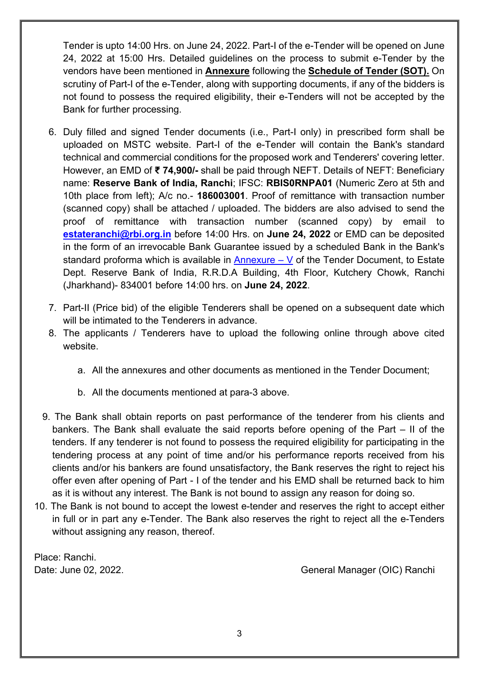Tender is upto 14:00 Hrs. on June 24, 2022. Part-I of the e-Tender will be opened on June 24, 2022 at 15:00 Hrs. Detailed guidelines on the process to submit e-Tender by the vendors have been mentioned in **Annexure** following the **Schedule of Tender (SOT).** On scrutiny of Part-I of the e-Tender, along with supporting documents, if any of the bidders is not found to possess the required eligibility, their e-Tenders will not be accepted by the Bank for further processing.

- 6. Duly filled and signed Tender documents (i.e., Part-I only) in prescribed form shall be uploaded on MSTC website. Part-I of the e-Tender will contain the Bank's standard technical and commercial conditions for the proposed work and Tenderers' covering letter. However, an EMD of **₹ 74,900/-** shall be paid through NEFT. Details of NEFT: Beneficiary name: **Reserve Bank of India, Ranchi**; IFSC: **RBIS0RNPA01** (Numeric Zero at 5th and 10th place from left); A/c no.- **186003001**. Proof of remittance with transaction number (scanned copy) shall be attached / uploaded. The bidders are also advised to send the proof of remittance with transaction number (scanned copy) by email to **[estateranchi@rbi.org.in](mailto:estateranchi@rbi.org.in)** before 14:00 Hrs. on **June 24, 2022** or EMD can be deposited in the form of an irrevocable Bank Guarantee issued by a scheduled Bank in the Bank's standard proforma which is available in Annexure  $-$  V of the Tender Document, to Estate Dept. Reserve Bank of India, R.R.D.A Building, 4th Floor, Kutchery Chowk, Ranchi (Jharkhand)- 834001 before 14:00 hrs. on **June 24, 2022**.
- 7. Part-II (Price bid) of the eligible Tenderers shall be opened on a subsequent date which will be intimated to the Tenderers in advance.
- 8. The applicants / Tenderers have to upload the following online through above cited website.
	- a. All the annexures and other documents as mentioned in the Tender Document;
	- b. All the documents mentioned at para-3 above.
- 9. The Bank shall obtain reports on past performance of the tenderer from his clients and bankers. The Bank shall evaluate the said reports before opening of the Part – II of the tenders. If any tenderer is not found to possess the required eligibility for participating in the tendering process at any point of time and/or his performance reports received from his clients and/or his bankers are found unsatisfactory, the Bank reserves the right to reject his offer even after opening of Part - I of the tender and his EMD shall be returned back to him as it is without any interest. The Bank is not bound to assign any reason for doing so.
- 10. The Bank is not bound to accept the lowest e-tender and reserves the right to accept either in full or in part any e-Tender. The Bank also reserves the right to reject all the e-Tenders without assigning any reason, thereof.

Place: Ranchi.

Date: June 02, 2022. 2008 Contract Contract Contract Contract Contract Contract Contract Contract Contract Contract Contract Contract Contract Contract Contract Contract Contract Contract Contract Contract Contract Contrac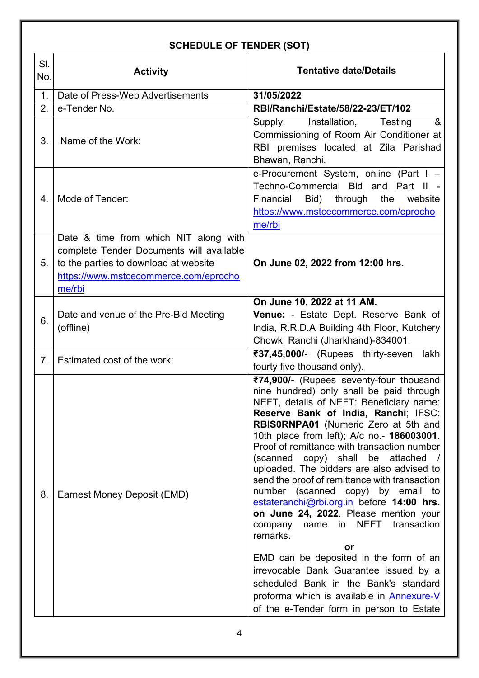# **SCHEDULE OF TENDER (SOT)**

| SI.<br>No. | <b>Activity</b>                                                                                                                                                               | <b>Tentative date/Details</b>                                                                                                                                                                                                                                                                                                                                                                                                                                                                                                                                                                                                                                                                                                                                                                                                                                     |
|------------|-------------------------------------------------------------------------------------------------------------------------------------------------------------------------------|-------------------------------------------------------------------------------------------------------------------------------------------------------------------------------------------------------------------------------------------------------------------------------------------------------------------------------------------------------------------------------------------------------------------------------------------------------------------------------------------------------------------------------------------------------------------------------------------------------------------------------------------------------------------------------------------------------------------------------------------------------------------------------------------------------------------------------------------------------------------|
| 1.         | Date of Press-Web Advertisements                                                                                                                                              | 31/05/2022                                                                                                                                                                                                                                                                                                                                                                                                                                                                                                                                                                                                                                                                                                                                                                                                                                                        |
| 2.         | e-Tender No.                                                                                                                                                                  | RBI/Ranchi/Estate/58/22-23/ET/102                                                                                                                                                                                                                                                                                                                                                                                                                                                                                                                                                                                                                                                                                                                                                                                                                                 |
| 3.         | Name of the Work:                                                                                                                                                             | &<br>Supply,<br>Installation,<br>Testing<br>Commissioning of Room Air Conditioner at<br>RBI premises located at Zila Parishad<br>Bhawan, Ranchi.                                                                                                                                                                                                                                                                                                                                                                                                                                                                                                                                                                                                                                                                                                                  |
| 4.         | Mode of Tender:                                                                                                                                                               | e-Procurement System, online (Part I -<br>Techno-Commercial Bid and Part II -<br>Financial<br>Bid)<br>through<br>the<br>website<br>https://www.mstcecommerce.com/eprocho<br>me/rbi                                                                                                                                                                                                                                                                                                                                                                                                                                                                                                                                                                                                                                                                                |
| 5.         | Date & time from which NIT along with<br>complete Tender Documents will available<br>to the parties to download at website<br>https://www.mstcecommerce.com/eprocho<br>me/rbi | On June 02, 2022 from 12:00 hrs.                                                                                                                                                                                                                                                                                                                                                                                                                                                                                                                                                                                                                                                                                                                                                                                                                                  |
| 6.         | Date and venue of the Pre-Bid Meeting<br>(offline)                                                                                                                            | On June 10, 2022 at 11 AM.<br>Venue: - Estate Dept. Reserve Bank of<br>India, R.R.D.A Building 4th Floor, Kutchery<br>Chowk, Ranchi (Jharkhand)-834001.                                                                                                                                                                                                                                                                                                                                                                                                                                                                                                                                                                                                                                                                                                           |
| 7.         | Estimated cost of the work:                                                                                                                                                   | ₹37,45,000/- (Rupees thirty-seven<br>lakh<br>fourty five thousand only).                                                                                                                                                                                                                                                                                                                                                                                                                                                                                                                                                                                                                                                                                                                                                                                          |
| 8.         | Earnest Money Deposit (EMD)                                                                                                                                                   | ₹74,900/- (Rupees seventy-four thousand<br>nine hundred) only shall be paid through<br>NEFT, details of NEFT: Beneficiary name:<br>Reserve Bank of India, Ranchi; IFSC:<br>RBIS0RNPA01 (Numeric Zero at 5th and<br>10th place from left); A/c no.- 186003001.<br>Proof of remittance with transaction number<br>(scanned copy) shall be attached /<br>uploaded. The bidders are also advised to<br>send the proof of remittance with transaction<br>number (scanned copy) by email to<br>estateranchi@rbi.org.in before 14:00 hrs.<br>on June 24, 2022. Please mention your<br>name in NEFT transaction<br>company<br>remarks.<br>or<br>EMD can be deposited in the form of an<br>irrevocable Bank Guarantee issued by a<br>scheduled Bank in the Bank's standard<br>proforma which is available in <b>Annexure-V</b><br>of the e-Tender form in person to Estate |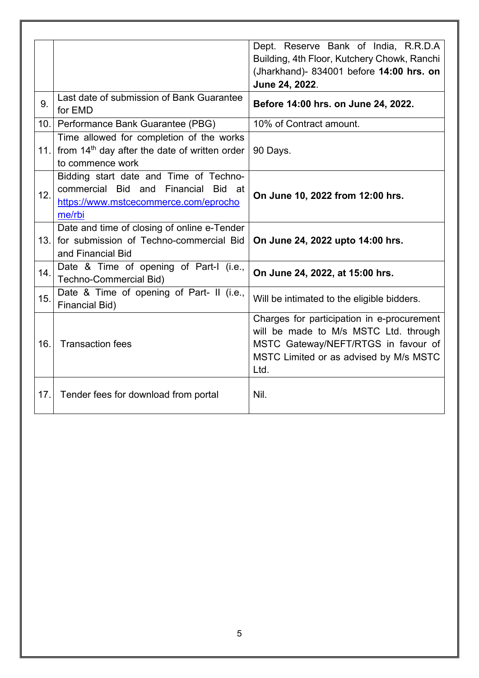|      |                                                                                                                                     | Dept. Reserve Bank of India, R.R.D.A<br>Building, 4th Floor, Kutchery Chowk, Ranchi<br>(Jharkhand)- 834001 before 14:00 hrs. on<br>June 24, 2022.                            |
|------|-------------------------------------------------------------------------------------------------------------------------------------|------------------------------------------------------------------------------------------------------------------------------------------------------------------------------|
| 9.   | Last date of submission of Bank Guarantee<br>for EMD                                                                                | Before 14:00 hrs. on June 24, 2022.                                                                                                                                          |
| 10.1 | Performance Bank Guarantee (PBG)                                                                                                    | 10% of Contract amount.                                                                                                                                                      |
| 11.1 | Time allowed for completion of the works<br>from 14 <sup>th</sup> day after the date of written order<br>to commence work           | 90 Days.                                                                                                                                                                     |
| 12.  | Bidding start date and Time of Techno-<br>commercial Bid and Financial<br>Bid at<br>https://www.mstcecommerce.com/eprocho<br>me/rbi | On June 10, 2022 from 12:00 hrs.                                                                                                                                             |
| 13.  | Date and time of closing of online e-Tender<br>for submission of Techno-commercial Bid<br>and Financial Bid                         | On June 24, 2022 upto 14:00 hrs.                                                                                                                                             |
| 14.  | Date & Time of opening of Part-I (i.e.,<br>Techno-Commercial Bid)                                                                   | On June 24, 2022, at 15:00 hrs.                                                                                                                                              |
| 15.  | Date & Time of opening of Part- II (i.e.,<br><b>Financial Bid)</b>                                                                  | Will be intimated to the eligible bidders.                                                                                                                                   |
| 16.  | <b>Transaction fees</b>                                                                                                             | Charges for participation in e-procurement<br>will be made to M/s MSTC Ltd. through<br>MSTC Gateway/NEFT/RTGS in favour of<br>MSTC Limited or as advised by M/s MSTC<br>Ltd. |
| 17.  | Tender fees for download from portal                                                                                                | Nil.                                                                                                                                                                         |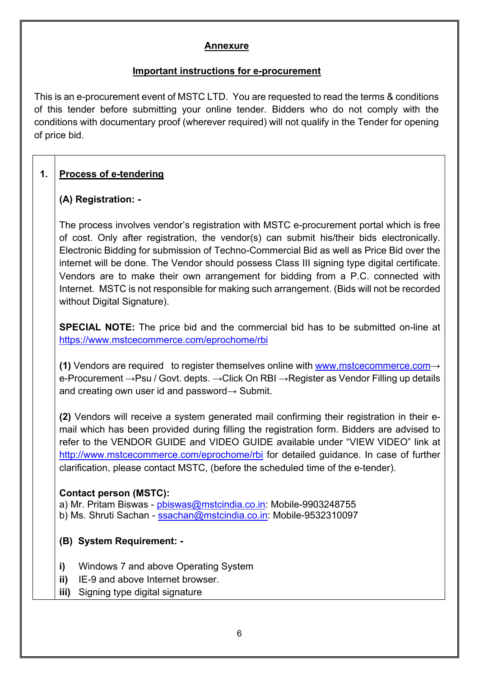#### **Annexure**

#### **Important instructions for e-procurement**

This is an e-procurement event of MSTC LTD. You are requested to read the terms & conditions of this tender before submitting your online tender. Bidders who do not comply with the conditions with documentary proof (wherever required) will not qualify in the Tender for opening of price bid.

### **1. Process of e-tendering**

#### **(A) Registration: -**

The process involves vendor's registration with MSTC e-procurement portal which is free of cost. Only after registration, the vendor(s) can submit his/their bids electronically. Electronic Bidding for submission of Techno-Commercial Bid as well as Price Bid over the internet will be done. The Vendor should possess Class III signing type digital certificate. Vendors are to make their own arrangement for bidding from a P.C. connected with Internet. MSTC is not responsible for making such arrangement. (Bids will not be recorded without Digital Signature).

**SPECIAL NOTE:** The price bid and the commercial bid has to be submitted on-line at <https://www.mstcecommerce.com/eprochome/rbi>

**(1)** Vendors are required to register themselves online with [www.mstcecommerce.com](https://www.mstcecommerce.com/)→ e-Procurement →Psu / Govt. depts. →Click On RBI →Register as Vendor Filling up details and creating own user id and password $\rightarrow$  Submit.

**(2)** Vendors will receive a system generated mail confirming their registration in their email which has been provided during filling the registration form. Bidders are advised to refer to the VENDOR GUIDE and VIDEO GUIDE available under "VIEW VIDEO" link at [http://www.mstcecommerce.com/eprochome/rbi](https://www.mstcecommerce.com/eprochome/rbi) for detailed guidance. In case of further clarification, please contact MSTC, (before the scheduled time of the e-tender).

#### **Contact person (MSTC):**

a) Mr. Pritam Biswas - [pbiswas@mstcindia.co.in:](mailto:pbiswas@mstcindia.co.in) Mobile-9903248755 b) Ms. Shruti Sachan - [ssachan@mstcindia.co.in:](mailto:ssachan@mstcindia.co.in) Mobile-9532310097

#### **(B) System Requirement: -**

- **i)** Windows 7 and above Operating System
- **ii)** IE-9 and above Internet browser.
- **iii)** Signing type digital signature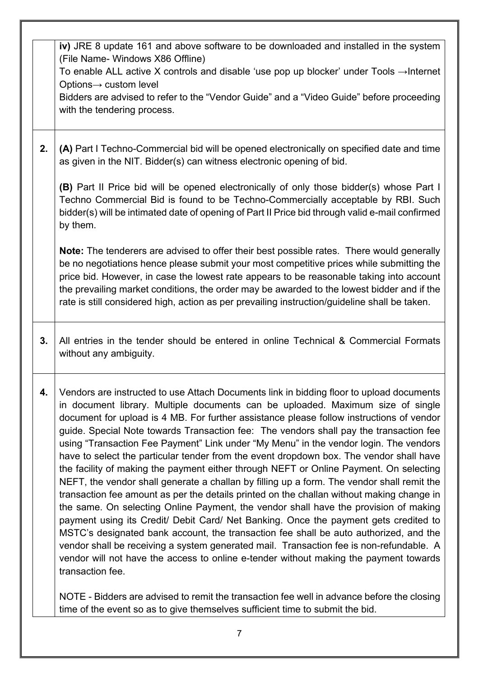|    | iv) JRE 8 update 161 and above software to be downloaded and installed in the system<br>(File Name- Windows X86 Offline)<br>To enable ALL active X controls and disable 'use pop up blocker' under Tools $\rightarrow$ Internet<br>Options→ custom level<br>Bidders are advised to refer to the "Vendor Guide" and a "Video Guide" before proceeding<br>with the tendering process.                                                                                                                                                                                                                                                                                                                                                                                                                                                                                                                                                                                                                                                                                                                                                                                                                                                                                                                                         |
|----|-----------------------------------------------------------------------------------------------------------------------------------------------------------------------------------------------------------------------------------------------------------------------------------------------------------------------------------------------------------------------------------------------------------------------------------------------------------------------------------------------------------------------------------------------------------------------------------------------------------------------------------------------------------------------------------------------------------------------------------------------------------------------------------------------------------------------------------------------------------------------------------------------------------------------------------------------------------------------------------------------------------------------------------------------------------------------------------------------------------------------------------------------------------------------------------------------------------------------------------------------------------------------------------------------------------------------------|
| 2. | (A) Part I Techno-Commercial bid will be opened electronically on specified date and time<br>as given in the NIT. Bidder(s) can witness electronic opening of bid.                                                                                                                                                                                                                                                                                                                                                                                                                                                                                                                                                                                                                                                                                                                                                                                                                                                                                                                                                                                                                                                                                                                                                          |
|    | (B) Part II Price bid will be opened electronically of only those bidder(s) whose Part I<br>Techno Commercial Bid is found to be Techno-Commercially acceptable by RBI. Such<br>bidder(s) will be intimated date of opening of Part II Price bid through valid e-mail confirmed<br>by them.                                                                                                                                                                                                                                                                                                                                                                                                                                                                                                                                                                                                                                                                                                                                                                                                                                                                                                                                                                                                                                 |
|    | Note: The tenderers are advised to offer their best possible rates. There would generally<br>be no negotiations hence please submit your most competitive prices while submitting the<br>price bid. However, in case the lowest rate appears to be reasonable taking into account<br>the prevailing market conditions, the order may be awarded to the lowest bidder and if the<br>rate is still considered high, action as per prevailing instruction/guideline shall be taken.                                                                                                                                                                                                                                                                                                                                                                                                                                                                                                                                                                                                                                                                                                                                                                                                                                            |
| 3. | All entries in the tender should be entered in online Technical & Commercial Formats<br>without any ambiguity.                                                                                                                                                                                                                                                                                                                                                                                                                                                                                                                                                                                                                                                                                                                                                                                                                                                                                                                                                                                                                                                                                                                                                                                                              |
| 4. | Vendors are instructed to use Attach Documents link in bidding floor to upload documents<br>in document library. Multiple documents can be uploaded. Maximum size of single<br>document for upload is 4 MB. For further assistance please follow instructions of vendor<br>guide. Special Note towards Transaction fee: The vendors shall pay the transaction fee<br>using "Transaction Fee Payment" Link under "My Menu" in the vendor login. The vendors<br>have to select the particular tender from the event dropdown box. The vendor shall have<br>the facility of making the payment either through NEFT or Online Payment. On selecting<br>NEFT, the vendor shall generate a challan by filling up a form. The vendor shall remit the<br>transaction fee amount as per the details printed on the challan without making change in<br>the same. On selecting Online Payment, the vendor shall have the provision of making<br>payment using its Credit/ Debit Card/ Net Banking. Once the payment gets credited to<br>MSTC's designated bank account, the transaction fee shall be auto authorized, and the<br>vendor shall be receiving a system generated mail. Transaction fee is non-refundable. A<br>vendor will not have the access to online e-tender without making the payment towards<br>transaction fee. |
|    | NOTE - Bidders are advised to remit the transaction fee well in advance before the closing<br>time of the event so as to give themselves sufficient time to submit the bid.                                                                                                                                                                                                                                                                                                                                                                                                                                                                                                                                                                                                                                                                                                                                                                                                                                                                                                                                                                                                                                                                                                                                                 |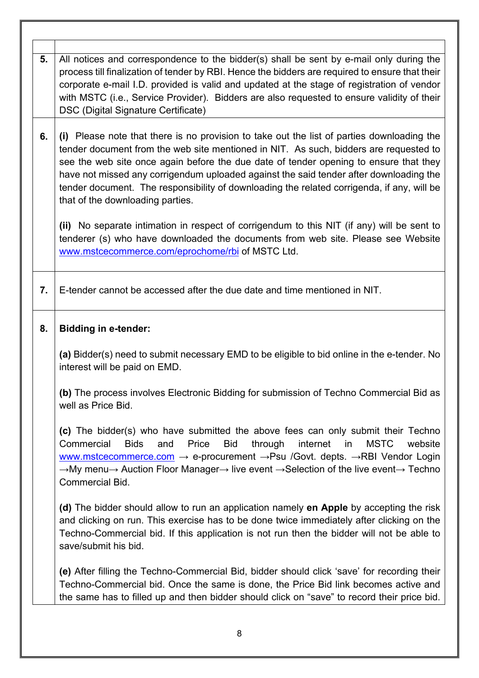| All notices and correspondence to the bidder(s) shall be sent by e-mail only during the<br>process till finalization of tender by RBI. Hence the bidders are required to ensure that their<br>corporate e-mail I.D. provided is valid and updated at the stage of registration of vendor<br>with MSTC (i.e., Service Provider). Bidders are also requested to ensure validity of their<br>DSC (Digital Signature Certificate)<br>(i) Please note that there is no provision to take out the list of parties downloading the<br>tender document from the web site mentioned in NIT. As such, bidders are requested to<br>see the web site once again before the due date of tender opening to ensure that they<br>have not missed any corrigendum uploaded against the said tender after downloading the<br>tender document. The responsibility of downloading the related corrigenda, if any, will be<br>that of the downloading parties.<br>(ii) No separate intimation in respect of corrigendum to this NIT (if any) will be sent to<br>tenderer (s) who have downloaded the documents from web site. Please see Website<br>www.mstcecommerce.com/eprochome/rbi of MSTC Ltd.<br>E-tender cannot be accessed after the due date and time mentioned in NIT.<br><b>Bidding in e-tender:</b> |
|---------------------------------------------------------------------------------------------------------------------------------------------------------------------------------------------------------------------------------------------------------------------------------------------------------------------------------------------------------------------------------------------------------------------------------------------------------------------------------------------------------------------------------------------------------------------------------------------------------------------------------------------------------------------------------------------------------------------------------------------------------------------------------------------------------------------------------------------------------------------------------------------------------------------------------------------------------------------------------------------------------------------------------------------------------------------------------------------------------------------------------------------------------------------------------------------------------------------------------------------------------------------------------------------|
|                                                                                                                                                                                                                                                                                                                                                                                                                                                                                                                                                                                                                                                                                                                                                                                                                                                                                                                                                                                                                                                                                                                                                                                                                                                                                             |
|                                                                                                                                                                                                                                                                                                                                                                                                                                                                                                                                                                                                                                                                                                                                                                                                                                                                                                                                                                                                                                                                                                                                                                                                                                                                                             |
|                                                                                                                                                                                                                                                                                                                                                                                                                                                                                                                                                                                                                                                                                                                                                                                                                                                                                                                                                                                                                                                                                                                                                                                                                                                                                             |
|                                                                                                                                                                                                                                                                                                                                                                                                                                                                                                                                                                                                                                                                                                                                                                                                                                                                                                                                                                                                                                                                                                                                                                                                                                                                                             |
|                                                                                                                                                                                                                                                                                                                                                                                                                                                                                                                                                                                                                                                                                                                                                                                                                                                                                                                                                                                                                                                                                                                                                                                                                                                                                             |
| (a) Bidder(s) need to submit necessary EMD to be eligible to bid online in the e-tender. No<br>interest will be paid on EMD.                                                                                                                                                                                                                                                                                                                                                                                                                                                                                                                                                                                                                                                                                                                                                                                                                                                                                                                                                                                                                                                                                                                                                                |
| (b) The process involves Electronic Bidding for submission of Techno Commercial Bid as<br>well as Price Bid.                                                                                                                                                                                                                                                                                                                                                                                                                                                                                                                                                                                                                                                                                                                                                                                                                                                                                                                                                                                                                                                                                                                                                                                |
| (c) The bidder(s) who have submitted the above fees can only submit their Techno<br><b>Bid</b><br>internet<br>Commercial<br><b>Bids</b><br>and<br>Price<br>through<br><b>MSTC</b><br>website<br>in<br>www.mstcecommerce.com → e-procurement → Psu /Govt. depts. → RBI Vendor Login<br>→My menu→ Auction Floor Manager→ live event →Selection of the live event→ Techno<br>Commercial Bid.                                                                                                                                                                                                                                                                                                                                                                                                                                                                                                                                                                                                                                                                                                                                                                                                                                                                                                   |
| (d) The bidder should allow to run an application namely en Apple by accepting the risk<br>and clicking on run. This exercise has to be done twice immediately after clicking on the<br>Techno-Commercial bid. If this application is not run then the bidder will not be able to<br>save/submit his bid.                                                                                                                                                                                                                                                                                                                                                                                                                                                                                                                                                                                                                                                                                                                                                                                                                                                                                                                                                                                   |
|                                                                                                                                                                                                                                                                                                                                                                                                                                                                                                                                                                                                                                                                                                                                                                                                                                                                                                                                                                                                                                                                                                                                                                                                                                                                                             |
|                                                                                                                                                                                                                                                                                                                                                                                                                                                                                                                                                                                                                                                                                                                                                                                                                                                                                                                                                                                                                                                                                                                                                                                                                                                                                             |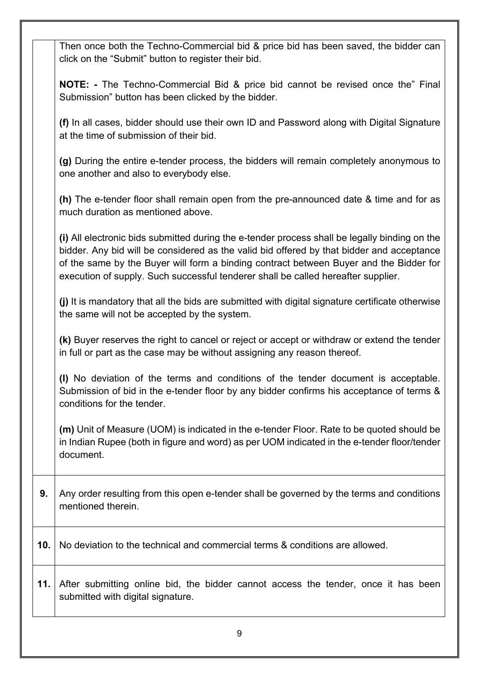|     | Then once both the Techno-Commercial bid & price bid has been saved, the bidder can<br>click on the "Submit" button to register their bid.                                                                                                                                                                                                                                |
|-----|---------------------------------------------------------------------------------------------------------------------------------------------------------------------------------------------------------------------------------------------------------------------------------------------------------------------------------------------------------------------------|
|     | <b>NOTE:</b> - The Techno-Commercial Bid & price bid cannot be revised once the" Final<br>Submission" button has been clicked by the bidder.                                                                                                                                                                                                                              |
|     | (f) In all cases, bidder should use their own ID and Password along with Digital Signature<br>at the time of submission of their bid.                                                                                                                                                                                                                                     |
|     | (g) During the entire e-tender process, the bidders will remain completely anonymous to<br>one another and also to everybody else.                                                                                                                                                                                                                                        |
|     | (h) The e-tender floor shall remain open from the pre-announced date & time and for as<br>much duration as mentioned above.                                                                                                                                                                                                                                               |
|     | (i) All electronic bids submitted during the e-tender process shall be legally binding on the<br>bidder. Any bid will be considered as the valid bid offered by that bidder and acceptance<br>of the same by the Buyer will form a binding contract between Buyer and the Bidder for<br>execution of supply. Such successful tenderer shall be called hereafter supplier. |
|     | (j) It is mandatory that all the bids are submitted with digital signature certificate otherwise<br>the same will not be accepted by the system.                                                                                                                                                                                                                          |
|     | (k) Buyer reserves the right to cancel or reject or accept or withdraw or extend the tender<br>in full or part as the case may be without assigning any reason thereof.                                                                                                                                                                                                   |
|     | (I) No deviation of the terms and conditions of the tender document is acceptable.<br>Submission of bid in the e-tender floor by any bidder confirms his acceptance of terms &<br>conditions for the tender.                                                                                                                                                              |
|     | (m) Unit of Measure (UOM) is indicated in the e-tender Floor. Rate to be quoted should be<br>in Indian Rupee (both in figure and word) as per UOM indicated in the e-tender floor/tender<br>document.                                                                                                                                                                     |
| 9.  | Any order resulting from this open e-tender shall be governed by the terms and conditions<br>mentioned therein.                                                                                                                                                                                                                                                           |
| 10. | No deviation to the technical and commercial terms & conditions are allowed.                                                                                                                                                                                                                                                                                              |
| 11. | After submitting online bid, the bidder cannot access the tender, once it has been<br>submitted with digital signature.                                                                                                                                                                                                                                                   |
|     | 9                                                                                                                                                                                                                                                                                                                                                                         |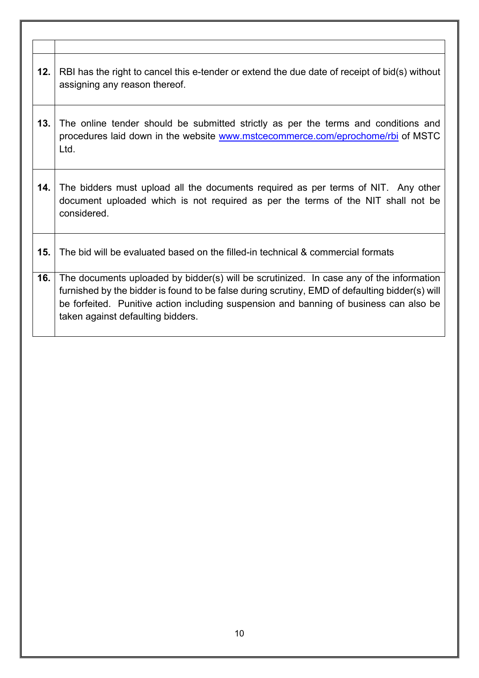| 12. | RBI has the right to cancel this e-tender or extend the due date of receipt of bid(s) without<br>assigning any reason thereof.                                                                                                                                                                                           |
|-----|--------------------------------------------------------------------------------------------------------------------------------------------------------------------------------------------------------------------------------------------------------------------------------------------------------------------------|
| 13. | The online tender should be submitted strictly as per the terms and conditions and<br>procedures laid down in the website www.mstcecommerce.com/eprochome/rbi of MSTC<br>Ltd.                                                                                                                                            |
| 14. | The bidders must upload all the documents required as per terms of NIT. Any other<br>document uploaded which is not required as per the terms of the NIT shall not be<br>considered.                                                                                                                                     |
| 15. | The bid will be evaluated based on the filled-in technical & commercial formats                                                                                                                                                                                                                                          |
| 16. | The documents uploaded by bidder(s) will be scrutinized. In case any of the information<br>furnished by the bidder is found to be false during scrutiny, EMD of defaulting bidder(s) will<br>be forfeited. Punitive action including suspension and banning of business can also be<br>taken against defaulting bidders. |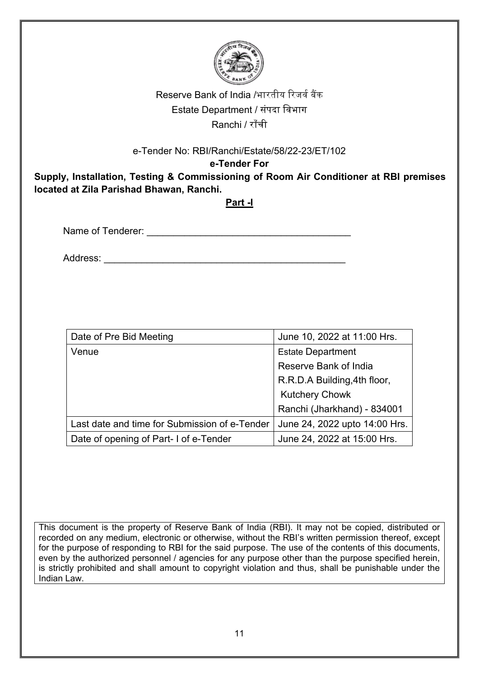

This document is the property of Reserve Bank of India (RBI). It may not be copied, distributed or recorded on any medium, electronic or otherwise, without the RBI's written permission thereof, except for the purpose of responding to RBI for the said purpose. The use of the contents of this documents, even by the authorized personnel / agencies for any purpose other than the purpose specified herein, is strictly prohibited and shall amount to copyright violation and thus, shall be punishable under the Indian Law.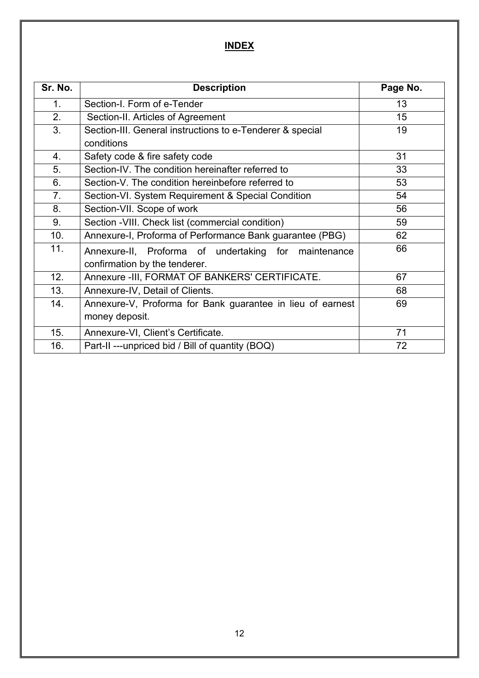# **INDEX**

| Sr. No.        | <b>Description</b>                                         | Page No. |
|----------------|------------------------------------------------------------|----------|
| 1 <sub>1</sub> | Section-I. Form of e-Tender                                | 13       |
| 2.             | Section-II. Articles of Agreement                          | 15       |
| 3.             | Section-III. General instructions to e-Tenderer & special  | 19       |
|                | conditions                                                 |          |
| 4.             | Safety code & fire safety code                             | 31       |
| 5.             | Section-IV. The condition hereinafter referred to          | 33       |
| 6.             | Section-V. The condition hereinbefore referred to          | 53       |
| 7.             | Section-VI. System Requirement & Special Condition         | 54       |
| 8.             | Section-VII. Scope of work                                 | 56       |
| 9.             | Section - VIII. Check list (commercial condition)          | 59       |
| 10.            | Annexure-I, Proforma of Performance Bank guarantee (PBG)   | 62       |
| 11.            | Annexure-II, Proforma of undertaking for maintenance       | 66       |
|                | confirmation by the tenderer.                              |          |
| 12.            | Annexure - III, FORMAT OF BANKERS' CERTIFICATE.            | 67       |
| 13.            | Annexure-IV, Detail of Clients.                            | 68       |
| 14.            | Annexure-V, Proforma for Bank guarantee in lieu of earnest | 69       |
|                | money deposit.                                             |          |
| 15.            | Annexure-VI, Client's Certificate.                         | 71       |
| 16.            | Part-II ---unpriced bid / Bill of quantity (BOQ)           | 72       |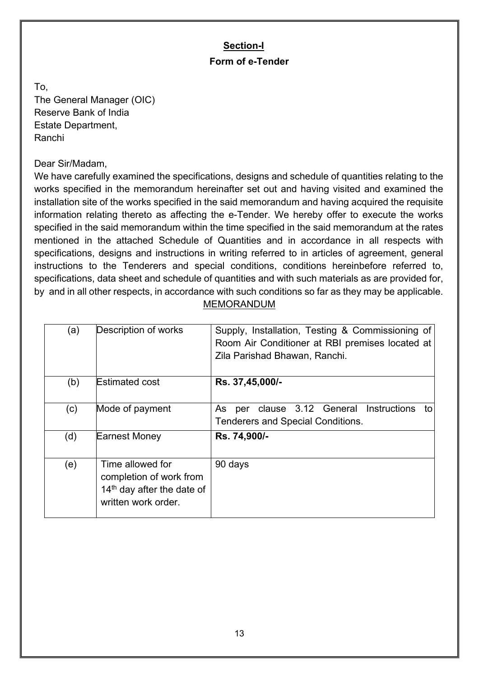# **Section-I Form of e-Tender**

To, The General Manager (OIC) Reserve Bank of India Estate Department, Ranchi

Dear Sir/Madam,

We have carefully examined the specifications, designs and schedule of quantities relating to the works specified in the memorandum hereinafter set out and having visited and examined the installation site of the works specified in the said memorandum and having acquired the requisite information relating thereto as affecting the e-Tender. We hereby offer to execute the works specified in the said memorandum within the time specified in the said memorandum at the rates mentioned in the attached Schedule of Quantities and in accordance in all respects with specifications, designs and instructions in writing referred to in articles of agreement, general instructions to the Tenderers and special conditions, conditions hereinbefore referred to, specifications, data sheet and schedule of quantities and with such materials as are provided for, by and in all other respects, in accordance with such conditions so far as they may be applicable.

## MEMORANDUM

| (a) | Description of works                                                                                         | Supply, Installation, Testing & Commissioning of<br>Room Air Conditioner at RBI premises located at<br>Zila Parishad Bhawan, Ranchi. |
|-----|--------------------------------------------------------------------------------------------------------------|--------------------------------------------------------------------------------------------------------------------------------------|
| (b) | <b>Estimated cost</b>                                                                                        | Rs. 37,45,000/-                                                                                                                      |
| (c) | Mode of payment                                                                                              | clause 3.12 General Instructions<br>As<br>to<br>per<br><b>Tenderers and Special Conditions.</b>                                      |
| (d) | <b>Earnest Money</b>                                                                                         | Rs. 74,900/-                                                                                                                         |
| (e) | Time allowed for<br>completion of work from<br>14 <sup>th</sup> day after the date of<br>written work order. | 90 days                                                                                                                              |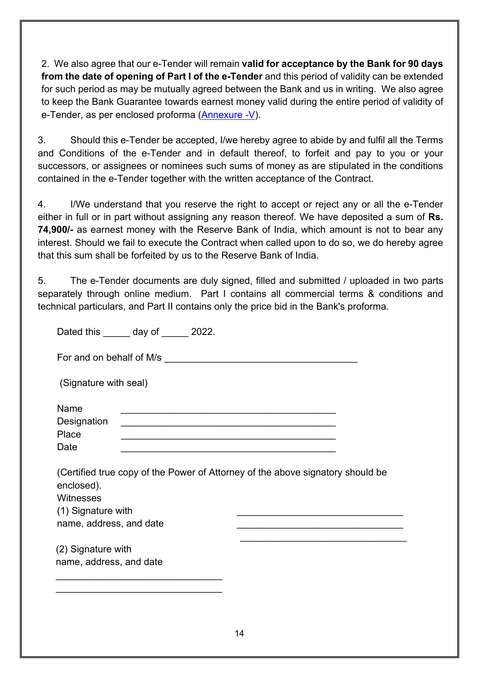2. We also agree that our e-Tender will remain **valid for acceptance by the Bank for 90 days from the date of opening of Part I of the e-Tender** and this period of validity can be extended for such period as may be mutually agreed between the Bank and us in writing. We also agree to keep the Bank Guarantee towards earnest money valid during the entire period of validity of e-Tender, as per enclosed proforma [\(Annexure -V\)](#page-71-0).

3. Should this e-Tender be accepted, I/we hereby agree to abide by and fulfil all the Terms and Conditions of the e-Tender and in default thereof, to forfeit and pay to you or your successors, or assignees or nominees such sums of money as are stipulated in the conditions contained in the e-Tender together with the written acceptance of the Contract.

4. I/We understand that you reserve the right to accept or reject any or all the e-Tender either in full or in part without assigning any reason thereof. We have deposited a sum of **Rs. 74,900/-** as earnest money with the Reserve Bank of India, which amount is not to bear any interest. Should we fail to execute the Contract when called upon to do so, we do hereby agree that this sum shall be forfeited by us to the Reserve Bank of India.

5. The e-Tender documents are duly signed, filled and submitted / uploaded in two parts separately through online medium. Part I contains all commercial terms & conditions and technical particulars, and Part II contains only the price bid in the Bank's proforma.

| Dated this day of 2022.                                                                                                                                       |  |  |  |  |  |  |
|---------------------------------------------------------------------------------------------------------------------------------------------------------------|--|--|--|--|--|--|
|                                                                                                                                                               |  |  |  |  |  |  |
| (Signature with seal)                                                                                                                                         |  |  |  |  |  |  |
| Name<br>Designation<br><u> 1989 - Paris Paris II, martin amerikana amerikana di Indonesia dan mengangkan pada tahun 1980 - Paris Paris P</u><br>Place<br>Date |  |  |  |  |  |  |
| (Certified true copy of the Power of Attorney of the above signatory should be<br>enclosed).<br>Witnesses<br>(1) Signature with<br>name, address, and date    |  |  |  |  |  |  |
| (2) Signature with<br>name, address, and date                                                                                                                 |  |  |  |  |  |  |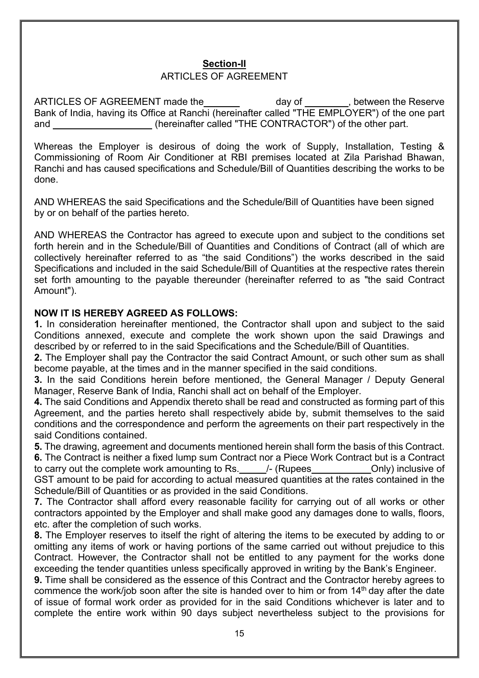# **Section-II**

### ARTICLES OF AGREEMENT

ARTICLES OF AGREEMENT made the day of the setween the Reserve Bank of India, having its Office at Ranchi (hereinafter called "THE EMPLOYER") of the one part and (hereinafter called "THE CONTRACTOR") of the other part.

Whereas the Employer is desirous of doing the work of Supply, Installation, Testing & Commissioning of Room Air Conditioner at RBI premises located at Zila Parishad Bhawan, Ranchi and has caused specifications and Schedule/Bill of Quantities describing the works to be done.

AND WHEREAS the said Specifications and the Schedule/Bill of Quantities have been signed by or on behalf of the parties hereto.

AND WHEREAS the Contractor has agreed to execute upon and subject to the conditions set forth herein and in the Schedule/Bill of Quantities and Conditions of Contract (all of which are collectively hereinafter referred to as "the said Conditions") the works described in the said Specifications and included in the said Schedule/Bill of Quantities at the respective rates therein set forth amounting to the payable thereunder (hereinafter referred to as "the said Contract Amount").

#### **NOW IT IS HEREBY AGREED AS FOLLOWS:**

**1.** In consideration hereinafter mentioned, the Contractor shall upon and subject to the said Conditions annexed, execute and complete the work shown upon the said Drawings and described by or referred to in the said Specifications and the Schedule/Bill of Quantities.

**2.** The Employer shall pay the Contractor the said Contract Amount, or such other sum as shall become payable, at the times and in the manner specified in the said conditions.

**3.** In the said Conditions herein before mentioned, the General Manager / Deputy General Manager, Reserve Bank of India, Ranchi shall act on behalf of the Employer.

**4.** The said Conditions and Appendix thereto shall be read and constructed as forming part of this Agreement, and the parties hereto shall respectively abide by, submit themselves to the said conditions and the correspondence and perform the agreements on their part respectively in the said Conditions contained.

**5.** The drawing, agreement and documents mentioned herein shall form the basis of this Contract.

**6.** The Contract is neither a fixed lump sum Contract nor a Piece Work Contract but is a Contract to carry out the complete work amounting to Rs. 4. (Rupees Conly) inclusive of GST amount to be paid for according to actual measured quantities at the rates contained in the Schedule/Bill of Quantities or as provided in the said Conditions.

**7.** The Contractor shall afford every reasonable facility for carrying out of all works or other contractors appointed by the Employer and shall make good any damages done to walls, floors, etc. after the completion of such works.

**8.** The Employer reserves to itself the right of altering the items to be executed by adding to or omitting any items of work or having portions of the same carried out without prejudice to this Contract. However, the Contractor shall not be entitled to any payment for the works done exceeding the tender quantities unless specifically approved in writing by the Bank's Engineer.

**9.** Time shall be considered as the essence of this Contract and the Contractor hereby agrees to commence the work/job soon after the site is handed over to him or from  $14<sup>th</sup>$  day after the date of issue of formal work order as provided for in the said Conditions whichever is later and to complete the entire work within 90 days subject nevertheless subject to the provisions for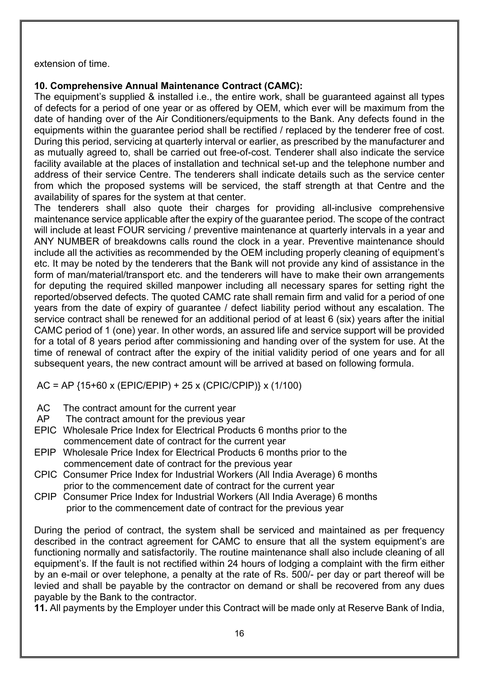extension of time.

#### **10. Comprehensive Annual Maintenance Contract (CAMC):**

The equipment's supplied & installed i.e., the entire work, shall be guaranteed against all types of defects for a period of one year or as offered by OEM, which ever will be maximum from the date of handing over of the Air Conditioners/equipments to the Bank. Any defects found in the equipments within the guarantee period shall be rectified / replaced by the tenderer free of cost. During this period, servicing at quarterly interval or earlier, as prescribed by the manufacturer and as mutually agreed to, shall be carried out free-of-cost. Tenderer shall also indicate the service facility available at the places of installation and technical set-up and the telephone number and address of their service Centre. The tenderers shall indicate details such as the service center from which the proposed systems will be serviced, the staff strength at that Centre and the availability of spares for the system at that center.

The tenderers shall also quote their charges for providing all-inclusive comprehensive maintenance service applicable after the expiry of the guarantee period. The scope of the contract will include at least FOUR servicing / preventive maintenance at quarterly intervals in a year and ANY NUMBER of breakdowns calls round the clock in a year. Preventive maintenance should include all the activities as recommended by the OEM including properly cleaning of equipment's etc. It may be noted by the tenderers that the Bank will not provide any kind of assistance in the form of man/material/transport etc. and the tenderers will have to make their own arrangements for deputing the required skilled manpower including all necessary spares for setting right the reported/observed defects. The quoted CAMC rate shall remain firm and valid for a period of one years from the date of expiry of guarantee / defect liability period without any escalation. The service contract shall be renewed for an additional period of at least 6 (six) years after the initial CAMC period of 1 (one) year. In other words, an assured life and service support will be provided for a total of 8 years period after commissioning and handing over of the system for use. At the time of renewal of contract after the expiry of the initial validity period of one years and for all subsequent years, the new contract amount will be arrived at based on following formula.

AC = AP {15+60 x (EPIC/EPIP) + 25 x (CPIC/CPIP)} x (1/100)

- AC The contract amount for the current year
- AP The contract amount for the previous year
- EPIC Wholesale Price Index for Electrical Products 6 months prior to the commencement date of contract for the current year
- EPIP Wholesale Price Index for Electrical Products 6 months prior to the commencement date of contract for the previous year
- CPIC Consumer Price Index for Industrial Workers (All India Average) 6 months prior to the commencement date of contract for the current year
- CPIP Consumer Price Index for Industrial Workers (All India Average) 6 months prior to the commencement date of contract for the previous year

During the period of contract, the system shall be serviced and maintained as per frequency described in the contract agreement for CAMC to ensure that all the system equipment's are functioning normally and satisfactorily. The routine maintenance shall also include cleaning of all equipment's. If the fault is not rectified within 24 hours of lodging a complaint with the firm either by an e-mail or over telephone, a penalty at the rate of Rs. 500/- per day or part thereof will be levied and shall be payable by the contractor on demand or shall be recovered from any dues payable by the Bank to the contractor.

**11.** All payments by the Employer under this Contract will be made only at Reserve Bank of India,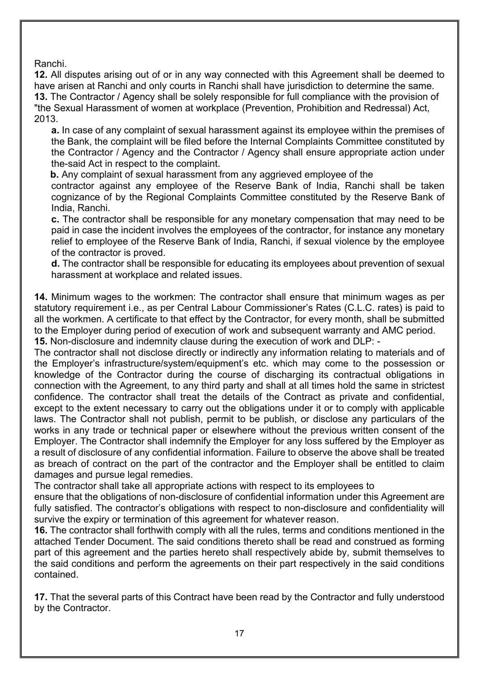Ranchi.

**12.** All disputes arising out of or in any way connected with this Agreement shall be deemed to have arisen at Ranchi and only courts in Ranchi shall have jurisdiction to determine the same. **13.** The Contractor / Agency shall be solely responsible for full compliance with the provision of "the Sexual Harassment of women at workplace (Prevention, Prohibition and Redressal) Act, 2013.

**a.** In case of any complaint of sexual harassment against its employee within the premises of the Bank, the complaint will be filed before the Internal Complaints Committee constituted by the Contractor / Agency and the Contractor / Agency shall ensure appropriate action under the-said Act in respect to the complaint.

 **b.** Any complaint of sexual harassment from any aggrieved employee of the

contractor against any employee of the Reserve Bank of India, Ranchi shall be taken cognizance of by the Regional Complaints Committee constituted by the Reserve Bank of India, Ranchi.

**c.** The contractor shall be responsible for any monetary compensation that may need to be paid in case the incident involves the employees of the contractor, for instance any monetary relief to employee of the Reserve Bank of India, Ranchi, if sexual violence by the employee of the contractor is proved.

**d.** The contractor shall be responsible for educating its employees about prevention of sexual harassment at workplace and related issues.

**14.** Minimum wages to the workmen: The contractor shall ensure that minimum wages as per statutory requirement i.e., as per Central Labour Commissioner's Rates (C.L.C. rates) is paid to all the workmen. A certificate to that effect by the Contractor, for every month, shall be submitted to the Employer during period of execution of work and subsequent warranty and AMC period. **15.** Non-disclosure and indemnity clause during the execution of work and DLP: -

The contractor shall not disclose directly or indirectly any information relating to materials and of the Employer's infrastructure/system/equipment's etc. which may come to the possession or knowledge of the Contractor during the course of discharging its contractual obligations in connection with the Agreement, to any third party and shall at all times hold the same in strictest confidence. The contractor shall treat the details of the Contract as private and confidential, except to the extent necessary to carry out the obligations under it or to comply with applicable laws. The Contractor shall not publish, permit to be publish, or disclose any particulars of the works in any trade or technical paper or elsewhere without the previous written consent of the Employer. The Contractor shall indemnify the Employer for any loss suffered by the Employer as a result of disclosure of any confidential information. Failure to observe the above shall be treated as breach of contract on the part of the contractor and the Employer shall be entitled to claim damages and pursue legal remedies.

The contractor shall take all appropriate actions with respect to its employees to

ensure that the obligations of non-disclosure of confidential information under this Agreement are fully satisfied. The contractor's obligations with respect to non-disclosure and confidentiality will survive the expiry or termination of this agreement for whatever reason.

**16.** The contractor shall forthwith comply with all the rules, terms and conditions mentioned in the attached Tender Document. The said conditions thereto shall be read and construed as forming part of this agreement and the parties hereto shall respectively abide by, submit themselves to the said conditions and perform the agreements on their part respectively in the said conditions contained.

**17.** That the several parts of this Contract have been read by the Contractor and fully understood by the Contractor.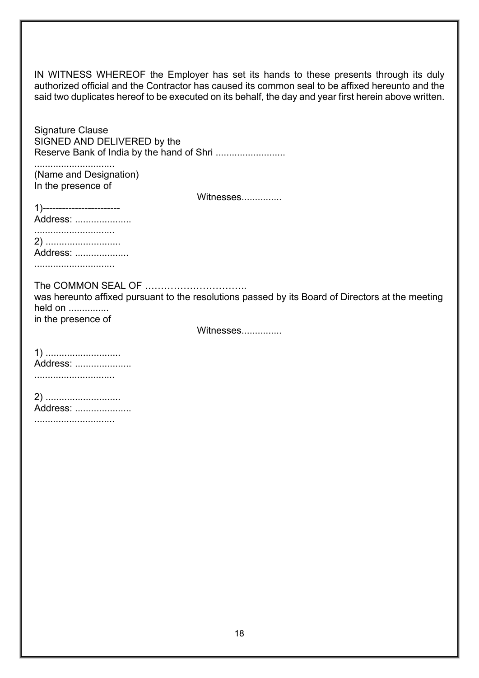IN WITNESS WHEREOF the Employer has set its hands to these presents through its duly authorized official and the Contractor has caused its common seal to be affixed hereunto and the said two duplicates hereof to be executed on its behalf, the day and year first herein above written.

Signature Clause SIGNED AND DELIVERED by the Reserve Bank of India by the hand of Shri ..........................

.............................. (Name and Designation) In the presence of

Witnesses...............

1)------------------------ Address: ..................... .............................. 2) ............................ Address: ....................

..............................

The COMMON SEAL OF …………………………..

was hereunto affixed pursuant to the resolutions passed by its Board of Directors at the meeting held on ............... in the presence of

Witnesses...............

1) ............................ Address: ..................... ..............................

2) ............................ Address: .....................

..............................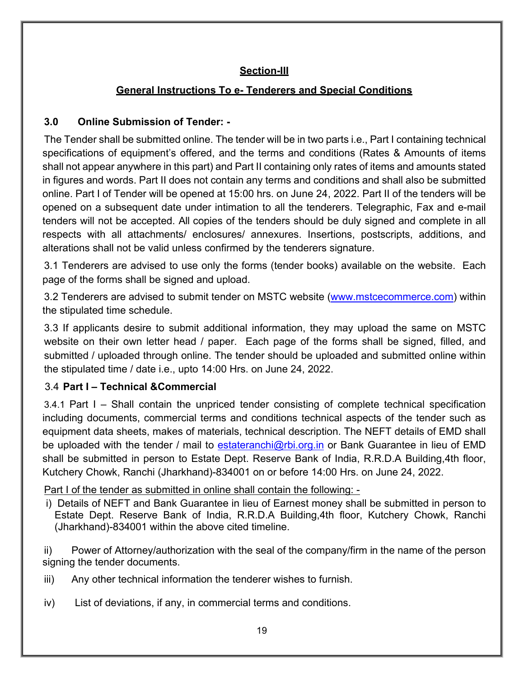### **Section-III**

#### **General Instructions To e- Tenderers and Special Conditions**

#### **3.0 Online Submission of Tender: -**

The Tender shall be submitted online. The tender will be in two parts i.e., Part I containing technical specifications of equipment's offered, and the terms and conditions (Rates & Amounts of items shall not appear anywhere in this part) and Part II containing only rates of items and amounts stated in figures and words. Part II does not contain any terms and conditions and shall also be submitted online. Part I of Tender will be opened at 15:00 hrs. on June 24, 2022. Part II of the tenders will be opened on a subsequent date under intimation to all the tenderers. Telegraphic, Fax and e-mail tenders will not be accepted. All copies of the tenders should be duly signed and complete in all respects with all attachments/ enclosures/ annexures. Insertions, postscripts, additions, and alterations shall not be valid unless confirmed by the tenderers signature.

3.1 Tenderers are advised to use only the forms (tender books) available on the website. Each page of the forms shall be signed and upload.

3.2 Tenderers are advised to submit tender on MSTC website [\(www.mstcecommerce.com\)](https://www.mstcecommerce.com/) within the stipulated time schedule.

3.3 If applicants desire to submit additional information, they may upload the same on MSTC website on their own letter head / paper. Each page of the forms shall be signed, filled, and submitted / uploaded through online. The tender should be uploaded and submitted online within the stipulated time / date i.e., upto 14:00 Hrs. on June 24, 2022.

#### 3.4 **Part I – Technical &Commercial**

3.4.1 Part I – Shall contain the unpriced tender consisting of complete technical specification including documents, commercial terms and conditions technical aspects of the tender such as equipment data sheets, makes of materials, technical description. The NEFT details of EMD shall be uploaded with the tender / mail to [estateranchi@rbi.org.in](mailto:estateranchi@rbi.org.in) or Bank Guarantee in lieu of EMD shall be submitted in person to Estate Dept. Reserve Bank of India, R.R.D.A Building,4th floor, Kutchery Chowk, Ranchi (Jharkhand)-834001 on or before 14:00 Hrs. on June 24, 2022.

Part I of the tender as submitted in online shall contain the following: -

i) Details of NEFT and Bank Guarantee in lieu of Earnest money shall be submitted in person to Estate Dept. Reserve Bank of India, R.R.D.A Building,4th floor, Kutchery Chowk, Ranchi (Jharkhand)-834001 within the above cited timeline.

ii) Power of Attorney/authorization with the seal of the company/firm in the name of the person signing the tender documents.

- iii) Any other technical information the tenderer wishes to furnish.
- iv) List of deviations, if any, in commercial terms and conditions.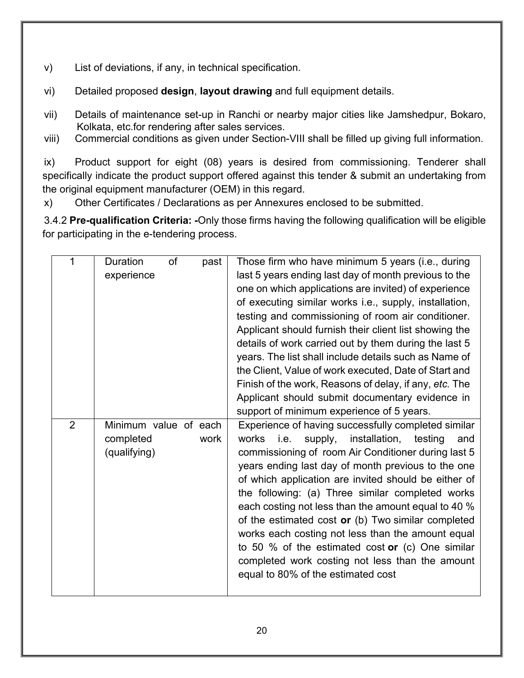- v) List of deviations, if any, in technical specification.
- vi) Detailed proposed **design**, **layout drawing** and full equipment details.
- vii) Details of maintenance set-up in Ranchi or nearby major cities like Jamshedpur, Bokaro, Kolkata, etc.for rendering after sales services.
- viii) Commercial conditions as given under Section-VIII shall be filled up giving full information.

ix) Product support for eight (08) years is desired from commissioning. Tenderer shall specifically indicate the product support offered against this tender & submit an undertaking from the original equipment manufacturer (OEM) in this regard.

x) Other Certificates / Declarations as per Annexures enclosed to be submitted.

3.4.2 **Pre-qualification Criteria: -**Only those firms having the following qualification will be eligible for participating in the e-tendering process.

| 1              | of<br><b>Duration</b><br>past | Those firm who have minimum 5 years (i.e., during        |
|----------------|-------------------------------|----------------------------------------------------------|
|                | experience                    | last 5 years ending last day of month previous to the    |
|                |                               | one on which applications are invited) of experience     |
|                |                               | of executing similar works i.e., supply, installation,   |
|                |                               | testing and commissioning of room air conditioner.       |
|                |                               | Applicant should furnish their client list showing the   |
|                |                               | details of work carried out by them during the last 5    |
|                |                               | years. The list shall include details such as Name of    |
|                |                               | the Client, Value of work executed, Date of Start and    |
|                |                               | Finish of the work, Reasons of delay, if any, etc. The   |
|                |                               | Applicant should submit documentary evidence in          |
|                |                               | support of minimum experience of 5 years.                |
| $\overline{2}$ | Minimum value of each         | Experience of having successfully completed similar      |
|                | completed<br>work             | i.e.<br>installation, testing<br>works<br>supply,<br>and |
|                | (qualifying)                  | commissioning of room Air Conditioner during last 5      |
|                |                               | years ending last day of month previous to the one       |
|                |                               | of which application are invited should be either of     |
|                |                               | the following: (a) Three similar completed works         |
|                |                               | each costing not less than the amount equal to 40 %      |
|                |                               | of the estimated cost or (b) Two similar completed       |
|                |                               | works each costing not less than the amount equal        |
|                |                               | to 50 % of the estimated cost or $(c)$ One similar       |
|                |                               | completed work costing not less than the amount          |
|                |                               |                                                          |
|                |                               | equal to 80% of the estimated cost                       |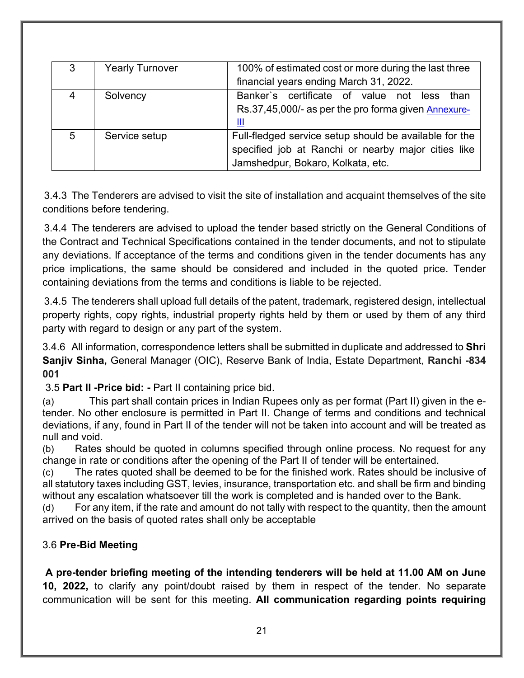| 3 | <b>Yearly Turnover</b> | 100% of estimated cost or more during the last three   |
|---|------------------------|--------------------------------------------------------|
|   |                        | financial years ending March 31, 2022.                 |
|   | Solvency               | Banker's certificate of value not less than            |
|   |                        | Rs.37,45,000/- as per the pro forma given Annexure-    |
|   |                        |                                                        |
| 5 | Service setup          | Full-fledged service setup should be available for the |
|   |                        | specified job at Ranchi or nearby major cities like    |
|   |                        | Jamshedpur, Bokaro, Kolkata, etc.                      |

3.4.3 The Tenderers are advised to visit the site of installation and acquaint themselves of the site conditions before tendering.

3.4.4 The tenderers are advised to upload the tender based strictly on the General Conditions of the Contract and Technical Specifications contained in the tender documents, and not to stipulate any deviations. If acceptance of the terms and conditions given in the tender documents has any price implications, the same should be considered and included in the quoted price. Tender containing deviations from the terms and conditions is liable to be rejected.

3.4.5 The tenderers shall upload full details of the patent, trademark, registered design, intellectual property rights, copy rights, industrial property rights held by them or used by them of any third party with regard to design or any part of the system.

3.4.6 All information, correspondence letters shall be submitted in duplicate and addressed to **Shri Sanjiv Sinha,** General Manager (OIC), Reserve Bank of India, Estate Department, **Ranchi -834 001**

3.5 **Part II -Price bid: -** Part II containing price bid.

(a) This part shall contain prices in Indian Rupees only as per format (Part II) given in the etender. No other enclosure is permitted in Part II. Change of terms and conditions and technical deviations, if any, found in Part II of the tender will not be taken into account and will be treated as null and void.

(b) Rates should be quoted in columns specified through online process. No request for any change in rate or conditions after the opening of the Part II of tender will be entertained.

(c) The rates quoted shall be deemed to be for the finished work. Rates should be inclusive of all statutory taxes including GST, levies, insurance, transportation etc. and shall be firm and binding without any escalation whatsoever till the work is completed and is handed over to the Bank.

(d) For any item, if the rate and amount do not tally with respect to the quantity, then the amount arrived on the basis of quoted rates shall only be acceptable

#### 3.6 **Pre-Bid Meeting**

**A pre-tender briefing meeting of the intending tenderers will be held at 11.00 AM on June 10, 2022,** to clarify any point/doubt raised by them in respect of the tender. No separate communication will be sent for this meeting. **All communication regarding points requiring**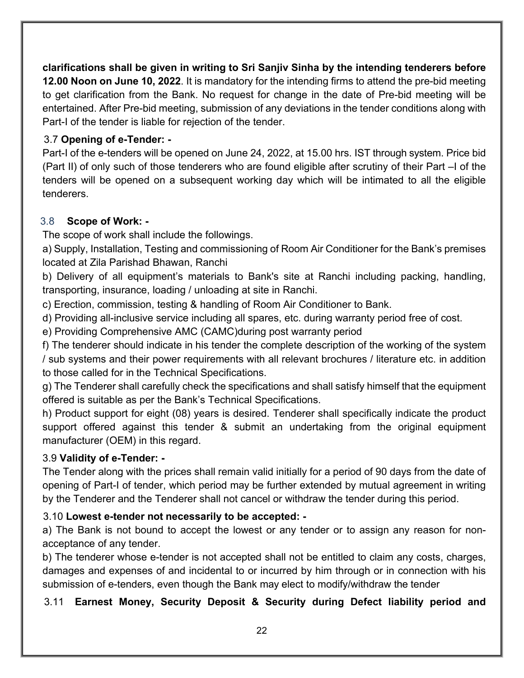**clarifications shall be given in writing to Sri Sanjiv Sinha by the intending tenderers before 12.00 Noon on June 10, 2022**. It is mandatory for the intending firms to attend the pre-bid meeting to get clarification from the Bank. No request for change in the date of Pre-bid meeting will be entertained. After Pre-bid meeting, submission of any deviations in the tender conditions along with Part-I of the tender is liable for rejection of the tender.

#### 3.7 **Opening of e-Tender: -**

Part-I of the e-tenders will be opened on June 24, 2022, at 15.00 hrs. IST through system. Price bid (Part II) of only such of those tenderers who are found eligible after scrutiny of their Part –I of the tenders will be opened on a subsequent working day which will be intimated to all the eligible tenderers.

#### 3.8 **Scope of Work: -**

The scope of work shall include the followings.

a) Supply, Installation, Testing and commissioning of Room Air Conditioner for the Bank's premises located at Zila Parishad Bhawan, Ranchi

b) Delivery of all equipment's materials to Bank's site at Ranchi including packing, handling, transporting, insurance, loading / unloading at site in Ranchi.

c) Erection, commission, testing & handling of Room Air Conditioner to Bank.

d) Providing all-inclusive service including all spares, etc. during warranty period free of cost.

e) Providing Comprehensive AMC (CAMC)during post warranty period

f) The tenderer should indicate in his tender the complete description of the working of the system / sub systems and their power requirements with all relevant brochures / literature etc. in addition to those called for in the Technical Specifications.

g) The Tenderer shall carefully check the specifications and shall satisfy himself that the equipment offered is suitable as per the Bank's Technical Specifications.

h) Product support for eight (08) years is desired. Tenderer shall specifically indicate the product support offered against this tender & submit an undertaking from the original equipment manufacturer (OEM) in this regard.

#### 3.9 **Validity of e-Tender: -**

The Tender along with the prices shall remain valid initially for a period of 90 days from the date of opening of Part-I of tender, which period may be further extended by mutual agreement in writing by the Tenderer and the Tenderer shall not cancel or withdraw the tender during this period.

#### 3.10 **Lowest e-tender not necessarily to be accepted: -**

a) The Bank is not bound to accept the lowest or any tender or to assign any reason for nonacceptance of any tender.

b) The tenderer whose e-tender is not accepted shall not be entitled to claim any costs, charges, damages and expenses of and incidental to or incurred by him through or in connection with his submission of e-tenders, even though the Bank may elect to modify/withdraw the tender

#### 3.11 **Earnest Money, Security Deposit & Security during Defect liability period and**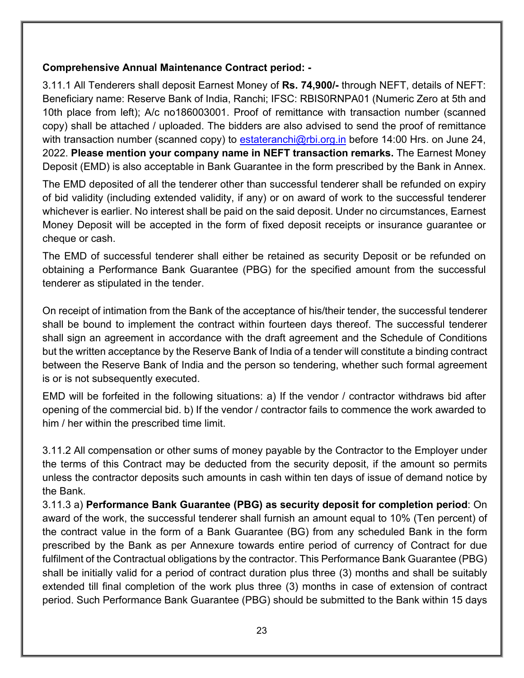#### **Comprehensive Annual Maintenance Contract period: -**

3.11.1 All Tenderers shall deposit Earnest Money of **Rs. 74,900/-** through NEFT, details of NEFT: Beneficiary name: Reserve Bank of India, Ranchi; IFSC: RBIS0RNPA01 (Numeric Zero at 5th and 10th place from left); A/c no186003001. Proof of remittance with transaction number (scanned copy) shall be attached / uploaded. The bidders are also advised to send the proof of remittance with transaction number (scanned copy) to [estateranchi@rbi.org.in](mailto:estateranchi@rbi.org.in) before 14:00 Hrs. on June 24, 2022. **Please mention your company name in NEFT transaction remarks.** The Earnest Money Deposit (EMD) is also acceptable in Bank Guarantee in the form prescribed by the Bank in Annex.

The EMD deposited of all the tenderer other than successful tenderer shall be refunded on expiry of bid validity (including extended validity, if any) or on award of work to the successful tenderer whichever is earlier. No interest shall be paid on the said deposit. Under no circumstances, Earnest Money Deposit will be accepted in the form of fixed deposit receipts or insurance guarantee or cheque or cash.

The EMD of successful tenderer shall either be retained as security Deposit or be refunded on obtaining a Performance Bank Guarantee (PBG) for the specified amount from the successful tenderer as stipulated in the tender.

On receipt of intimation from the Bank of the acceptance of his/their tender, the successful tenderer shall be bound to implement the contract within fourteen days thereof. The successful tenderer shall sign an agreement in accordance with the draft agreement and the Schedule of Conditions but the written acceptance by the Reserve Bank of India of a tender will constitute a binding contract between the Reserve Bank of India and the person so tendering, whether such formal agreement is or is not subsequently executed.

EMD will be forfeited in the following situations: a) If the vendor / contractor withdraws bid after opening of the commercial bid. b) If the vendor / contractor fails to commence the work awarded to him / her within the prescribed time limit.

3.11.2 All compensation or other sums of money payable by the Contractor to the Employer under the terms of this Contract may be deducted from the security deposit, if the amount so permits unless the contractor deposits such amounts in cash within ten days of issue of demand notice by the Bank.

3.11.3 a) **Performance Bank Guarantee (PBG) as security deposit for completion period**: On award of the work, the successful tenderer shall furnish an amount equal to 10% (Ten percent) of the contract value in the form of a Bank Guarantee (BG) from any scheduled Bank in the form prescribed by the Bank as per Annexure towards entire period of currency of Contract for due fulfilment of the Contractual obligations by the contractor. This Performance Bank Guarantee (PBG) shall be initially valid for a period of contract duration plus three (3) months and shall be suitably extended till final completion of the work plus three (3) months in case of extension of contract period. Such Performance Bank Guarantee (PBG) should be submitted to the Bank within 15 days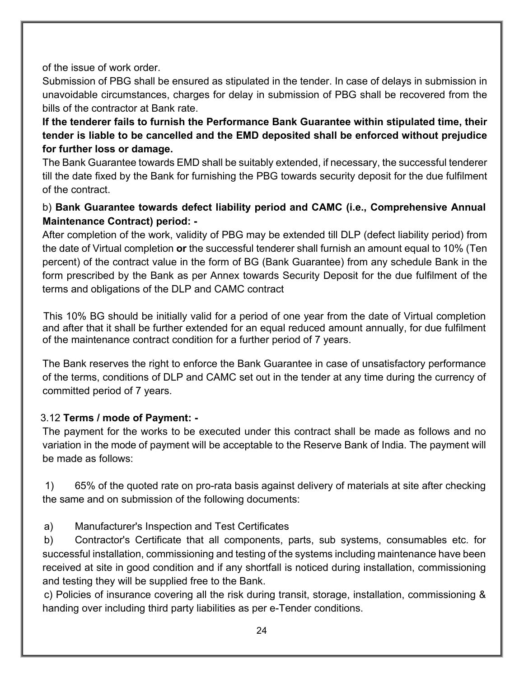of the issue of work order.

Submission of PBG shall be ensured as stipulated in the tender. In case of delays in submission in unavoidable circumstances, charges for delay in submission of PBG shall be recovered from the bills of the contractor at Bank rate.

**If the tenderer fails to furnish the Performance Bank Guarantee within stipulated time, their tender is liable to be cancelled and the EMD deposited shall be enforced without prejudice for further loss or damage.** 

The Bank Guarantee towards EMD shall be suitably extended, if necessary, the successful tenderer till the date fixed by the Bank for furnishing the PBG towards security deposit for the due fulfilment of the contract.

#### b) **Bank Guarantee towards defect liability period and CAMC (i.e., Comprehensive Annual Maintenance Contract) period: -**

After completion of the work, validity of PBG may be extended till DLP (defect liability period) from the date of Virtual completion **or** the successful tenderer shall furnish an amount equal to 10% (Ten percent) of the contract value in the form of BG (Bank Guarantee) from any schedule Bank in the form prescribed by the Bank as per Annex towards Security Deposit for the due fulfilment of the terms and obligations of the DLP and CAMC contract

 This 10% BG should be initially valid for a period of one year from the date of Virtual completion and after that it shall be further extended for an equal reduced amount annually, for due fulfilment of the maintenance contract condition for a further period of 7 years.

The Bank reserves the right to enforce the Bank Guarantee in case of unsatisfactory performance of the terms, conditions of DLP and CAMC set out in the tender at any time during the currency of committed period of 7 years.

#### 3.12 **Terms / mode of Payment: -**

The payment for the works to be executed under this contract shall be made as follows and no variation in the mode of payment will be acceptable to the Reserve Bank of India. The payment will be made as follows:

1) 65% of the quoted rate on pro-rata basis against delivery of materials at site after checking the same and on submission of the following documents:

a) Manufacturer's Inspection and Test Certificates

b) Contractor's Certificate that all components, parts, sub systems, consumables etc. for successful installation, commissioning and testing of the systems including maintenance have been received at site in good condition and if any shortfall is noticed during installation, commissioning and testing they will be supplied free to the Bank.

c) Policies of insurance covering all the risk during transit, storage, installation, commissioning & handing over including third party liabilities as per e-Tender conditions.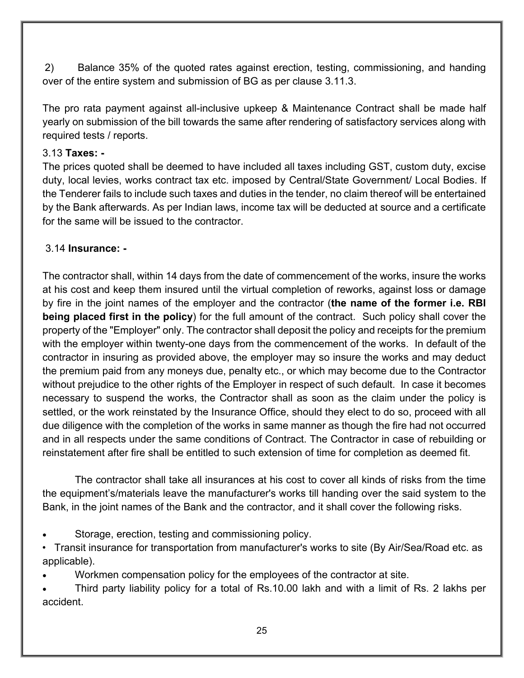2) Balance 35% of the quoted rates against erection, testing, commissioning, and handing over of the entire system and submission of BG as per clause 3.11.3.

The pro rata payment against all-inclusive upkeep & Maintenance Contract shall be made half yearly on submission of the bill towards the same after rendering of satisfactory services along with required tests / reports.

#### 3.13 **Taxes: -**

The prices quoted shall be deemed to have included all taxes including GST, custom duty, excise duty, local levies, works contract tax etc. imposed by Central/State Government/ Local Bodies. If the Tenderer fails to include such taxes and duties in the tender, no claim thereof will be entertained by the Bank afterwards. As per Indian laws, income tax will be deducted at source and a certificate for the same will be issued to the contractor.

#### 3.14 **Insurance: -**

The contractor shall, within 14 days from the date of commencement of the works, insure the works at his cost and keep them insured until the virtual completion of reworks, against loss or damage by fire in the joint names of the employer and the contractor (**the name of the former i.e. RBI being placed first in the policy**) for the full amount of the contract. Such policy shall cover the property of the "Employer" only. The contractor shall deposit the policy and receipts for the premium with the employer within twenty-one days from the commencement of the works. In default of the contractor in insuring as provided above, the employer may so insure the works and may deduct the premium paid from any moneys due, penalty etc., or which may become due to the Contractor without prejudice to the other rights of the Employer in respect of such default. In case it becomes necessary to suspend the works, the Contractor shall as soon as the claim under the policy is settled, or the work reinstated by the Insurance Office, should they elect to do so, proceed with all due diligence with the completion of the works in same manner as though the fire had not occurred and in all respects under the same conditions of Contract. The Contractor in case of rebuilding or reinstatement after fire shall be entitled to such extension of time for completion as deemed fit.

The contractor shall take all insurances at his cost to cover all kinds of risks from the time the equipment's/materials leave the manufacturer's works till handing over the said system to the Bank, in the joint names of the Bank and the contractor, and it shall cover the following risks.

- Storage, erection, testing and commissioning policy.
- Transit insurance for transportation from manufacturer's works to site (By Air/Sea/Road etc. as applicable).
- Workmen compensation policy for the employees of the contractor at site.
- Third party liability policy for a total of Rs.10.00 lakh and with a limit of Rs. 2 lakhs per accident.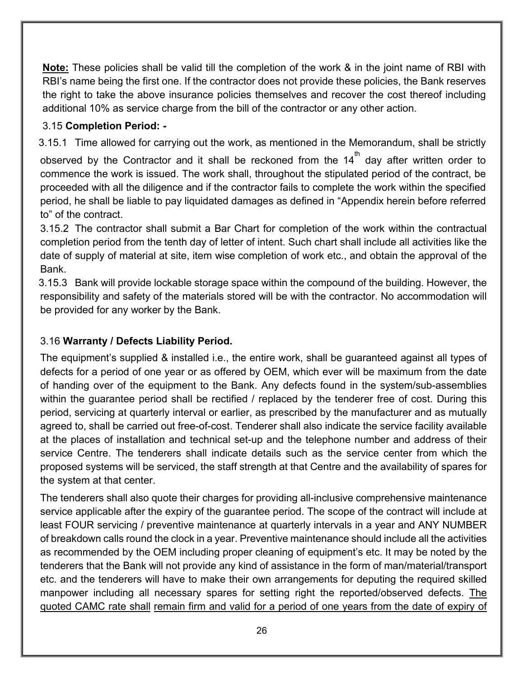**Note:** These policies shall be valid till the completion of the work & in the joint name of RBI with RBI's name being the first one. If the contractor does not provide these policies, the Bank reserves the right to take the above insurance policies themselves and recover the cost thereof including additional 10% as service charge from the bill of the contractor or any other action.

#### 3.15 **Completion Period: -**

3.15.1 Time allowed for carrying out the work, as mentioned in the Memorandum, shall be strictly observed by the Contractor and it shall be reckoned from the 14 $^{\rm th}$  day after written order to commence the work is issued. The work shall, throughout the stipulated period of the contract, be proceeded with all the diligence and if the contractor fails to complete the work within the specified period, he shall be liable to pay liquidated damages as defined in "Appendix herein before referred to" of the contract.

3.15.2 The contractor shall submit a Bar Chart for completion of the work within the contractual completion period from the tenth day of letter of intent. Such chart shall include all activities like the date of supply of material at site, item wise completion of work etc., and obtain the approval of the Bank.

3.15.3 Bank will provide lockable storage space within the compound of the building. However, the responsibility and safety of the materials stored will be with the contractor. No accommodation will be provided for any worker by the Bank.

### 3.16 **Warranty / Defects Liability Period.**

The equipment's supplied & installed i.e., the entire work, shall be guaranteed against all types of defects for a period of one year or as offered by OEM, which ever will be maximum from the date of handing over of the equipment to the Bank. Any defects found in the system/sub-assemblies within the guarantee period shall be rectified / replaced by the tenderer free of cost. During this period, servicing at quarterly interval or earlier, as prescribed by the manufacturer and as mutually agreed to, shall be carried out free-of-cost. Tenderer shall also indicate the service facility available at the places of installation and technical set-up and the telephone number and address of their service Centre. The tenderers shall indicate details such as the service center from which the proposed systems will be serviced, the staff strength at that Centre and the availability of spares for the system at that center.

The tenderers shall also quote their charges for providing all-inclusive comprehensive maintenance service applicable after the expiry of the guarantee period. The scope of the contract will include at least FOUR servicing / preventive maintenance at quarterly intervals in a year and ANY NUMBER of breakdown calls round the clock in a year. Preventive maintenance should include all the activities as recommended by the OEM including proper cleaning of equipment's etc. It may be noted by the tenderers that the Bank will not provide any kind of assistance in the form of man/material/transport etc. and the tenderers will have to make their own arrangements for deputing the required skilled manpower including all necessary spares for setting right the reported/observed defects. The quoted CAMC rate shall remain firm and valid for a period of one years from the date of expiry of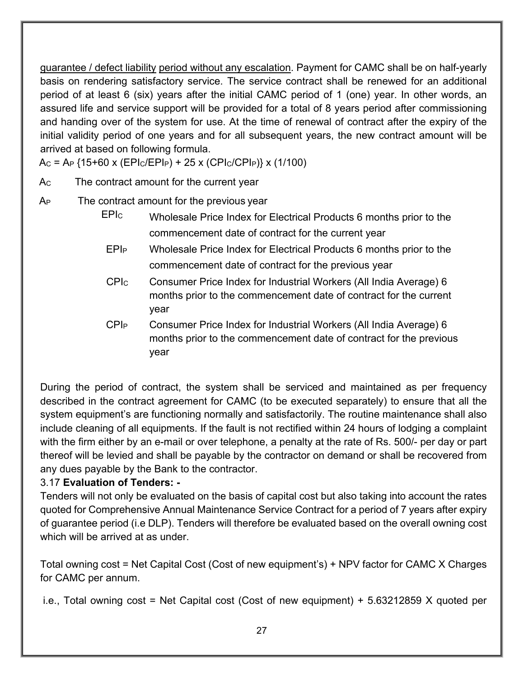guarantee / defect liability period without any escalation. Payment for CAMC shall be on half-yearly basis on rendering satisfactory service. The service contract shall be renewed for an additional period of at least 6 (six) years after the initial CAMC period of 1 (one) year. In other words, an assured life and service support will be provided for a total of 8 years period after commissioning and handing over of the system for use. At the time of renewal of contract after the expiry of the initial validity period of one years and for all subsequent years, the new contract amount will be arrived at based on following formula.

 $Ac = Ap$  {15+60 x (EPIc/EPI<sub>P</sub>) + 25 x (CPIc/CPI<sub>P</sub>)} x (1/100)

A<sub>c</sub> The contract amount for the current year

A<sub>P</sub> The contract amount for the previous year

- EPIC Wholesale Price Index for Electrical Products 6 months prior to the commencement date of contract for the current year
- EPIP Wholesale Price Index for Electrical Products 6 months prior to the commencement date of contract for the previous year
- CPIC Consumer Price Index for Industrial Workers (All India Average) 6 months prior to the commencement date of contract for the current year
- CPIP Consumer Price Index for Industrial Workers (All India Average) 6 months prior to the commencement date of contract for the previous year

During the period of contract, the system shall be serviced and maintained as per frequency described in the contract agreement for CAMC (to be executed separately) to ensure that all the system equipment's are functioning normally and satisfactorily. The routine maintenance shall also include cleaning of all equipments. If the fault is not rectified within 24 hours of lodging a complaint with the firm either by an e-mail or over telephone, a penalty at the rate of Rs. 500/- per day or part thereof will be levied and shall be payable by the contractor on demand or shall be recovered from any dues payable by the Bank to the contractor.

# 3.17 **Evaluation of Tenders: -**

Tenders will not only be evaluated on the basis of capital cost but also taking into account the rates quoted for Comprehensive Annual Maintenance Service Contract for a period of 7 years after expiry of guarantee period (i.e DLP). Tenders will therefore be evaluated based on the overall owning cost which will be arrived at as under.

Total owning cost = Net Capital Cost (Cost of new equipment's) + NPV factor for CAMC X Charges for CAMC per annum.

i.e., Total owning cost = Net Capital cost (Cost of new equipment) + 5.63212859 X quoted per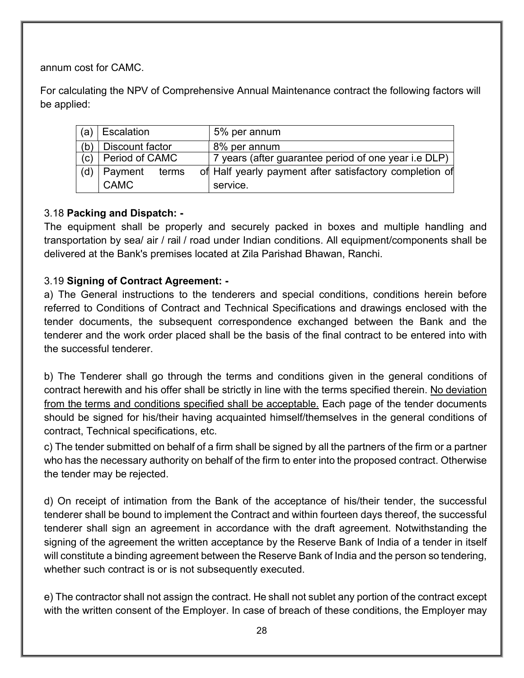annum cost for CAMC.

For calculating the NPV of Comprehensive Annual Maintenance contract the following factors will be applied:

| (a) | Escalation             | 5% per annum                                            |
|-----|------------------------|---------------------------------------------------------|
| (b) | Discount factor        | 8% per annum                                            |
|     | $(c)$ Period of CAMC   | 7 years (after guarantee period of one year i.e DLP)    |
|     | (d)   Payment<br>terms | of Half yearly payment after satisfactory completion of |
|     | CAMC                   | service.                                                |

#### 3.18 **Packing and Dispatch: -**

The equipment shall be properly and securely packed in boxes and multiple handling and transportation by sea/ air / rail / road under Indian conditions. All equipment/components shall be delivered at the Bank's premises located at Zila Parishad Bhawan, Ranchi.

#### 3.19 **Signing of Contract Agreement: -**

a) The General instructions to the tenderers and special conditions, conditions herein before referred to Conditions of Contract and Technical Specifications and drawings enclosed with the tender documents, the subsequent correspondence exchanged between the Bank and the tenderer and the work order placed shall be the basis of the final contract to be entered into with the successful tenderer.

b) The Tenderer shall go through the terms and conditions given in the general conditions of contract herewith and his offer shall be strictly in line with the terms specified therein. No deviation from the terms and conditions specified shall be acceptable. Each page of the tender documents should be signed for his/their having acquainted himself/themselves in the general conditions of contract, Technical specifications, etc.

c) The tender submitted on behalf of a firm shall be signed by all the partners of the firm or a partner who has the necessary authority on behalf of the firm to enter into the proposed contract. Otherwise the tender may be rejected.

d) On receipt of intimation from the Bank of the acceptance of his/their tender, the successful tenderer shall be bound to implement the Contract and within fourteen days thereof, the successful tenderer shall sign an agreement in accordance with the draft agreement. Notwithstanding the signing of the agreement the written acceptance by the Reserve Bank of India of a tender in itself will constitute a binding agreement between the Reserve Bank of India and the person so tendering, whether such contract is or is not subsequently executed.

e) The contractor shall not assign the contract. He shall not sublet any portion of the contract except with the written consent of the Employer. In case of breach of these conditions, the Employer may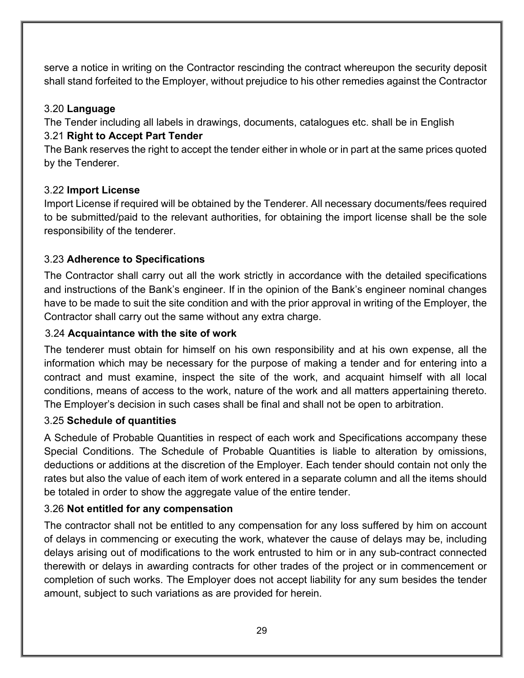serve a notice in writing on the Contractor rescinding the contract whereupon the security deposit shall stand forfeited to the Employer, without prejudice to his other remedies against the Contractor

#### 3.20 **Language**

The Tender including all labels in drawings, documents, catalogues etc. shall be in English 3.21 **Right to Accept Part Tender**

The Bank reserves the right to accept the tender either in whole or in part at the same prices quoted by the Tenderer.

#### 3.22 **Import License**

Import License if required will be obtained by the Tenderer. All necessary documents/fees required to be submitted/paid to the relevant authorities, for obtaining the import license shall be the sole responsibility of the tenderer.

#### 3.23 **Adherence to Specifications**

The Contractor shall carry out all the work strictly in accordance with the detailed specifications and instructions of the Bank's engineer. If in the opinion of the Bank's engineer nominal changes have to be made to suit the site condition and with the prior approval in writing of the Employer, the Contractor shall carry out the same without any extra charge.

#### 3.24 **Acquaintance with the site of work**

The tenderer must obtain for himself on his own responsibility and at his own expense, all the information which may be necessary for the purpose of making a tender and for entering into a contract and must examine, inspect the site of the work, and acquaint himself with all local conditions, means of access to the work, nature of the work and all matters appertaining thereto. The Employer's decision in such cases shall be final and shall not be open to arbitration.

#### 3.25 **Schedule of quantities**

A Schedule of Probable Quantities in respect of each work and Specifications accompany these Special Conditions. The Schedule of Probable Quantities is liable to alteration by omissions, deductions or additions at the discretion of the Employer. Each tender should contain not only the rates but also the value of each item of work entered in a separate column and all the items should be totaled in order to show the aggregate value of the entire tender.

#### 3.26 **Not entitled for any compensation**

The contractor shall not be entitled to any compensation for any loss suffered by him on account of delays in commencing or executing the work, whatever the cause of delays may be, including delays arising out of modifications to the work entrusted to him or in any sub-contract connected therewith or delays in awarding contracts for other trades of the project or in commencement or completion of such works. The Employer does not accept liability for any sum besides the tender amount, subject to such variations as are provided for herein.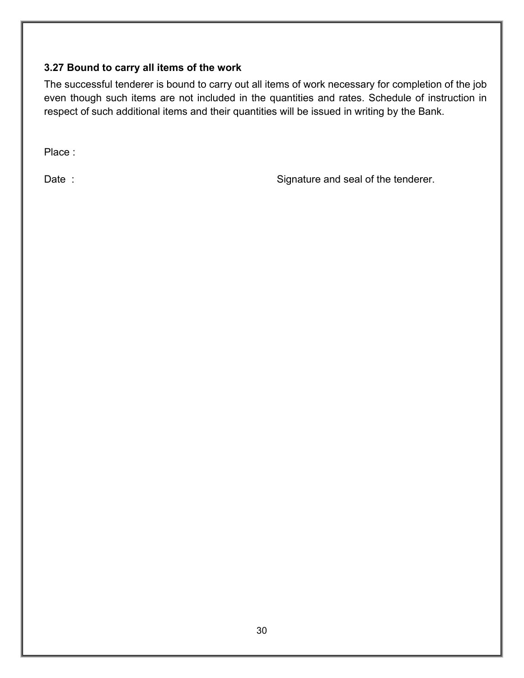#### **3.27 Bound to carry all items of the work**

The successful tenderer is bound to carry out all items of work necessary for completion of the job even though such items are not included in the quantities and rates. Schedule of instruction in respect of such additional items and their quantities will be issued in writing by the Bank.

Place :

Date : Signature and seal of the tenderer.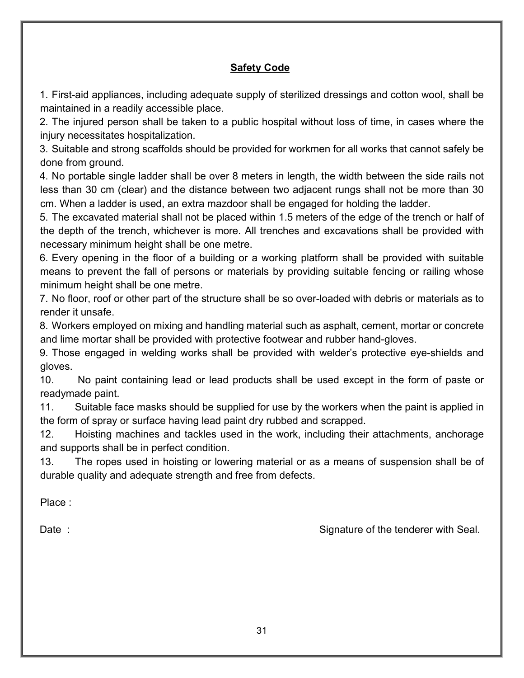#### **Safety Code**

1. First-aid appliances, including adequate supply of sterilized dressings and cotton wool, shall be maintained in a readily accessible place.

2. The injured person shall be taken to a public hospital without loss of time, in cases where the injury necessitates hospitalization.

3. Suitable and strong scaffolds should be provided for workmen for all works that cannot safely be done from ground.

4. No portable single ladder shall be over 8 meters in length, the width between the side rails not less than 30 cm (clear) and the distance between two adjacent rungs shall not be more than 30 cm. When a ladder is used, an extra mazdoor shall be engaged for holding the ladder.

5. The excavated material shall not be placed within 1.5 meters of the edge of the trench or half of the depth of the trench, whichever is more. All trenches and excavations shall be provided with necessary minimum height shall be one metre.

6. Every opening in the floor of a building or a working platform shall be provided with suitable means to prevent the fall of persons or materials by providing suitable fencing or railing whose minimum height shall be one metre.

7. No floor, roof or other part of the structure shall be so over-loaded with debris or materials as to render it unsafe.

8. Workers employed on mixing and handling material such as asphalt, cement, mortar or concrete and lime mortar shall be provided with protective footwear and rubber hand-gloves.

9. Those engaged in welding works shall be provided with welder's protective eye-shields and gloves.

10. No paint containing lead or lead products shall be used except in the form of paste or readymade paint.

11. Suitable face masks should be supplied for use by the workers when the paint is applied in the form of spray or surface having lead paint dry rubbed and scrapped.

12. Hoisting machines and tackles used in the work, including their attachments, anchorage and supports shall be in perfect condition.

13. The ropes used in hoisting or lowering material or as a means of suspension shall be of durable quality and adequate strength and free from defects.

Place :

Date : Signature of the tenderer with Seal.

31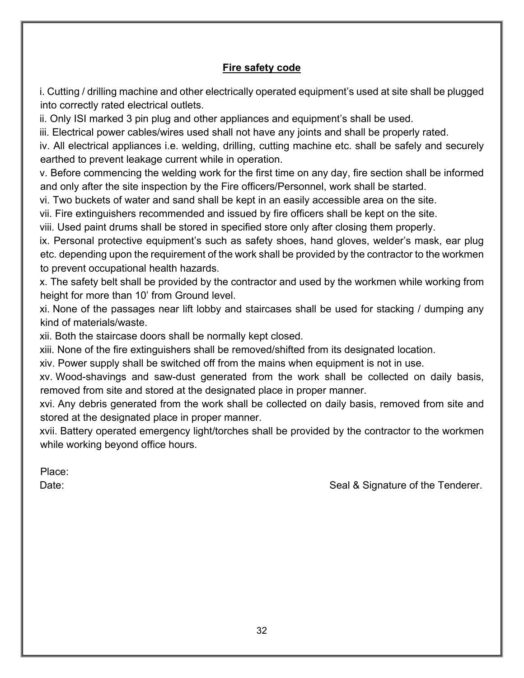#### **Fire safety code**

i. Cutting / drilling machine and other electrically operated equipment's used at site shall be plugged into correctly rated electrical outlets.

ii. Only ISI marked 3 pin plug and other appliances and equipment's shall be used.

iii. Electrical power cables/wires used shall not have any joints and shall be properly rated.

iv. All electrical appliances i.e. welding, drilling, cutting machine etc. shall be safely and securely earthed to prevent leakage current while in operation.

v. Before commencing the welding work for the first time on any day, fire section shall be informed and only after the site inspection by the Fire officers/Personnel, work shall be started.

vi. Two buckets of water and sand shall be kept in an easily accessible area on the site.

vii. Fire extinguishers recommended and issued by fire officers shall be kept on the site.

viii. Used paint drums shall be stored in specified store only after closing them properly.

ix. Personal protective equipment's such as safety shoes, hand gloves, welder's mask, ear plug etc. depending upon the requirement of the work shall be provided by the contractor to the workmen to prevent occupational health hazards.

x. The safety belt shall be provided by the contractor and used by the workmen while working from height for more than 10' from Ground level.

xi. None of the passages near lift lobby and staircases shall be used for stacking / dumping any kind of materials/waste.

xii. Both the staircase doors shall be normally kept closed.

xiii. None of the fire extinguishers shall be removed/shifted from its designated location.

xiv. Power supply shall be switched off from the mains when equipment is not in use.

xv. Wood-shavings and saw-dust generated from the work shall be collected on daily basis, removed from site and stored at the designated place in proper manner.

xvi. Any debris generated from the work shall be collected on daily basis, removed from site and stored at the designated place in proper manner.

xvii. Battery operated emergency light/torches shall be provided by the contractor to the workmen while working beyond office hours.

Place:

Date: Seal & Signature of the Tenderer.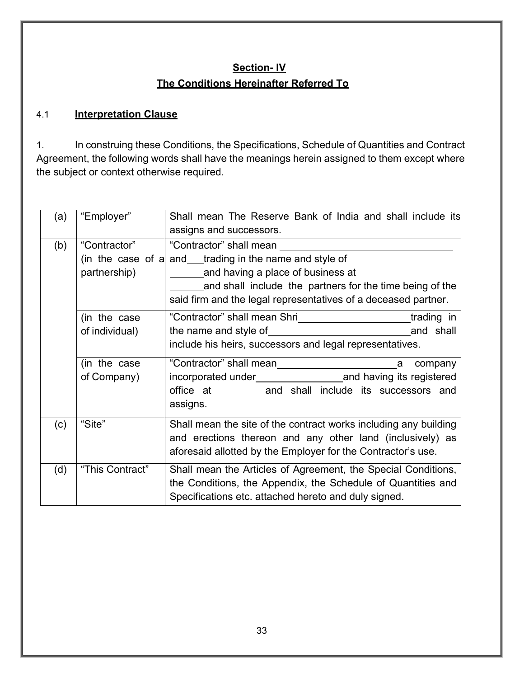# **Section- IV The Conditions Hereinafter Referred To**

#### 4.1 **Interpretation Clause**

1. In construing these Conditions, the Specifications, Schedule of Quantities and Contract Agreement, the following words shall have the meanings herein assigned to them except where the subject or context otherwise required.

| (a) | "Employer"                     | Shall mean The Reserve Bank of India and shall include its<br>assigns and successors.                                                                                                                                                                         |
|-----|--------------------------------|---------------------------------------------------------------------------------------------------------------------------------------------------------------------------------------------------------------------------------------------------------------|
| (b) | "Contractor"<br>partnership)   | "Contractor" shall mean<br>(in the case of a and $\equiv$ trading in the name and style of<br>and having a place of business at<br>and shall include the partners for the time being of the<br>said firm and the legal representatives of a deceased partner. |
|     | (in the case<br>of individual) | "Contractor" shall mean Shri [1974] The Londractor "shall mean Shri [1975] The Londractor "shall mean Shri<br>include his heirs, successors and legal representatives.                                                                                        |
|     | (in the case<br>of Company)    | company<br>a<br>office at and shall include its successors and<br>assigns.                                                                                                                                                                                    |
| (c) | "Site"                         | Shall mean the site of the contract works including any building<br>and erections thereon and any other land (inclusively) as<br>aforesaid allotted by the Employer for the Contractor's use.                                                                 |
| (d) | "This Contract"                | Shall mean the Articles of Agreement, the Special Conditions,<br>the Conditions, the Appendix, the Schedule of Quantities and<br>Specifications etc. attached hereto and duly signed.                                                                         |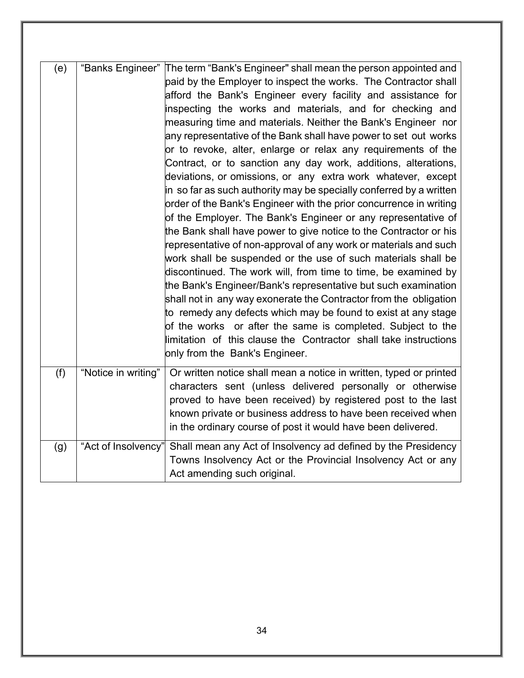| (e) |                     | "Banks Engineer" The term "Bank's Engineer" shall mean the person appointed and<br>paid by the Employer to inspect the works. The Contractor shall<br>afford the Bank's Engineer every facility and assistance for<br>inspecting the works and materials, and for checking and<br>measuring time and materials. Neither the Bank's Engineer nor<br>any representative of the Bank shall have power to set out works<br>or to revoke, alter, enlarge or relax any requirements of the<br>Contract, or to sanction any day work, additions, alterations,<br>deviations, or omissions, or any extra work whatever, except<br>in so far as such authority may be specially conferred by a written<br>order of the Bank's Engineer with the prior concurrence in writing<br>of the Employer. The Bank's Engineer or any representative of<br>the Bank shall have power to give notice to the Contractor or his<br>representative of non-approval of any work or materials and such<br>work shall be suspended or the use of such materials shall be<br>discontinued. The work will, from time to time, be examined by<br>the Bank's Engineer/Bank's representative but such examination<br>shall not in any way exonerate the Contractor from the obligation<br>to remedy any defects which may be found to exist at any stage<br>of the works or after the same is completed. Subject to the<br>limitation of this clause the Contractor shall take instructions<br>only from the Bank's Engineer. |
|-----|---------------------|------------------------------------------------------------------------------------------------------------------------------------------------------------------------------------------------------------------------------------------------------------------------------------------------------------------------------------------------------------------------------------------------------------------------------------------------------------------------------------------------------------------------------------------------------------------------------------------------------------------------------------------------------------------------------------------------------------------------------------------------------------------------------------------------------------------------------------------------------------------------------------------------------------------------------------------------------------------------------------------------------------------------------------------------------------------------------------------------------------------------------------------------------------------------------------------------------------------------------------------------------------------------------------------------------------------------------------------------------------------------------------------------------------------------------------------------------------------------------------------------|
| (f) | "Notice in writing" | Or written notice shall mean a notice in written, typed or printed<br>characters sent (unless delivered personally or otherwise<br>proved to have been received) by registered post to the last<br>known private or business address to have been received when<br>in the ordinary course of post it would have been delivered.                                                                                                                                                                                                                                                                                                                                                                                                                                                                                                                                                                                                                                                                                                                                                                                                                                                                                                                                                                                                                                                                                                                                                                |
| (g) | "Act of Insolvency" | Shall mean any Act of Insolvency ad defined by the Presidency<br>Towns Insolvency Act or the Provincial Insolvency Act or any<br>Act amending such original.                                                                                                                                                                                                                                                                                                                                                                                                                                                                                                                                                                                                                                                                                                                                                                                                                                                                                                                                                                                                                                                                                                                                                                                                                                                                                                                                   |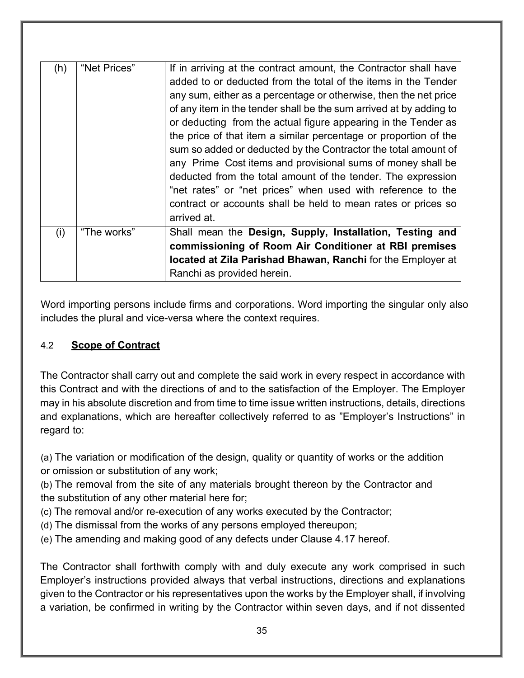| (h) | "Net Prices" | If in arriving at the contract amount, the Contractor shall have<br>added to or deducted from the total of the items in the Tender<br>any sum, either as a percentage or otherwise, then the net price<br>of any item in the tender shall be the sum arrived at by adding to<br>or deducting from the actual figure appearing in the Tender as<br>the price of that item a similar percentage or proportion of the<br>sum so added or deducted by the Contractor the total amount of<br>any Prime Cost items and provisional sums of money shall be<br>deducted from the total amount of the tender. The expression<br>"net rates" or "net prices" when used with reference to the<br>contract or accounts shall be held to mean rates or prices so<br>arrived at. |
|-----|--------------|--------------------------------------------------------------------------------------------------------------------------------------------------------------------------------------------------------------------------------------------------------------------------------------------------------------------------------------------------------------------------------------------------------------------------------------------------------------------------------------------------------------------------------------------------------------------------------------------------------------------------------------------------------------------------------------------------------------------------------------------------------------------|
| (i) | "The works"  | Shall mean the Design, Supply, Installation, Testing and<br>commissioning of Room Air Conditioner at RBI premises<br>located at Zila Parishad Bhawan, Ranchi for the Employer at<br>Ranchi as provided herein.                                                                                                                                                                                                                                                                                                                                                                                                                                                                                                                                                     |

Word importing persons include firms and corporations. Word importing the singular only also includes the plural and vice-versa where the context requires.

# 4.2 **Scope of Contract**

The Contractor shall carry out and complete the said work in every respect in accordance with this Contract and with the directions of and to the satisfaction of the Employer. The Employer may in his absolute discretion and from time to time issue written instructions, details, directions and explanations, which are hereafter collectively referred to as "Employer's Instructions" in regard to:

(a) The variation or modification of the design, quality or quantity of works or the addition or omission or substitution of any work;

(b) The removal from the site of any materials brought thereon by the Contractor and the substitution of any other material here for;

- (c) The removal and/or re-execution of any works executed by the Contractor;
- (d) The dismissal from the works of any persons employed thereupon;
- (e) The amending and making good of any defects under Clause 4.17 hereof.

The Contractor shall forthwith comply with and duly execute any work comprised in such Employer's instructions provided always that verbal instructions, directions and explanations given to the Contractor or his representatives upon the works by the Employer shall, if involving a variation, be confirmed in writing by the Contractor within seven days, and if not dissented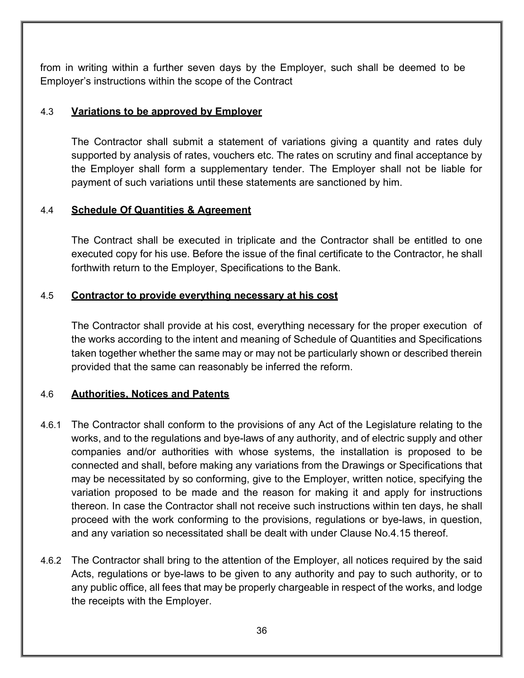from in writing within a further seven days by the Employer, such shall be deemed to be Employer's instructions within the scope of the Contract

## 4.3 **Variations to be approved by Employer**

The Contractor shall submit a statement of variations giving a quantity and rates duly supported by analysis of rates, vouchers etc. The rates on scrutiny and final acceptance by the Employer shall form a supplementary tender. The Employer shall not be liable for payment of such variations until these statements are sanctioned by him.

## 4.4 **Schedule Of Quantities & Agreement**

The Contract shall be executed in triplicate and the Contractor shall be entitled to one executed copy for his use. Before the issue of the final certificate to the Contractor, he shall forthwith return to the Employer, Specifications to the Bank.

#### 4.5 **Contractor to provide everything necessary at his cost**

The Contractor shall provide at his cost, everything necessary for the proper execution of the works according to the intent and meaning of Schedule of Quantities and Specifications taken together whether the same may or may not be particularly shown or described therein provided that the same can reasonably be inferred the reform.

## 4.6 **Authorities, Notices and Patents**

- 4.6.1 The Contractor shall conform to the provisions of any Act of the Legislature relating to the works, and to the regulations and bye-laws of any authority, and of electric supply and other companies and/or authorities with whose systems, the installation is proposed to be connected and shall, before making any variations from the Drawings or Specifications that may be necessitated by so conforming, give to the Employer, written notice, specifying the variation proposed to be made and the reason for making it and apply for instructions thereon. In case the Contractor shall not receive such instructions within ten days, he shall proceed with the work conforming to the provisions, regulations or bye-laws, in question, and any variation so necessitated shall be dealt with under Clause No.4.15 thereof.
- 4.6.2 The Contractor shall bring to the attention of the Employer, all notices required by the said Acts, regulations or bye-laws to be given to any authority and pay to such authority, or to any public office, all fees that may be properly chargeable in respect of the works, and lodge the receipts with the Employer.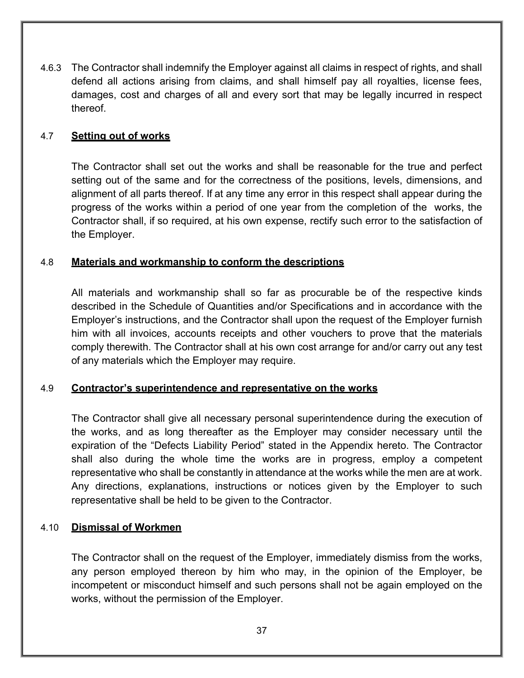4.6.3 The Contractor shall indemnify the Employer against all claims in respect of rights, and shall defend all actions arising from claims, and shall himself pay all royalties, license fees, damages, cost and charges of all and every sort that may be legally incurred in respect thereof.

## 4.7 **Setting out of works**

The Contractor shall set out the works and shall be reasonable for the true and perfect setting out of the same and for the correctness of the positions, levels, dimensions, and alignment of all parts thereof. If at any time any error in this respect shall appear during the progress of the works within a period of one year from the completion of the works, the Contractor shall, if so required, at his own expense, rectify such error to the satisfaction of the Employer.

#### 4.8 **Materials and workmanship to conform the descriptions**

All materials and workmanship shall so far as procurable be of the respective kinds described in the Schedule of Quantities and/or Specifications and in accordance with the Employer's instructions, and the Contractor shall upon the request of the Employer furnish him with all invoices, accounts receipts and other vouchers to prove that the materials comply therewith. The Contractor shall at his own cost arrange for and/or carry out any test of any materials which the Employer may require.

## 4.9 **Contractor's superintendence and representative on the works**

The Contractor shall give all necessary personal superintendence during the execution of the works, and as long thereafter as the Employer may consider necessary until the expiration of the "Defects Liability Period" stated in the Appendix hereto. The Contractor shall also during the whole time the works are in progress, employ a competent representative who shall be constantly in attendance at the works while the men are at work. Any directions, explanations, instructions or notices given by the Employer to such representative shall be held to be given to the Contractor.

#### 4.10 **Dismissal of Workmen**

The Contractor shall on the request of the Employer, immediately dismiss from the works, any person employed thereon by him who may, in the opinion of the Employer, be incompetent or misconduct himself and such persons shall not be again employed on the works, without the permission of the Employer.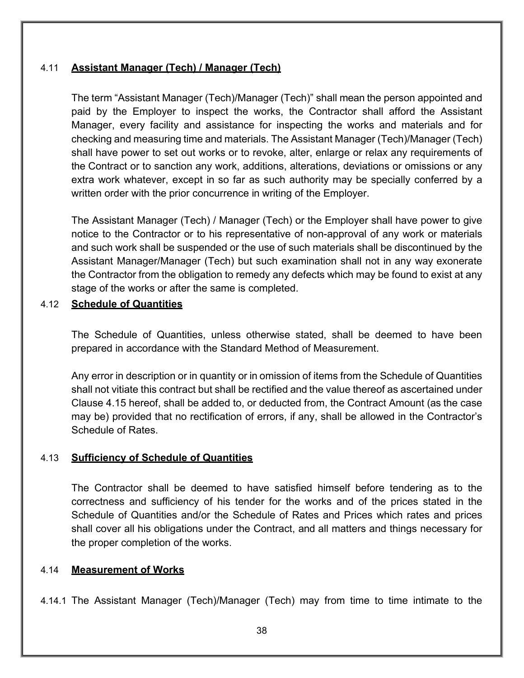## 4.11 **Assistant Manager (Tech) / Manager (Tech)**

The term "Assistant Manager (Tech)/Manager (Tech)" shall mean the person appointed and paid by the Employer to inspect the works, the Contractor shall afford the Assistant Manager, every facility and assistance for inspecting the works and materials and for checking and measuring time and materials. The Assistant Manager (Tech)/Manager (Tech) shall have power to set out works or to revoke, alter, enlarge or relax any requirements of the Contract or to sanction any work, additions, alterations, deviations or omissions or any extra work whatever, except in so far as such authority may be specially conferred by a written order with the prior concurrence in writing of the Employer.

The Assistant Manager (Tech) / Manager (Tech) or the Employer shall have power to give notice to the Contractor or to his representative of non-approval of any work or materials and such work shall be suspended or the use of such materials shall be discontinued by the Assistant Manager/Manager (Tech) but such examination shall not in any way exonerate the Contractor from the obligation to remedy any defects which may be found to exist at any stage of the works or after the same is completed.

#### 4.12 **Schedule of Quantities**

The Schedule of Quantities, unless otherwise stated, shall be deemed to have been prepared in accordance with the Standard Method of Measurement.

Any error in description or in quantity or in omission of items from the Schedule of Quantities shall not vitiate this contract but shall be rectified and the value thereof as ascertained under Clause 4.15 hereof, shall be added to, or deducted from, the Contract Amount (as the case may be) provided that no rectification of errors, if any, shall be allowed in the Contractor's Schedule of Rates.

#### 4.13 **Sufficiency of Schedule of Quantities**

The Contractor shall be deemed to have satisfied himself before tendering as to the correctness and sufficiency of his tender for the works and of the prices stated in the Schedule of Quantities and/or the Schedule of Rates and Prices which rates and prices shall cover all his obligations under the Contract, and all matters and things necessary for the proper completion of the works.

#### 4.14 **Measurement of Works**

4.14.1 The Assistant Manager (Tech)/Manager (Tech) may from time to time intimate to the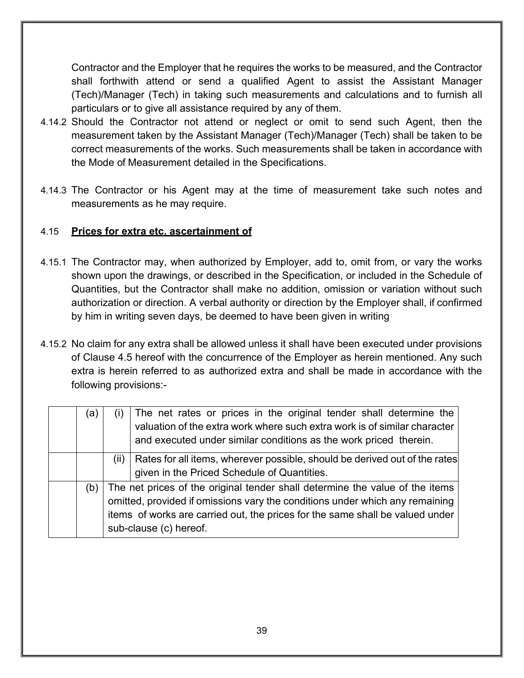Contractor and the Employer that he requires the works to be measured, and the Contractor shall forthwith attend or send a qualified Agent to assist the Assistant Manager (Tech)/Manager (Tech) in taking such measurements and calculations and to furnish all particulars or to give all assistance required by any of them.

- 4.14.2 Should the Contractor not attend or neglect or omit to send such Agent, then the measurement taken by the Assistant Manager (Tech)/Manager (Tech) shall be taken to be correct measurements of the works. Such measurements shall be taken in accordance with the Mode of Measurement detailed in the Specifications.
- 4.14.3 The Contractor or his Agent may at the time of measurement take such notes and measurements as he may require.

## 4.15 **Prices for extra etc. ascertainment of**

- 4.15.1 The Contractor may, when authorized by Employer, add to, omit from, or vary the works shown upon the drawings, or described in the Specification, or included in the Schedule of Quantities, but the Contractor shall make no addition, omission or variation without such authorization or direction. A verbal authority or direction by the Employer shall, if confirmed by him in writing seven days, be deemed to have been given in writing
- 4.15.2 No claim for any extra shall be allowed unless it shall have been executed under provisions of Clause 4.5 hereof with the concurrence of the Employer as herein mentioned. Any such extra is herein referred to as authorized extra and shall be made in accordance with the following provisions:-

| (a  |                                                                                                                                                                                                                                                                         | The net rates or prices in the original tender shall determine the<br>valuation of the extra work where such extra work is of similar character<br>and executed under similar conditions as the work priced therein. |  |  |
|-----|-------------------------------------------------------------------------------------------------------------------------------------------------------------------------------------------------------------------------------------------------------------------------|----------------------------------------------------------------------------------------------------------------------------------------------------------------------------------------------------------------------|--|--|
|     | $( \parallel )$                                                                                                                                                                                                                                                         | Rates for all items, wherever possible, should be derived out of the rates<br>given in the Priced Schedule of Quantities.                                                                                            |  |  |
| (b) | The net prices of the original tender shall determine the value of the items<br>omitted, provided if omissions vary the conditions under which any remaining<br>items of works are carried out, the prices for the same shall be valued under<br>sub-clause (c) hereof. |                                                                                                                                                                                                                      |  |  |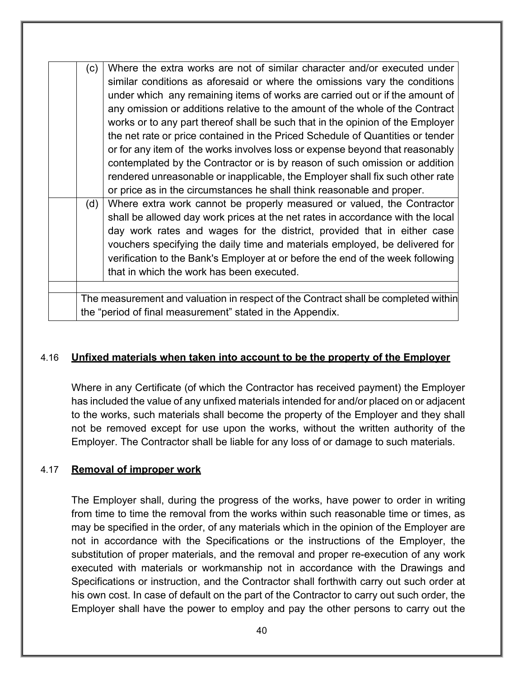| (c) | Where the extra works are not of similar character and/or executed under           |
|-----|------------------------------------------------------------------------------------|
|     | similar conditions as aforesaid or where the omissions vary the conditions         |
|     | under which any remaining items of works are carried out or if the amount of       |
|     | any omission or additions relative to the amount of the whole of the Contract      |
|     | works or to any part thereof shall be such that in the opinion of the Employer     |
|     | the net rate or price contained in the Priced Schedule of Quantities or tender     |
|     | or for any item of the works involves loss or expense beyond that reasonably       |
|     | contemplated by the Contractor or is by reason of such omission or addition        |
|     | rendered unreasonable or inapplicable, the Employer shall fix such other rate      |
|     | or price as in the circumstances he shall think reasonable and proper.             |
| (d) | Where extra work cannot be properly measured or valued, the Contractor             |
|     | shall be allowed day work prices at the net rates in accordance with the local     |
|     | day work rates and wages for the district, provided that in either case            |
|     | vouchers specifying the daily time and materials employed, be delivered for        |
|     | verification to the Bank's Employer at or before the end of the week following     |
|     | that in which the work has been executed.                                          |
|     |                                                                                    |
|     | The measurement and valuation in respect of the Contract shall be completed within |
|     | the "period of final measurement" stated in the Appendix.                          |

#### 4.16 **Unfixed materials when taken into account to be the property of the Employer**

Where in any Certificate (of which the Contractor has received payment) the Employer has included the value of any unfixed materials intended for and/or placed on or adjacent to the works, such materials shall become the property of the Employer and they shall not be removed except for use upon the works, without the written authority of the Employer. The Contractor shall be liable for any loss of or damage to such materials.

#### 4.17 **Removal of improper work**

The Employer shall, during the progress of the works, have power to order in writing from time to time the removal from the works within such reasonable time or times, as may be specified in the order, of any materials which in the opinion of the Employer are not in accordance with the Specifications or the instructions of the Employer, the substitution of proper materials, and the removal and proper re-execution of any work executed with materials or workmanship not in accordance with the Drawings and Specifications or instruction, and the Contractor shall forthwith carry out such order at his own cost. In case of default on the part of the Contractor to carry out such order, the Employer shall have the power to employ and pay the other persons to carry out the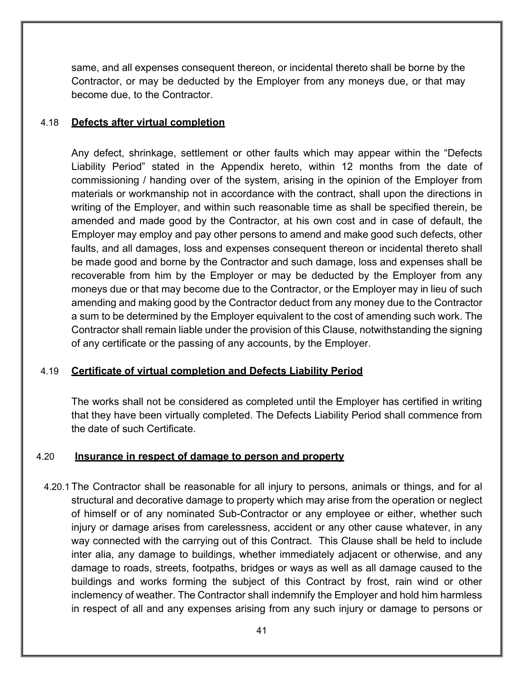same, and all expenses consequent thereon, or incidental thereto shall be borne by the Contractor, or may be deducted by the Employer from any moneys due, or that may become due, to the Contractor.

#### 4.18 **Defects after virtual completion**

Any defect, shrinkage, settlement or other faults which may appear within the "Defects Liability Period" stated in the Appendix hereto, within 12 months from the date of commissioning / handing over of the system, arising in the opinion of the Employer from materials or workmanship not in accordance with the contract, shall upon the directions in writing of the Employer, and within such reasonable time as shall be specified therein, be amended and made good by the Contractor, at his own cost and in case of default, the Employer may employ and pay other persons to amend and make good such defects, other faults, and all damages, loss and expenses consequent thereon or incidental thereto shall be made good and borne by the Contractor and such damage, loss and expenses shall be recoverable from him by the Employer or may be deducted by the Employer from any moneys due or that may become due to the Contractor, or the Employer may in lieu of such amending and making good by the Contractor deduct from any money due to the Contractor a sum to be determined by the Employer equivalent to the cost of amending such work. The Contractor shall remain liable under the provision of this Clause, notwithstanding the signing of any certificate or the passing of any accounts, by the Employer.

## 4.19 **Certificate of virtual completion and Defects Liability Period**

The works shall not be considered as completed until the Employer has certified in writing that they have been virtually completed. The Defects Liability Period shall commence from the date of such Certificate.

#### 4.20 **Insurance in respect of damage to person and property**

4.20.1 The Contractor shall be reasonable for all injury to persons, animals or things, and for al structural and decorative damage to property which may arise from the operation or neglect of himself or of any nominated Sub-Contractor or any employee or either, whether such injury or damage arises from carelessness, accident or any other cause whatever, in any way connected with the carrying out of this Contract. This Clause shall be held to include inter alia, any damage to buildings, whether immediately adjacent or otherwise, and any damage to roads, streets, footpaths, bridges or ways as well as all damage caused to the buildings and works forming the subject of this Contract by frost, rain wind or other inclemency of weather. The Contractor shall indemnify the Employer and hold him harmless in respect of all and any expenses arising from any such injury or damage to persons or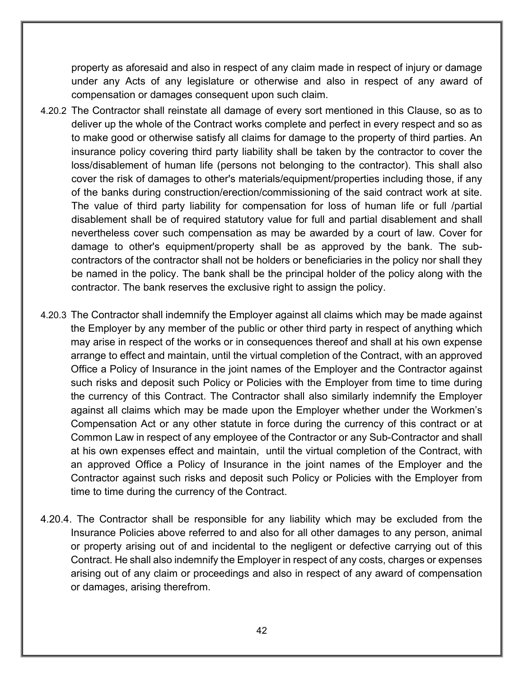property as aforesaid and also in respect of any claim made in respect of injury or damage under any Acts of any legislature or otherwise and also in respect of any award of compensation or damages consequent upon such claim.

- 4.20.2 The Contractor shall reinstate all damage of every sort mentioned in this Clause, so as to deliver up the whole of the Contract works complete and perfect in every respect and so as to make good or otherwise satisfy all claims for damage to the property of third parties. An insurance policy covering third party liability shall be taken by the contractor to cover the loss/disablement of human life (persons not belonging to the contractor). This shall also cover the risk of damages to other's materials/equipment/properties including those, if any of the banks during construction/erection/commissioning of the said contract work at site. The value of third party liability for compensation for loss of human life or full /partial disablement shall be of required statutory value for full and partial disablement and shall nevertheless cover such compensation as may be awarded by a court of law. Cover for damage to other's equipment/property shall be as approved by the bank. The subcontractors of the contractor shall not be holders or beneficiaries in the policy nor shall they be named in the policy. The bank shall be the principal holder of the policy along with the contractor. The bank reserves the exclusive right to assign the policy.
- 4.20.3 The Contractor shall indemnify the Employer against all claims which may be made against the Employer by any member of the public or other third party in respect of anything which may arise in respect of the works or in consequences thereof and shall at his own expense arrange to effect and maintain, until the virtual completion of the Contract, with an approved Office a Policy of Insurance in the joint names of the Employer and the Contractor against such risks and deposit such Policy or Policies with the Employer from time to time during the currency of this Contract. The Contractor shall also similarly indemnify the Employer against all claims which may be made upon the Employer whether under the Workmen's Compensation Act or any other statute in force during the currency of this contract or at Common Law in respect of any employee of the Contractor or any Sub-Contractor and shall at his own expenses effect and maintain, until the virtual completion of the Contract, with an approved Office a Policy of Insurance in the joint names of the Employer and the Contractor against such risks and deposit such Policy or Policies with the Employer from time to time during the currency of the Contract.
- 4.20.4. The Contractor shall be responsible for any liability which may be excluded from the Insurance Policies above referred to and also for all other damages to any person, animal or property arising out of and incidental to the negligent or defective carrying out of this Contract. He shall also indemnify the Employer in respect of any costs, charges or expenses arising out of any claim or proceedings and also in respect of any award of compensation or damages, arising therefrom.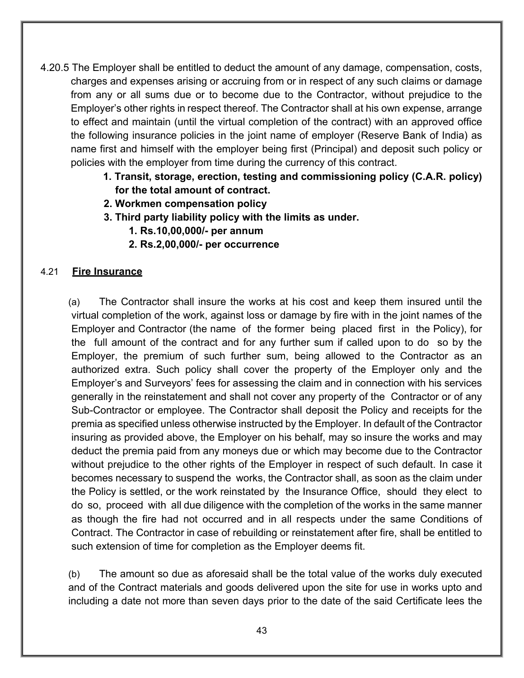- 4.20.5 The Employer shall be entitled to deduct the amount of any damage, compensation, costs, charges and expenses arising or accruing from or in respect of any such claims or damage from any or all sums due or to become due to the Contractor, without prejudice to the Employer's other rights in respect thereof. The Contractor shall at his own expense, arrange to effect and maintain (until the virtual completion of the contract) with an approved office the following insurance policies in the joint name of employer (Reserve Bank of India) as name first and himself with the employer being first (Principal) and deposit such policy or policies with the employer from time during the currency of this contract.
	- **1. Transit, storage, erection, testing and commissioning policy (C.A.R. policy) for the total amount of contract.**
	- **2. Workmen compensation policy**
	- **3. Third party liability policy with the limits as under.**
		- **1. Rs.10,00,000/- per annum**
		- **2. Rs.2,00,000/- per occurrence**

#### 4.21 **Fire Insurance**

(a) The Contractor shall insure the works at his cost and keep them insured until the virtual completion of the work, against loss or damage by fire with in the joint names of the Employer and Contractor (the name of the former being placed first in the Policy), for the full amount of the contract and for any further sum if called upon to do so by the Employer, the premium of such further sum, being allowed to the Contractor as an authorized extra. Such policy shall cover the property of the Employer only and the Employer's and Surveyors' fees for assessing the claim and in connection with his services generally in the reinstatement and shall not cover any property of the Contractor or of any Sub-Contractor or employee. The Contractor shall deposit the Policy and receipts for the premia as specified unless otherwise instructed by the Employer. In default of the Contractor insuring as provided above, the Employer on his behalf, may so insure the works and may deduct the premia paid from any moneys due or which may become due to the Contractor without prejudice to the other rights of the Employer in respect of such default. In case it becomes necessary to suspend the works, the Contractor shall, as soon as the claim under the Policy is settled, or the work reinstated by the Insurance Office, should they elect to do so, proceed with all due diligence with the completion of the works in the same manner as though the fire had not occurred and in all respects under the same Conditions of Contract. The Contractor in case of rebuilding or reinstatement after fire, shall be entitled to such extension of time for completion as the Employer deems fit.

(b) The amount so due as aforesaid shall be the total value of the works duly executed and of the Contract materials and goods delivered upon the site for use in works upto and including a date not more than seven days prior to the date of the said Certificate lees the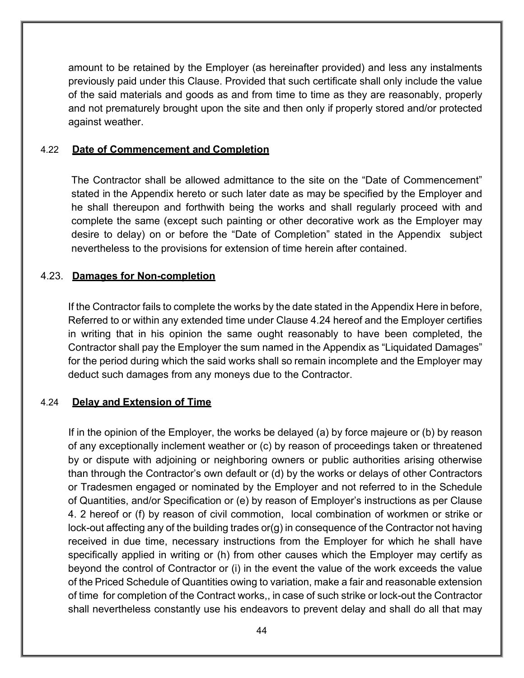amount to be retained by the Employer (as hereinafter provided) and less any instalments previously paid under this Clause. Provided that such certificate shall only include the value of the said materials and goods as and from time to time as they are reasonably, properly and not prematurely brought upon the site and then only if properly stored and/or protected against weather.

#### 4.22 **Date of Commencement and Completion**

The Contractor shall be allowed admittance to the site on the "Date of Commencement" stated in the Appendix hereto or such later date as may be specified by the Employer and he shall thereupon and forthwith being the works and shall regularly proceed with and complete the same (except such painting or other decorative work as the Employer may desire to delay) on or before the "Date of Completion" stated in the Appendix subject nevertheless to the provisions for extension of time herein after contained.

#### 4.23. **Damages for Non-completion**

If the Contractor fails to complete the works by the date stated in the Appendix Here in before, Referred to or within any extended time under Clause 4.24 hereof and the Employer certifies in writing that in his opinion the same ought reasonably to have been completed, the Contractor shall pay the Employer the sum named in the Appendix as "Liquidated Damages" for the period during which the said works shall so remain incomplete and the Employer may deduct such damages from any moneys due to the Contractor.

#### 4.24 **Delay and Extension of Time**

If in the opinion of the Employer, the works be delayed (a) by force majeure or (b) by reason of any exceptionally inclement weather or (c) by reason of proceedings taken or threatened by or dispute with adjoining or neighboring owners or public authorities arising otherwise than through the Contractor's own default or (d) by the works or delays of other Contractors or Tradesmen engaged or nominated by the Employer and not referred to in the Schedule of Quantities, and/or Specification or (e) by reason of Employer's instructions as per Clause 4. 2 hereof or (f) by reason of civil commotion, local combination of workmen or strike or lock-out affecting any of the building trades or(g) in consequence of the Contractor not having received in due time, necessary instructions from the Employer for which he shall have specifically applied in writing or (h) from other causes which the Employer may certify as beyond the control of Contractor or (i) in the event the value of the work exceeds the value of the Priced Schedule of Quantities owing to variation, make a fair and reasonable extension of time for completion of the Contract works,, in case of such strike or lock-out the Contractor shall nevertheless constantly use his endeavors to prevent delay and shall do all that may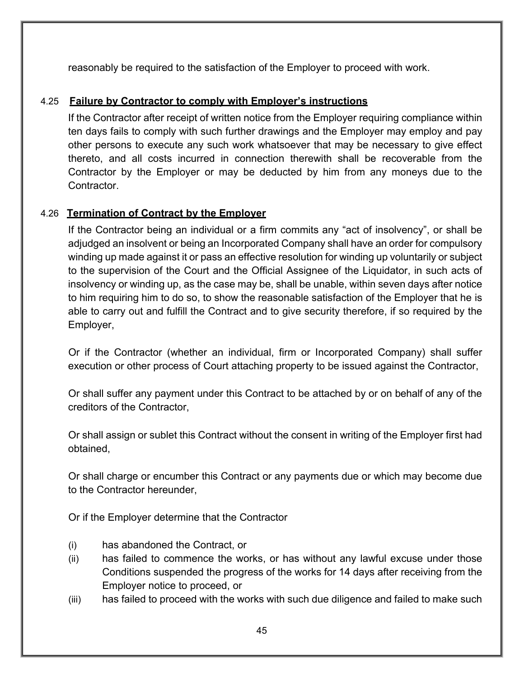reasonably be required to the satisfaction of the Employer to proceed with work.

# 4.25 **Failure by Contractor to comply with Employer's instructions**

If the Contractor after receipt of written notice from the Employer requiring compliance within ten days fails to comply with such further drawings and the Employer may employ and pay other persons to execute any such work whatsoever that may be necessary to give effect thereto, and all costs incurred in connection therewith shall be recoverable from the Contractor by the Employer or may be deducted by him from any moneys due to the Contractor.

# 4.26 **Termination of Contract by the Employer**

If the Contractor being an individual or a firm commits any "act of insolvency", or shall be adjudged an insolvent or being an Incorporated Company shall have an order for compulsory winding up made against it or pass an effective resolution for winding up voluntarily or subject to the supervision of the Court and the Official Assignee of the Liquidator, in such acts of insolvency or winding up, as the case may be, shall be unable, within seven days after notice to him requiring him to do so, to show the reasonable satisfaction of the Employer that he is able to carry out and fulfill the Contract and to give security therefore, if so required by the Employer,

Or if the Contractor (whether an individual, firm or Incorporated Company) shall suffer execution or other process of Court attaching property to be issued against the Contractor,

Or shall suffer any payment under this Contract to be attached by or on behalf of any of the creditors of the Contractor,

Or shall assign or sublet this Contract without the consent in writing of the Employer first had obtained,

Or shall charge or encumber this Contract or any payments due or which may become due to the Contractor hereunder,

Or if the Employer determine that the Contractor

- (i) has abandoned the Contract, or
- (ii) has failed to commence the works, or has without any lawful excuse under those Conditions suspended the progress of the works for 14 days after receiving from the Employer notice to proceed, or
- (iii) has failed to proceed with the works with such due diligence and failed to make such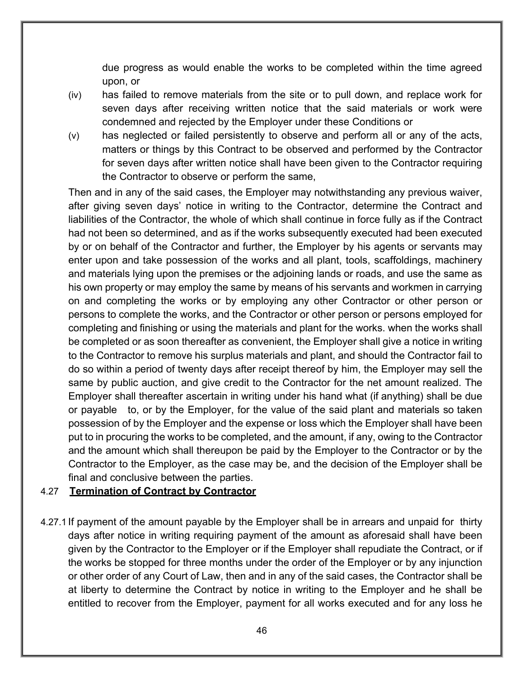due progress as would enable the works to be completed within the time agreed upon, or

- (iv) has failed to remove materials from the site or to pull down, and replace work for seven days after receiving written notice that the said materials or work were condemned and rejected by the Employer under these Conditions or
- (v) has neglected or failed persistently to observe and perform all or any of the acts, matters or things by this Contract to be observed and performed by the Contractor for seven days after written notice shall have been given to the Contractor requiring the Contractor to observe or perform the same,

Then and in any of the said cases, the Employer may notwithstanding any previous waiver, after giving seven days' notice in writing to the Contractor, determine the Contract and liabilities of the Contractor, the whole of which shall continue in force fully as if the Contract had not been so determined, and as if the works subsequently executed had been executed by or on behalf of the Contractor and further, the Employer by his agents or servants may enter upon and take possession of the works and all plant, tools, scaffoldings, machinery and materials lying upon the premises or the adjoining lands or roads, and use the same as his own property or may employ the same by means of his servants and workmen in carrying on and completing the works or by employing any other Contractor or other person or persons to complete the works, and the Contractor or other person or persons employed for completing and finishing or using the materials and plant for the works. when the works shall be completed or as soon thereafter as convenient, the Employer shall give a notice in writing to the Contractor to remove his surplus materials and plant, and should the Contractor fail to do so within a period of twenty days after receipt thereof by him, the Employer may sell the same by public auction, and give credit to the Contractor for the net amount realized. The Employer shall thereafter ascertain in writing under his hand what (if anything) shall be due or payable to, or by the Employer, for the value of the said plant and materials so taken possession of by the Employer and the expense or loss which the Employer shall have been put to in procuring the works to be completed, and the amount, if any, owing to the Contractor and the amount which shall thereupon be paid by the Employer to the Contractor or by the Contractor to the Employer, as the case may be, and the decision of the Employer shall be final and conclusive between the parties.

## 4.27 **Termination of Contract by Contractor**

4.27.1 If payment of the amount payable by the Employer shall be in arrears and unpaid for thirty days after notice in writing requiring payment of the amount as aforesaid shall have been given by the Contractor to the Employer or if the Employer shall repudiate the Contract, or if the works be stopped for three months under the order of the Employer or by any injunction or other order of any Court of Law, then and in any of the said cases, the Contractor shall be at liberty to determine the Contract by notice in writing to the Employer and he shall be entitled to recover from the Employer, payment for all works executed and for any loss he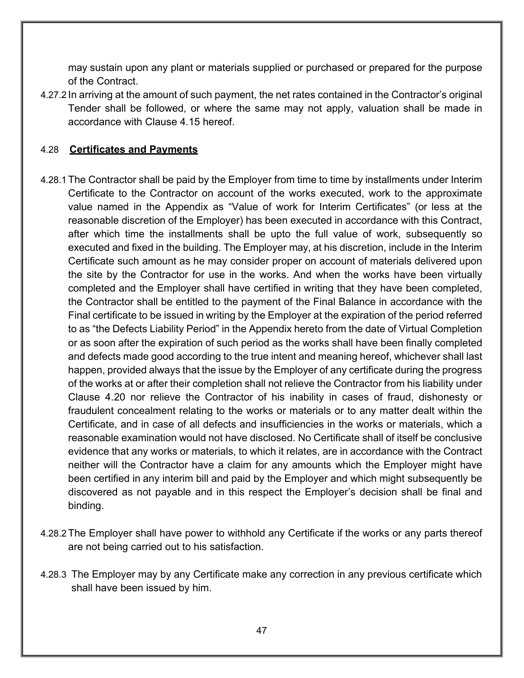may sustain upon any plant or materials supplied or purchased or prepared for the purpose of the Contract.

4.27.2 In arriving at the amount of such payment, the net rates contained in the Contractor's original Tender shall be followed, or where the same may not apply, valuation shall be made in accordance with Clause 4.15 hereof.

## 4.28 **Certificates and Payments**

- 4.28.1 The Contractor shall be paid by the Employer from time to time by installments under Interim Certificate to the Contractor on account of the works executed, work to the approximate value named in the Appendix as "Value of work for Interim Certificates" (or less at the reasonable discretion of the Employer) has been executed in accordance with this Contract, after which time the installments shall be upto the full value of work, subsequently so executed and fixed in the building. The Employer may, at his discretion, include in the Interim Certificate such amount as he may consider proper on account of materials delivered upon the site by the Contractor for use in the works. And when the works have been virtually completed and the Employer shall have certified in writing that they have been completed, the Contractor shall be entitled to the payment of the Final Balance in accordance with the Final certificate to be issued in writing by the Employer at the expiration of the period referred to as "the Defects Liability Period" in the Appendix hereto from the date of Virtual Completion or as soon after the expiration of such period as the works shall have been finally completed and defects made good according to the true intent and meaning hereof, whichever shall last happen, provided always that the issue by the Employer of any certificate during the progress of the works at or after their completion shall not relieve the Contractor from his liability under Clause 4.20 nor relieve the Contractor of his inability in cases of fraud, dishonesty or fraudulent concealment relating to the works or materials or to any matter dealt within the Certificate, and in case of all defects and insufficiencies in the works or materials, which a reasonable examination would not have disclosed. No Certificate shall of itself be conclusive evidence that any works or materials, to which it relates, are in accordance with the Contract neither will the Contractor have a claim for any amounts which the Employer might have been certified in any interim bill and paid by the Employer and which might subsequently be discovered as not payable and in this respect the Employer's decision shall be final and binding.
- 4.28.2 The Employer shall have power to withhold any Certificate if the works or any parts thereof are not being carried out to his satisfaction.
- 4.28.3 The Employer may by any Certificate make any correction in any previous certificate which shall have been issued by him.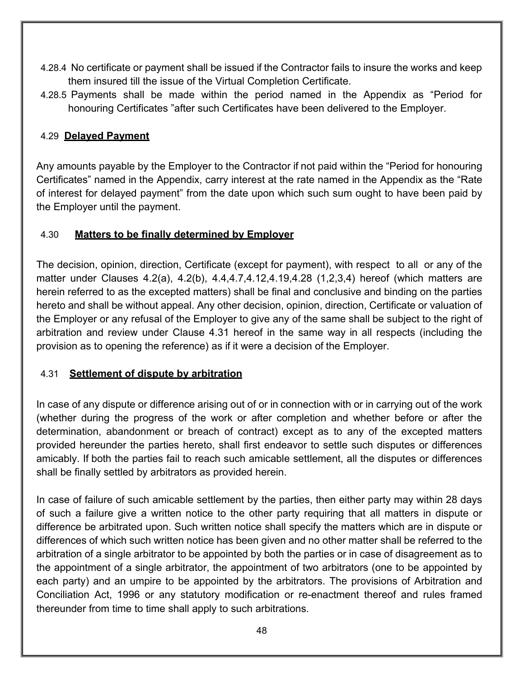- 4.28.4 No certificate or payment shall be issued if the Contractor fails to insure the works and keep them insured till the issue of the Virtual Completion Certificate.
- 4.28.5 Payments shall be made within the period named in the Appendix as "Period for honouring Certificates "after such Certificates have been delivered to the Employer.

# 4.29 **Delayed Payment**

Any amounts payable by the Employer to the Contractor if not paid within the "Period for honouring Certificates" named in the Appendix, carry interest at the rate named in the Appendix as the "Rate of interest for delayed payment" from the date upon which such sum ought to have been paid by the Employer until the payment.

# 4.30 **Matters to be finally determined by Employer**

The decision, opinion, direction, Certificate (except for payment), with respect to all or any of the matter under Clauses 4.2(a), 4.2(b), 4.4,4.7,4.12,4.19,4.28 (1,2,3,4) hereof (which matters are herein referred to as the excepted matters) shall be final and conclusive and binding on the parties hereto and shall be without appeal. Any other decision, opinion, direction, Certificate or valuation of the Employer or any refusal of the Employer to give any of the same shall be subject to the right of arbitration and review under Clause 4.31 hereof in the same way in all respects (including the provision as to opening the reference) as if it were a decision of the Employer.

# 4.31 **Settlement of dispute by arbitration**

In case of any dispute or difference arising out of or in connection with or in carrying out of the work (whether during the progress of the work or after completion and whether before or after the determination, abandonment or breach of contract) except as to any of the excepted matters provided hereunder the parties hereto, shall first endeavor to settle such disputes or differences amicably. If both the parties fail to reach such amicable settlement, all the disputes or differences shall be finally settled by arbitrators as provided herein.

In case of failure of such amicable settlement by the parties, then either party may within 28 days of such a failure give a written notice to the other party requiring that all matters in dispute or difference be arbitrated upon. Such written notice shall specify the matters which are in dispute or differences of which such written notice has been given and no other matter shall be referred to the arbitration of a single arbitrator to be appointed by both the parties or in case of disagreement as to the appointment of a single arbitrator, the appointment of two arbitrators (one to be appointed by each party) and an umpire to be appointed by the arbitrators. The provisions of Arbitration and Conciliation Act, 1996 or any statutory modification or re-enactment thereof and rules framed thereunder from time to time shall apply to such arbitrations.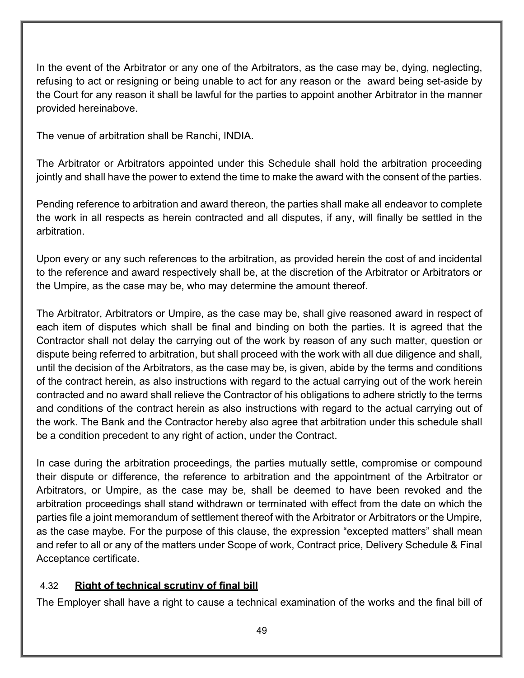In the event of the Arbitrator or any one of the Arbitrators, as the case may be, dying, neglecting, refusing to act or resigning or being unable to act for any reason or the award being set-aside by the Court for any reason it shall be lawful for the parties to appoint another Arbitrator in the manner provided hereinabove.

The venue of arbitration shall be Ranchi, INDIA.

The Arbitrator or Arbitrators appointed under this Schedule shall hold the arbitration proceeding jointly and shall have the power to extend the time to make the award with the consent of the parties.

Pending reference to arbitration and award thereon, the parties shall make all endeavor to complete the work in all respects as herein contracted and all disputes, if any, will finally be settled in the arbitration.

Upon every or any such references to the arbitration, as provided herein the cost of and incidental to the reference and award respectively shall be, at the discretion of the Arbitrator or Arbitrators or the Umpire, as the case may be, who may determine the amount thereof.

The Arbitrator, Arbitrators or Umpire, as the case may be, shall give reasoned award in respect of each item of disputes which shall be final and binding on both the parties. It is agreed that the Contractor shall not delay the carrying out of the work by reason of any such matter, question or dispute being referred to arbitration, but shall proceed with the work with all due diligence and shall, until the decision of the Arbitrators, as the case may be, is given, abide by the terms and conditions of the contract herein, as also instructions with regard to the actual carrying out of the work herein contracted and no award shall relieve the Contractor of his obligations to adhere strictly to the terms and conditions of the contract herein as also instructions with regard to the actual carrying out of the work. The Bank and the Contractor hereby also agree that arbitration under this schedule shall be a condition precedent to any right of action, under the Contract.

In case during the arbitration proceedings, the parties mutually settle, compromise or compound their dispute or difference, the reference to arbitration and the appointment of the Arbitrator or Arbitrators, or Umpire, as the case may be, shall be deemed to have been revoked and the arbitration proceedings shall stand withdrawn or terminated with effect from the date on which the parties file a joint memorandum of settlement thereof with the Arbitrator or Arbitrators or the Umpire, as the case maybe. For the purpose of this clause, the expression "excepted matters" shall mean and refer to all or any of the matters under Scope of work, Contract price, Delivery Schedule & Final Acceptance certificate.

# 4.32 **Right of technical scrutiny of final bill**

The Employer shall have a right to cause a technical examination of the works and the final bill of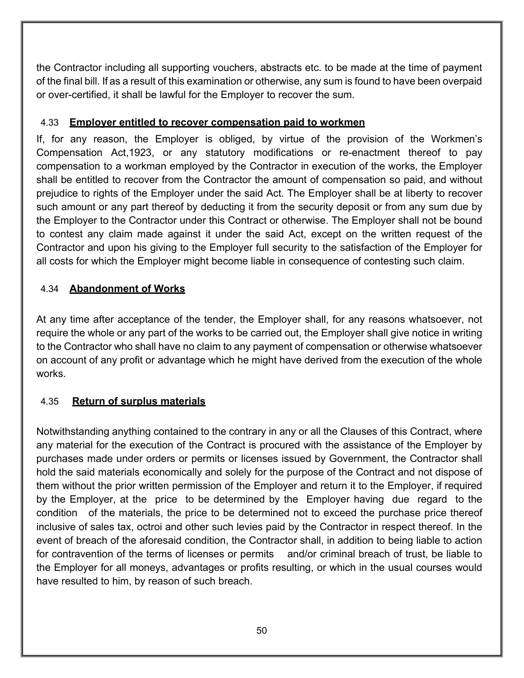the Contractor including all supporting vouchers, abstracts etc. to be made at the time of payment of the final bill. If as a result of this examination or otherwise, any sum is found to have been overpaid or over-certified, it shall be lawful for the Employer to recover the sum.

#### 4.33 **Employer entitled to recover compensation paid to workmen**

If, for any reason, the Employer is obliged, by virtue of the provision of the Workmen's Compensation Act,1923, or any statutory modifications or re-enactment thereof to pay compensation to a workman employed by the Contractor in execution of the works, the Employer shall be entitled to recover from the Contractor the amount of compensation so paid, and without prejudice to rights of the Employer under the said Act. The Employer shall be at liberty to recover such amount or any part thereof by deducting it from the security deposit or from any sum due by the Employer to the Contractor under this Contract or otherwise. The Employer shall not be bound to contest any claim made against it under the said Act, except on the written request of the Contractor and upon his giving to the Employer full security to the satisfaction of the Employer for all costs for which the Employer might become liable in consequence of contesting such claim.

# 4.34 **Abandonment of Works**

At any time after acceptance of the tender, the Employer shall, for any reasons whatsoever, not require the whole or any part of the works to be carried out, the Employer shall give notice in writing to the Contractor who shall have no claim to any payment of compensation or otherwise whatsoever on account of any profit or advantage which he might have derived from the execution of the whole works.

## 4.35 **Return of surplus materials**

Notwithstanding anything contained to the contrary in any or all the Clauses of this Contract, where any material for the execution of the Contract is procured with the assistance of the Employer by purchases made under orders or permits or licenses issued by Government, the Contractor shall hold the said materials economically and solely for the purpose of the Contract and not dispose of them without the prior written permission of the Employer and return it to the Employer, if required by the Employer, at the price to be determined by the Employer having due regard to the condition of the materials, the price to be determined not to exceed the purchase price thereof inclusive of sales tax, octroi and other such levies paid by the Contractor in respect thereof. In the event of breach of the aforesaid condition, the Contractor shall, in addition to being liable to action for contravention of the terms of licenses or permits and/or criminal breach of trust, be liable to the Employer for all moneys, advantages or profits resulting, or which in the usual courses would have resulted to him, by reason of such breach.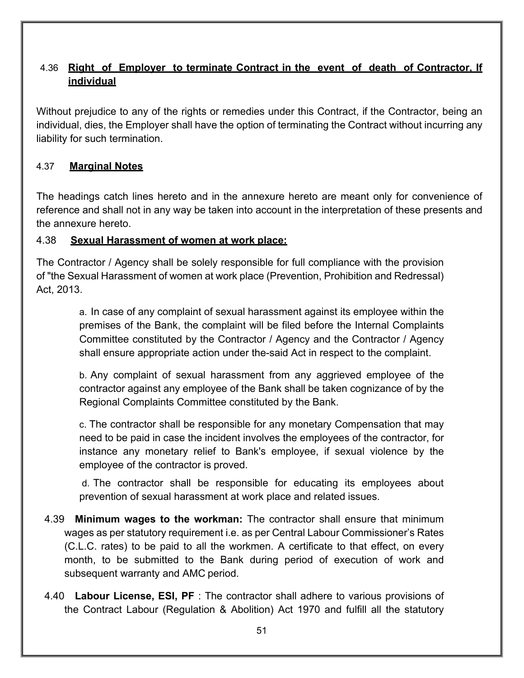# 4.36 **Right of Employer to terminate Contract in the event of death of Contractor, If individual**

Without prejudice to any of the rights or remedies under this Contract, if the Contractor, being an individual, dies, the Employer shall have the option of terminating the Contract without incurring any liability for such termination.

# 4.37 **Marginal Notes**

The headings catch lines hereto and in the annexure hereto are meant only for convenience of reference and shall not in any way be taken into account in the interpretation of these presents and the annexure hereto.

## 4.38 **Sexual Harassment of women at work place:**

The Contractor / Agency shall be solely responsible for full compliance with the provision of "the Sexual Harassment of women at work place (Prevention, Prohibition and Redressal) Act, 2013.

> a. In case of any complaint of sexual harassment against its employee within the premises of the Bank, the complaint will be filed before the Internal Complaints Committee constituted by the Contractor / Agency and the Contractor / Agency shall ensure appropriate action under the-said Act in respect to the complaint.

> b. Any complaint of sexual harassment from any aggrieved employee of the contractor against any employee of the Bank shall be taken cognizance of by the Regional Complaints Committee constituted by the Bank.

> c. The contractor shall be responsible for any monetary Compensation that may need to be paid in case the incident involves the employees of the contractor, for instance any monetary relief to Bank's employee, if sexual violence by the employee of the contractor is proved.

> d. The contractor shall be responsible for educating its employees about prevention of sexual harassment at work place and related issues.

- 4.39 **Minimum wages to the workman:** The contractor shall ensure that minimum wages as per statutory requirement i.e. as per Central Labour Commissioner's Rates (C.L.C. rates) to be paid to all the workmen. A certificate to that effect, on every month, to be submitted to the Bank during period of execution of work and subsequent warranty and AMC period.
- 4.40 **Labour License, ESI, PF** : The contractor shall adhere to various provisions of the Contract Labour (Regulation & Abolition) Act 1970 and fulfill all the statutory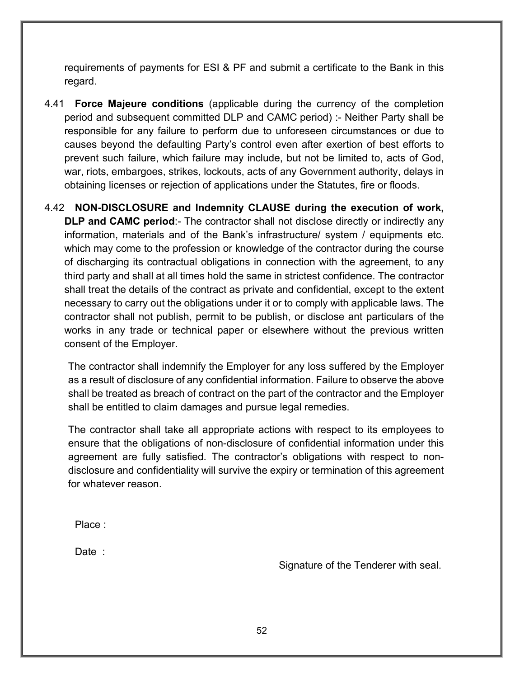requirements of payments for ESI & PF and submit a certificate to the Bank in this regard.

4.41 **Force Majeure conditions** (applicable during the currency of the completion period and subsequent committed DLP and CAMC period) :- Neither Party shall be responsible for any failure to perform due to unforeseen circumstances or due to causes beyond the defaulting Party's control even after exertion of best efforts to prevent such failure, which failure may include, but not be limited to, acts of God, war, riots, embargoes, strikes, lockouts, acts of any Government authority, delays in obtaining licenses or rejection of applications under the Statutes, fire or floods.

4.42 **NON-DISCLOSURE and Indemnity CLAUSE during the execution of work, DLP and CAMC period:-** The contractor shall not disclose directly or indirectly any information, materials and of the Bank's infrastructure/ system / equipments etc. which may come to the profession or knowledge of the contractor during the course of discharging its contractual obligations in connection with the agreement, to any third party and shall at all times hold the same in strictest confidence. The contractor shall treat the details of the contract as private and confidential, except to the extent necessary to carry out the obligations under it or to comply with applicable laws. The contractor shall not publish, permit to be publish, or disclose ant particulars of the works in any trade or technical paper or elsewhere without the previous written consent of the Employer.

The contractor shall indemnify the Employer for any loss suffered by the Employer as a result of disclosure of any confidential information. Failure to observe the above shall be treated as breach of contract on the part of the contractor and the Employer shall be entitled to claim damages and pursue legal remedies.

The contractor shall take all appropriate actions with respect to its employees to ensure that the obligations of non-disclosure of confidential information under this agreement are fully satisfied. The contractor's obligations with respect to nondisclosure and confidentiality will survive the expiry or termination of this agreement for whatever reason.

Place :

Date :

Signature of the Tenderer with seal.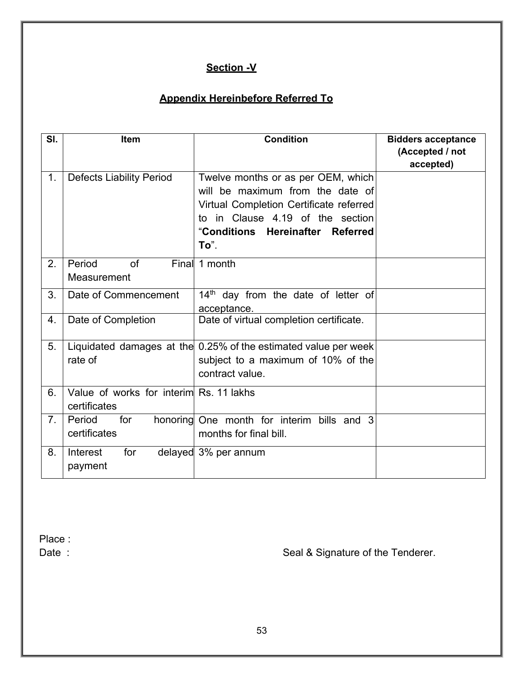# **Section -V**

# **Appendix Hereinbefore Referred To**

| SI. | Item                                                    | <b>Condition</b>                                                                                                                                                                                  | <b>Bidders acceptance</b><br>(Accepted / not |
|-----|---------------------------------------------------------|---------------------------------------------------------------------------------------------------------------------------------------------------------------------------------------------------|----------------------------------------------|
| 1.  | <b>Defects Liability Period</b>                         | Twelve months or as per OEM, which<br>will be maximum from the date of<br>Virtual Completion Certificate referred<br>to in Clause 4.19 of the section<br>"Conditions Hereinafter Referred<br>To". | accepted)                                    |
| 2.  | of<br>Period<br>Measurement                             | Final 1 month                                                                                                                                                                                     |                                              |
| 3.  | Date of Commencement                                    | $14th$ day from the date of letter of<br>acceptance.                                                                                                                                              |                                              |
| 4.  | Date of Completion                                      | Date of virtual completion certificate.                                                                                                                                                           |                                              |
| 5.  | rate of                                                 | Liquidated damages at the 0.25% of the estimated value per week<br>subject to a maximum of 10% of the<br>contract value.                                                                          |                                              |
| 6.  | Value of works for interim Rs. 11 lakhs<br>certificates |                                                                                                                                                                                                   |                                              |
| 7.  | for<br>Period<br>certificates                           | honoring One month for interim<br>bills and<br>3<br>months for final bill.                                                                                                                        |                                              |
| 8.  | for<br>Interest<br>payment                              | delayed 3% per annum                                                                                                                                                                              |                                              |

Place :<br>Date :

Seal & Signature of the Tenderer.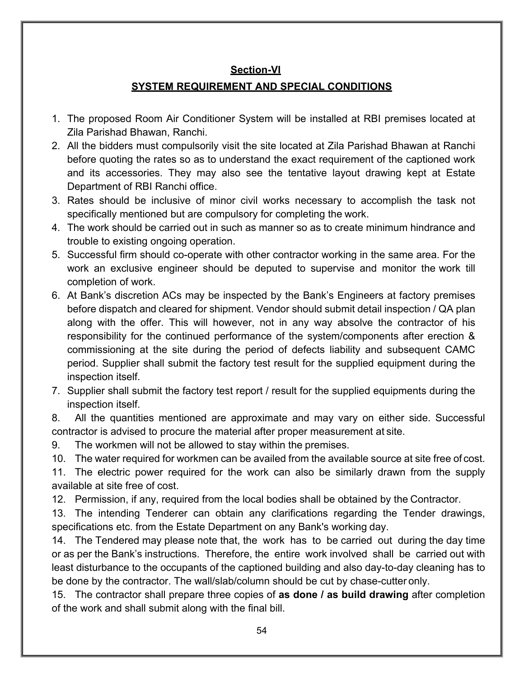# **Section-VI**

# **SYSTEM REQUIREMENT AND SPECIAL CONDITIONS**

- 1. The proposed Room Air Conditioner System will be installed at RBI premises located at Zila Parishad Bhawan, Ranchi.
- 2. All the bidders must compulsorily visit the site located at Zila Parishad Bhawan at Ranchi before quoting the rates so as to understand the exact requirement of the captioned work and its accessories. They may also see the tentative layout drawing kept at Estate Department of RBI Ranchi office.
- 3. Rates should be inclusive of minor civil works necessary to accomplish the task not specifically mentioned but are compulsory for completing the work.
- 4. The work should be carried out in such as manner so as to create minimum hindrance and trouble to existing ongoing operation.
- 5. Successful firm should co-operate with other contractor working in the same area. For the work an exclusive engineer should be deputed to supervise and monitor the work till completion of work.
- 6. At Bank's discretion ACs may be inspected by the Bank's Engineers at factory premises before dispatch and cleared for shipment. Vendor should submit detail inspection / QA plan along with the offer. This will however, not in any way absolve the contractor of his responsibility for the continued performance of the system/components after erection & commissioning at the site during the period of defects liability and subsequent CAMC period. Supplier shall submit the factory test result for the supplied equipment during the inspection itself.
- 7. Supplier shall submit the factory test report / result for the supplied equipments during the inspection itself.

8. All the quantities mentioned are approximate and may vary on either side. Successful contractor is advised to procure the material after proper measurement at site.

9. The workmen will not be allowed to stay within the premises.

10. The water required for workmen can be availed from the available source at site free of cost.

11. The electric power required for the work can also be similarly drawn from the supply available at site free of cost.

12. Permission, if any, required from the local bodies shall be obtained by the Contractor.

13. The intending Tenderer can obtain any clarifications regarding the Tender drawings, specifications etc. from the Estate Department on any Bank's working day.

14. The Tendered may please note that, the work has to be carried out during the day time or as per the Bank's instructions. Therefore, the entire work involved shall be carried out with least disturbance to the occupants of the captioned building and also day-to-day cleaning has to be done by the contractor. The wall/slab/column should be cut by chase-cutter only.

15. The contractor shall prepare three copies of **as done / as build drawing** after completion of the work and shall submit along with the final bill.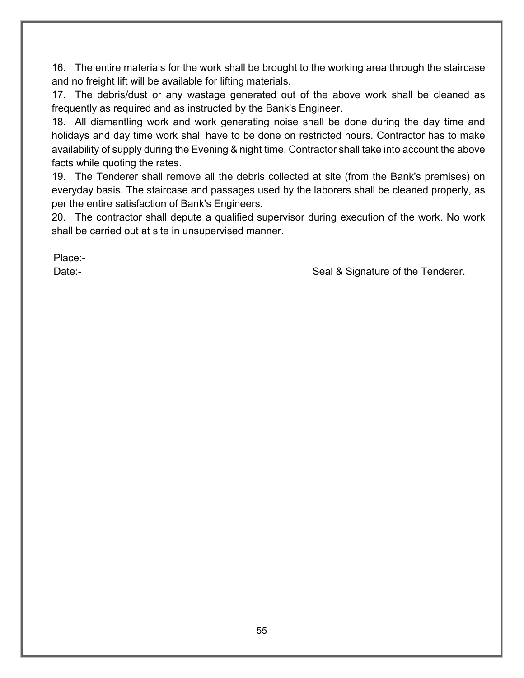16. The entire materials for the work shall be brought to the working area through the staircase and no freight lift will be available for lifting materials.

17. The debris/dust or any wastage generated out of the above work shall be cleaned as frequently as required and as instructed by the Bank's Engineer.

18. All dismantling work and work generating noise shall be done during the day time and holidays and day time work shall have to be done on restricted hours. Contractor has to make availability of supply during the Evening & night time. Contractor shall take into account the above facts while quoting the rates.

19. The Tenderer shall remove all the debris collected at site (from the Bank's premises) on everyday basis. The staircase and passages used by the laborers shall be cleaned properly, as per the entire satisfaction of Bank's Engineers.

20. The contractor shall depute a qualified supervisor during execution of the work. No work shall be carried out at site in unsupervised manner.

Place:-

Date:- Date:- Seal & Signature of the Tenderer.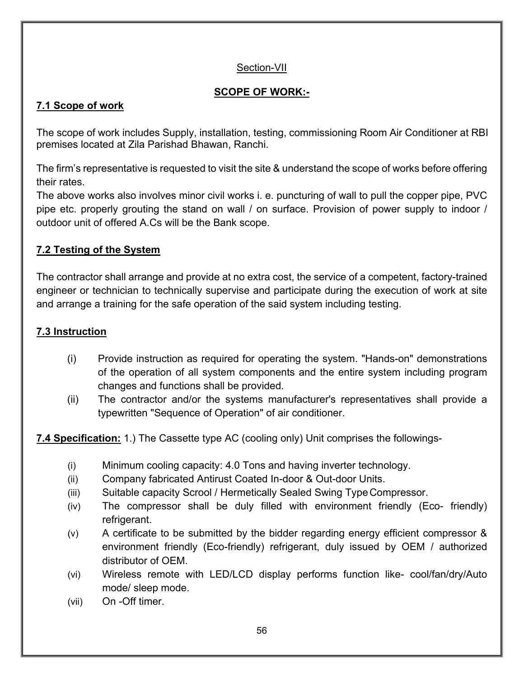# Section-VII

# **SCOPE OF WORK:-**

# **7.1 Scope of work**

The scope of work includes Supply, installation, testing, commissioning Room Air Conditioner at RBI premises located at Zila Parishad Bhawan, Ranchi.

The firm's representative is requested to visit the site & understand the scope of works before offering their rates.

The above works also involves minor civil works i. e. puncturing of wall to pull the copper pipe, PVC pipe etc. properly grouting the stand on wall / on surface. Provision of power supply to indoor / outdoor unit of offered A.Cs will be the Bank scope.

# **7.2 Testing of the System**

The contractor shall arrange and provide at no extra cost, the service of a competent, factory-trained engineer or technician to technically supervise and participate during the execution of work at site and arrange a training for the safe operation of the said system including testing.

# **7.3 Instruction**

- (i) Provide instruction as required for operating the system. "Hands-on" demonstrations of the operation of all system components and the entire system including program changes and functions shall be provided.
- (ii) The contractor and/or the systems manufacturer's representatives shall provide a typewritten "Sequence of Operation" of air conditioner.

**7.4 Specification:** 1.) The Cassette type AC (cooling only) Unit comprises the followings-

- (i) Minimum cooling capacity: 4.0 Tons and having inverter technology.
- (ii) Company fabricated Antirust Coated In-door & Out-door Units.
- (iii) Suitable capacity Scrool / Hermetically Sealed Swing TypeCompressor.
- (iv) The compressor shall be duly filled with environment friendly (Eco- friendly) refrigerant.
- (v) A certificate to be submitted by the bidder regarding energy efficient compressor & environment friendly (Eco-friendly) refrigerant, duly issued by OEM / authorized distributor of OEM.
- (vi) Wireless remote with LED/LCD display performs function like- cool/fan/dry/Auto mode/ sleep mode.
- (vii) On -Off timer.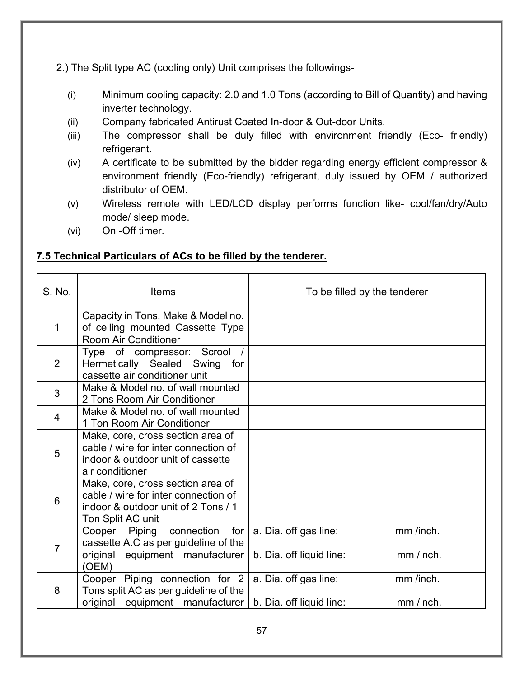2.) The Split type AC (cooling only) Unit comprises the followings-

- (i) Minimum cooling capacity: 2.0 and 1.0 Tons (according to Bill of Quantity) and having inverter technology.
- (ii) Company fabricated Antirust Coated In-door & Out-door Units.
- (iii) The compressor shall be duly filled with environment friendly (Eco- friendly) refrigerant.
- (iv) A certificate to be submitted by the bidder regarding energy efficient compressor & environment friendly (Eco-friendly) refrigerant, duly issued by OEM / authorized distributor of OEM.
- (v) Wireless remote with LED/LCD display performs function like- cool/fan/dry/Auto mode/ sleep mode.
- (vi) On -Off timer.

# **7.5 Technical Particulars of ACs to be filled by the tenderer.**

| S. No.         | <b>Items</b>                                                                                                                          | To be filled by the tenderer                                                |  |
|----------------|---------------------------------------------------------------------------------------------------------------------------------------|-----------------------------------------------------------------------------|--|
| 1              | Capacity in Tons, Make & Model no.<br>of ceiling mounted Cassette Type<br><b>Room Air Conditioner</b>                                 |                                                                             |  |
| 2              | Type of compressor: Scrool /<br>Hermetically Sealed Swing for<br>cassette air conditioner unit                                        |                                                                             |  |
| 3              | Make & Model no. of wall mounted<br>2 Tons Room Air Conditioner                                                                       |                                                                             |  |
| 4              | Make & Model no. of wall mounted<br>1 Ton Room Air Conditioner                                                                        |                                                                             |  |
| 5              | Make, core, cross section area of<br>cable / wire for inter connection of<br>indoor & outdoor unit of cassette<br>air conditioner     |                                                                             |  |
| 6              | Make, core, cross section area of<br>cable / wire for inter connection of<br>indoor & outdoor unit of 2 Tons / 1<br>Ton Split AC unit |                                                                             |  |
| $\overline{7}$ | Cooper Piping connection<br>for<br>cassette A.C as per guideline of the<br>original equipment manufacturer<br>(OEM)                   | mm /inch.<br>a. Dia. off gas line:<br>mm /inch.<br>b. Dia. off liquid line: |  |
| 8              | Cooper Piping connection for 2<br>Tons split AC as per guideline of the<br>original<br>equipment manufacturer                         | mm /inch.<br>a. Dia. off gas line:<br>b. Dia. off liquid line:<br>mm /inch. |  |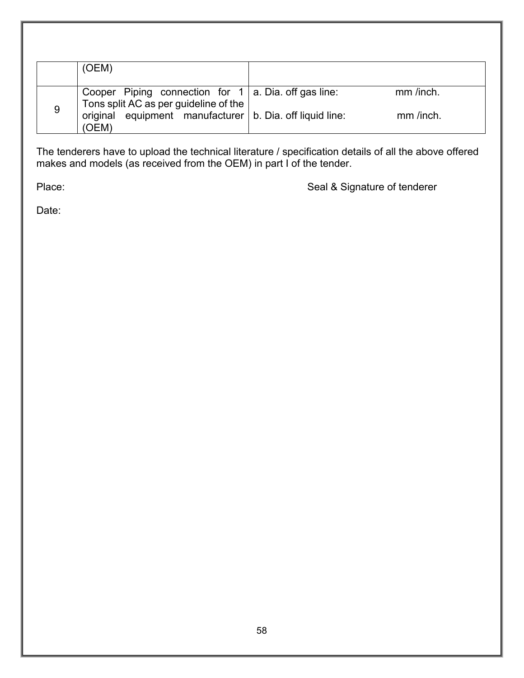|   | (OEM)                                                                                                 |           |
|---|-------------------------------------------------------------------------------------------------------|-----------|
|   | Cooper Piping connection for $1 \mid a$ . Dia. off gas line:<br>Tons split AC as per guideline of the | mm /inch. |
| 9 | original equipment manufacturer $\vert$ b. Dia. off liquid line:<br>(OEM)                             | mm /inch. |

The tenderers have to upload the technical literature / specification details of all the above offered makes and models (as received from the OEM) in part I of the tender.

Place: Place: Seal & Signature of tenderer

Date: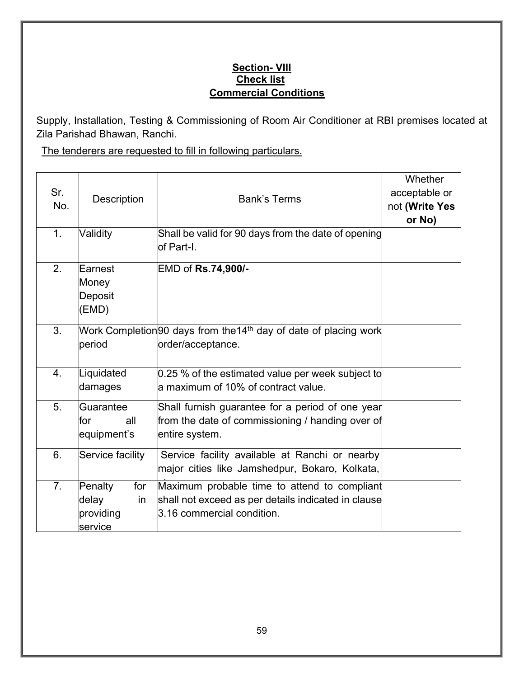# **Section- VIII Check list Commercial Conditions**

Supply, Installation, Testing & Commissioning of Room Air Conditioner at RBI premises located at Zila Parishad Bhawan, Ranchi.

The tenderers are requested to fill in following particulars.

| Sr.<br>No.     | Description                                                                                         | <b>Bank's Terms</b>                                                                                                               | Whether<br>acceptable or<br>not (Write Yes<br>or No) |
|----------------|-----------------------------------------------------------------------------------------------------|-----------------------------------------------------------------------------------------------------------------------------------|------------------------------------------------------|
| 1.             | Validity                                                                                            | Shall be valid for 90 days from the date of opening<br>of Part-I.                                                                 |                                                      |
| 2.             | Earnest<br>Money<br>Deposit<br>(EMD)                                                                | EMD of Rs.74,900/-                                                                                                                |                                                      |
| 3.             | Work Completion <sup>[90]</sup> days from the14 <sup>th</sup> day of date of placing work<br>period |                                                                                                                                   |                                                      |
| 4.             | Liquidated<br>damages                                                                               | 0.25 % of the estimated value per week subject to<br>la maximum of 10% of contract value.                                         |                                                      |
| 5.             | Guarantee<br>for<br>all<br>equipment's                                                              | Shall furnish guarantee for a period of one year<br>from the date of commissioning / handing over of<br>entire system.            |                                                      |
| 6.             | Service facility                                                                                    | Service facility available at Ranchi or nearby<br>major cities like Jamshedpur, Bokaro, Kolkata,                                  |                                                      |
| 7 <sub>1</sub> | Penalty<br>for<br>delay<br>in.<br>providing<br>service                                              | Maximum probable time to attend to compliant<br>shall not exceed as per details indicated in clause<br>3.16 commercial condition. |                                                      |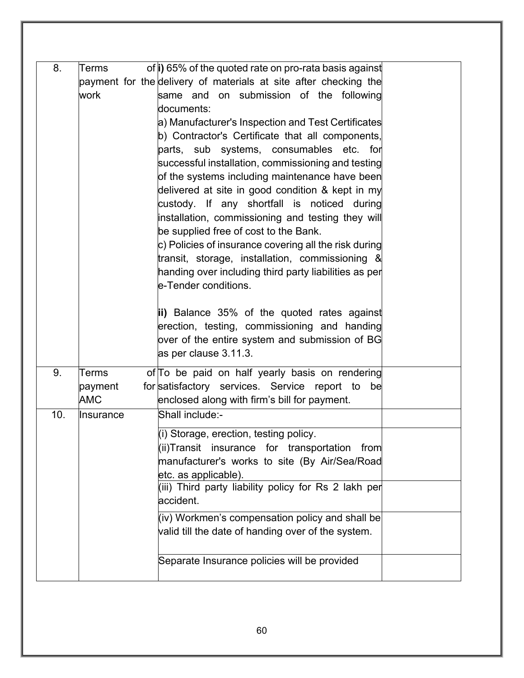| of i) 65% of the quoted rate on pro-rata basis against<br>same and on submission of the following<br>documents:<br>a) Manufacturer's Inspection and Test Certificates<br>b) Contractor's Certificate that all components,<br>parts, sub systems, consumables etc. for<br>successful installation, commissioning and testing<br>of the systems including maintenance have been<br>delivered at site in good condition & kept in my<br>custody. If any shortfall is noticed during<br>installation, commissioning and testing they will<br>be supplied free of cost to the Bank.<br>c) Policies of insurance covering all the risk during<br>transit, storage, installation, commissioning $\&$<br>handing over including third party liabilities as per<br>e-Tender conditions.<br>ii) Balance 35% of the quoted rates against<br>erection, testing, commissioning and handing<br>over of the entire system and submission of BG<br>as per clause 3.11.3. |                                                                  |
|----------------------------------------------------------------------------------------------------------------------------------------------------------------------------------------------------------------------------------------------------------------------------------------------------------------------------------------------------------------------------------------------------------------------------------------------------------------------------------------------------------------------------------------------------------------------------------------------------------------------------------------------------------------------------------------------------------------------------------------------------------------------------------------------------------------------------------------------------------------------------------------------------------------------------------------------------------|------------------------------------------------------------------|
| of To be paid on half yearly basis on rendering<br>for satisfactory services. Service report to be<br>enclosed along with firm's bill for payment.<br>Shall include:-                                                                                                                                                                                                                                                                                                                                                                                                                                                                                                                                                                                                                                                                                                                                                                                    |                                                                  |
| (i) Storage, erection, testing policy.<br>$(i)$ Transit insurance for transportation from<br>manufacturer's works to site (By Air/Sea/Road<br>etc. as applicable).<br>(iii) Third party liability policy for Rs 2 lakh per<br>accident.<br>(iv) Workmen's compensation policy and shall be<br>valid till the date of handing over of the system.<br>Separate Insurance policies will be provided                                                                                                                                                                                                                                                                                                                                                                                                                                                                                                                                                         |                                                                  |
|                                                                                                                                                                                                                                                                                                                                                                                                                                                                                                                                                                                                                                                                                                                                                                                                                                                                                                                                                          | payment for the delivery of materials at site after checking the |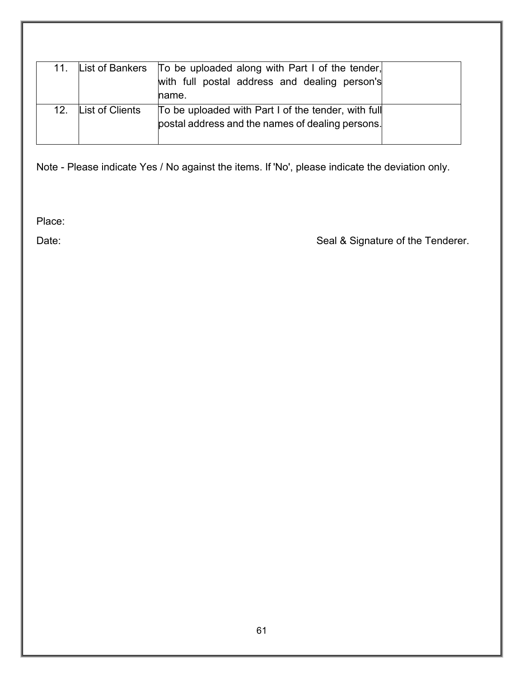| 11. |                 | List of Bankers   To be uploaded along with Part I of the tender,<br>with full postal address and dealing person's<br>lname. |  |
|-----|-----------------|------------------------------------------------------------------------------------------------------------------------------|--|
| 12. | List of Clients | To be uploaded with Part I of the tender, with full<br>postal address and the names of dealing persons.                      |  |

Note - Please indicate Yes / No against the items. If 'No', please indicate the deviation only.

Place:

Date: Date: Seal & Signature of the Tenderer.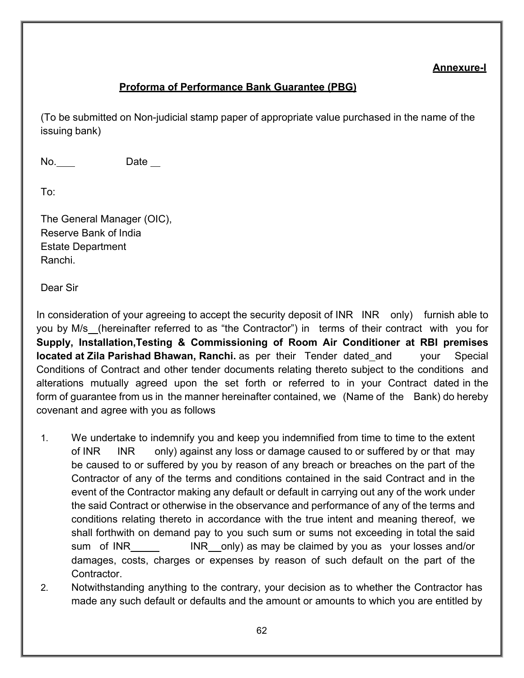# **Annexure-I**

# **Proforma of Performance Bank Guarantee (PBG)**

(To be submitted on Non-judicial stamp paper of appropriate value purchased in the name of the issuing bank)

No. Date \_\_

To:

The General Manager (OIC), Reserve Bank of India Estate Department Ranchi.

Dear Sir

In consideration of your agreeing to accept the security deposit of INR INR only) furnish able to you by M/s (hereinafter referred to as "the Contractor") in terms of their contract with you for **Supply, Installation,Testing & Commissioning of Room Air Conditioner at RBI premises located at Zila Parishad Bhawan, Ranchi.** as per their Tender dated and your Special Conditions of Contract and other tender documents relating thereto subject to the conditions and alterations mutually agreed upon the set forth or referred to in your Contract dated in the form of guarantee from us in the manner hereinafter contained, we (Name of the Bank) do hereby covenant and agree with you as follows

- 1. We undertake to indemnify you and keep you indemnified from time to time to the extent of INR INR only) against any loss or damage caused to or suffered by or that may be caused to or suffered by you by reason of any breach or breaches on the part of the Contractor of any of the terms and conditions contained in the said Contract and in the event of the Contractor making any default or default in carrying out any of the work under the said Contract or otherwise in the observance and performance of any of the terms and conditions relating thereto in accordance with the true intent and meaning thereof, we shall forthwith on demand pay to you such sum or sums not exceeding in total the said sum of INR INR only) as may be claimed by you as your losses and/or damages, costs, charges or expenses by reason of such default on the part of the Contractor.
- 2. Notwithstanding anything to the contrary, your decision as to whether the Contractor has made any such default or defaults and the amount or amounts to which you are entitled by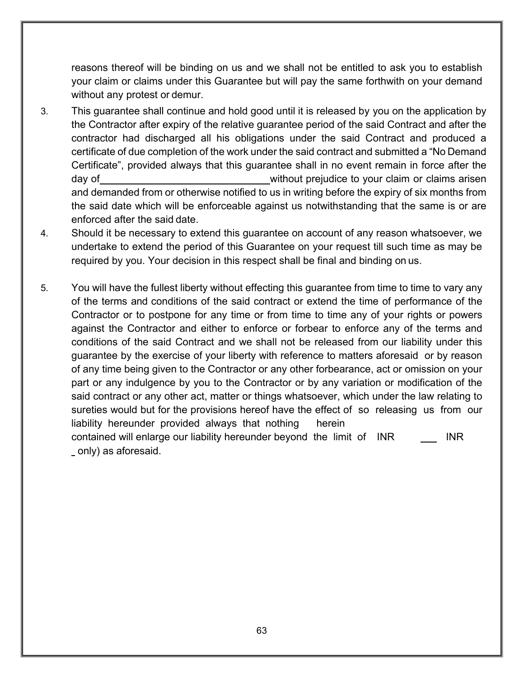reasons thereof will be binding on us and we shall not be entitled to ask you to establish your claim or claims under this Guarantee but will pay the same forthwith on your demand without any protest or demur.

- 3. This guarantee shall continue and hold good until it is released by you on the application by the Contractor after expiry of the relative guarantee period of the said Contract and after the contractor had discharged all his obligations under the said Contract and produced a certificate of due completion of the work under the said contract and submitted a "No Demand Certificate", provided always that this guarantee shall in no event remain in force after the day of **without prejudice to your claim or claims** arisen and demanded from or otherwise notified to us in writing before the expiry of six months from the said date which will be enforceable against us notwithstanding that the same is or are enforced after the said date.
- 4. Should it be necessary to extend this guarantee on account of any reason whatsoever, we undertake to extend the period of this Guarantee on your request till such time as may be required by you. Your decision in this respect shall be final and binding on us.
- 5. You will have the fullest liberty without effecting this guarantee from time to time to vary any of the terms and conditions of the said contract or extend the time of performance of the Contractor or to postpone for any time or from time to time any of your rights or powers against the Contractor and either to enforce or forbear to enforce any of the terms and conditions of the said Contract and we shall not be released from our liability under this guarantee by the exercise of your liberty with reference to matters aforesaid or by reason of any time being given to the Contractor or any other forbearance, act or omission on your part or any indulgence by you to the Contractor or by any variation or modification of the said contract or any other act, matter or things whatsoever, which under the law relating to sureties would but for the provisions hereof have the effect of so releasing us from our liability hereunder provided always that nothing herein contained will enlarge our liability hereunder beyond the limit of INR INR

only) as aforesaid.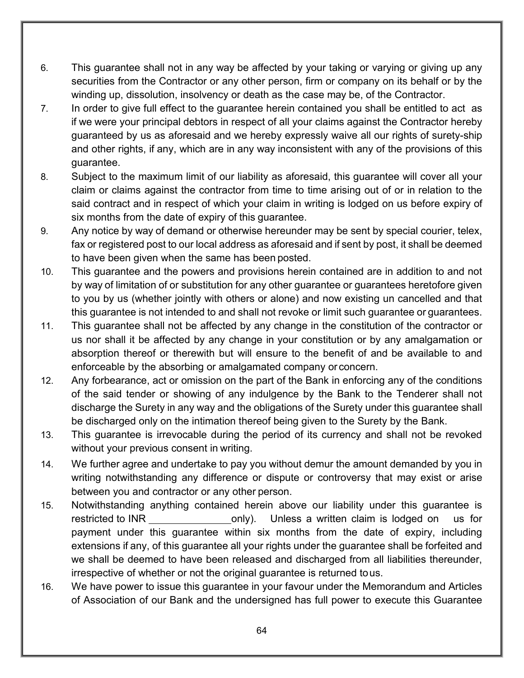- 6. This guarantee shall not in any way be affected by your taking or varying or giving up any securities from the Contractor or any other person, firm or company on its behalf or by the winding up, dissolution, insolvency or death as the case may be, of the Contractor.
- 7. In order to give full effect to the guarantee herein contained you shall be entitled to act as if we were your principal debtors in respect of all your claims against the Contractor hereby guaranteed by us as aforesaid and we hereby expressly waive all our rights of surety-ship and other rights, if any, which are in any way inconsistent with any of the provisions of this guarantee.
- 8. Subject to the maximum limit of our liability as aforesaid, this guarantee will cover all your claim or claims against the contractor from time to time arising out of or in relation to the said contract and in respect of which your claim in writing is lodged on us before expiry of six months from the date of expiry of this guarantee.
- 9. Any notice by way of demand or otherwise hereunder may be sent by special courier, telex, fax or registered post to our local address as aforesaid and if sent by post, it shall be deemed to have been given when the same has been posted.
- 10. This guarantee and the powers and provisions herein contained are in addition to and not by way of limitation of or substitution for any other guarantee or guarantees heretofore given to you by us (whether jointly with others or alone) and now existing un cancelled and that this guarantee is not intended to and shall not revoke or limit such guarantee or guarantees.
- 11. This guarantee shall not be affected by any change in the constitution of the contractor or us nor shall it be affected by any change in your constitution or by any amalgamation or absorption thereof or therewith but will ensure to the benefit of and be available to and enforceable by the absorbing or amalgamated company or concern.
- 12. Any forbearance, act or omission on the part of the Bank in enforcing any of the conditions of the said tender or showing of any indulgence by the Bank to the Tenderer shall not discharge the Surety in any way and the obligations of the Surety under this guarantee shall be discharged only on the intimation thereof being given to the Surety by the Bank.
- 13. This guarantee is irrevocable during the period of its currency and shall not be revoked without your previous consent in writing.
- 14. We further agree and undertake to pay you without demur the amount demanded by you in writing notwithstanding any difference or dispute or controversy that may exist or arise between you and contractor or any other person.
- 15. Notwithstanding anything contained herein above our liability under this guarantee is restricted to INR only). Unless a written claim is lodged on us for payment under this guarantee within six months from the date of expiry, including extensions if any, of this guarantee all your rights under the guarantee shall be forfeited and we shall be deemed to have been released and discharged from all liabilities thereunder, irrespective of whether or not the original guarantee is returned tous.
- 16. We have power to issue this guarantee in your favour under the Memorandum and Articles of Association of our Bank and the undersigned has full power to execute this Guarantee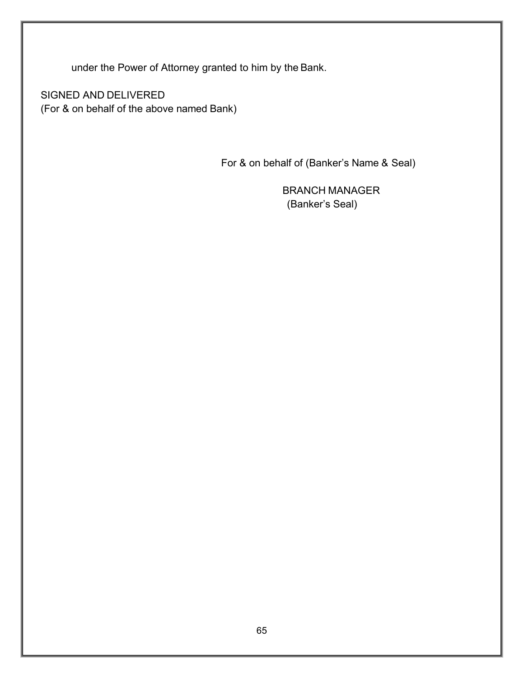under the Power of Attorney granted to him by the Bank.

SIGNED AND DELIVERED (For & on behalf of the above named Bank)

For & on behalf of (Banker's Name & Seal)

 BRANCH MANAGER (Banker's Seal)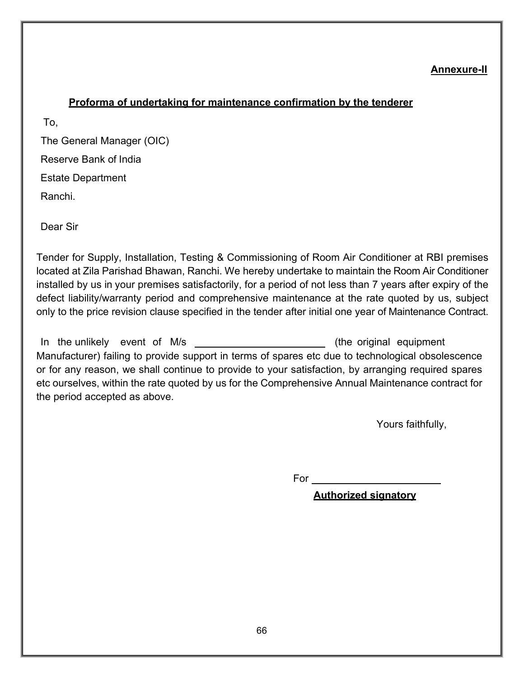#### **Annexure-II**

#### **Proforma of undertaking for maintenance confirmation by the tenderer**

To,

The General Manager (OIC) Reserve Bank of India Estate Department Ranchi.

Dear Sir

Tender for Supply, Installation, Testing & Commissioning of Room Air Conditioner at RBI premises located at Zila Parishad Bhawan, Ranchi. We hereby undertake to maintain the Room Air Conditioner installed by us in your premises satisfactorily, for a period of not less than 7 years after expiry of the defect liability/warranty period and comprehensive maintenance at the rate quoted by us, subject only to the price revision clause specified in the tender after initial one year of Maintenance Contract.

In the unlikely event of M/s (the original equipment Manufacturer) failing to provide support in terms of spares etc due to technological obsolescence or for any reason, we shall continue to provide to your satisfaction, by arranging required spares etc ourselves, within the rate quoted by us for the Comprehensive Annual Maintenance contract for the period accepted as above.

Yours faithfully,

For

**Authorized signatory**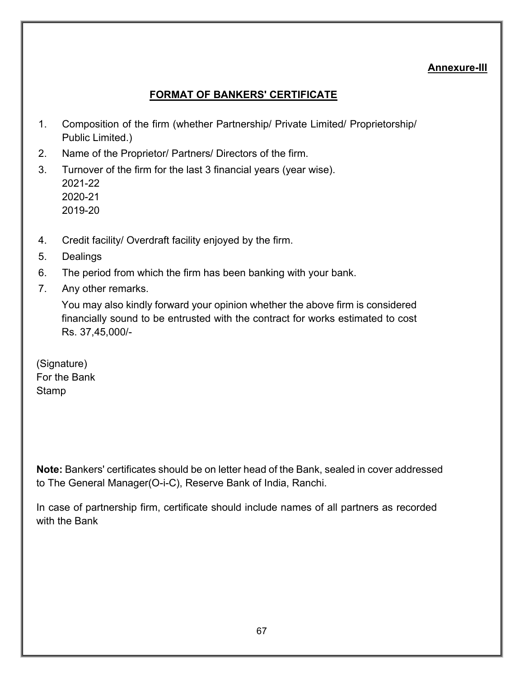## **Annexure-III**

# **FORMAT OF BANKERS' CERTIFICATE**

- 1. Composition of the firm (whether Partnership/ Private Limited/ Proprietorship/ Public Limited.)
- 2. Name of the Proprietor/ Partners/ Directors of the firm.
- 3. Turnover of the firm for the last 3 financial years (year wise). 2021-22 2020-21 2019-20
- 4. Credit facility/ Overdraft facility enjoyed by the firm.
- 5. Dealings
- 6. The period from which the firm has been banking with your bank.
- 7. Any other remarks.

You may also kindly forward your opinion whether the above firm is considered financially sound to be entrusted with the contract for works estimated to cost Rs. 37,45,000/-

(Signature) For the Bank **Stamp** 

**Note:** Bankers' certificates should be on letter head of the Bank, sealed in cover addressed to The General Manager(O-i-C), Reserve Bank of India, Ranchi.

In case of partnership firm, certificate should include names of all partners as recorded with the Bank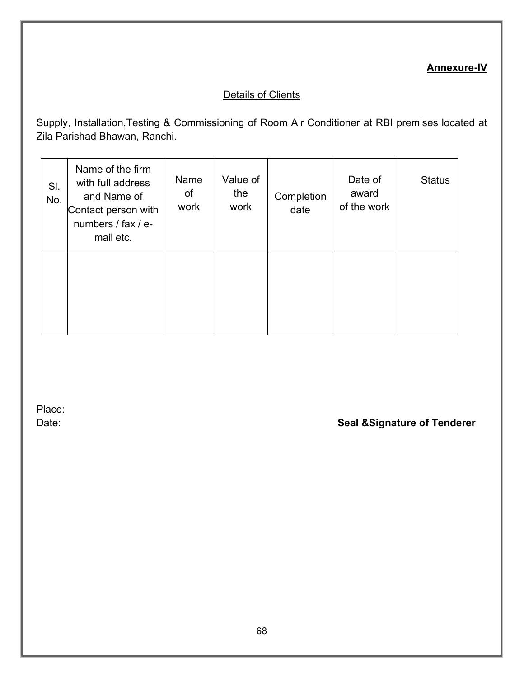# **Annexure-IV**

# Details of Clients

Supply, Installation,Testing & Commissioning of Room Air Conditioner at RBI premises located at Zila Parishad Bhawan, Ranchi.

| SI.<br>No. | Name of the firm<br>with full address<br>and Name of<br>Contact person with<br>numbers / fax / e-<br>mail etc. | Name<br>οf<br>work | Value of<br>the<br>work | Completion<br>date | Date of<br>award<br>of the work | <b>Status</b> |
|------------|----------------------------------------------------------------------------------------------------------------|--------------------|-------------------------|--------------------|---------------------------------|---------------|
|            |                                                                                                                |                    |                         |                    |                                 |               |

Place:

Date: **Seal &Signature of Tenderer**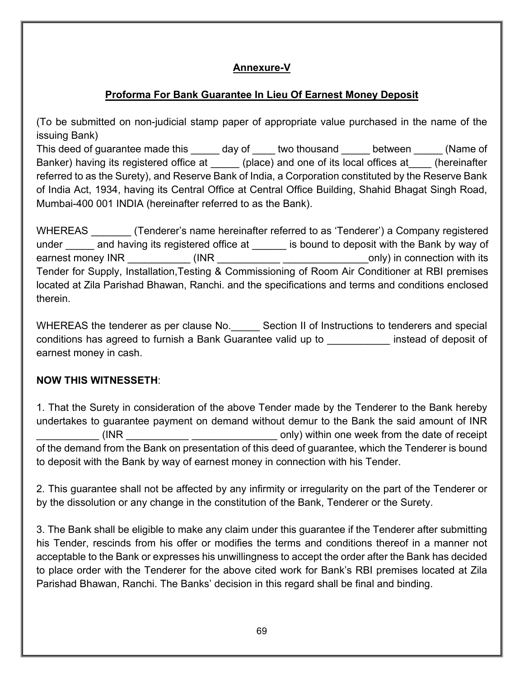# **Annexure-V**

# **Proforma For Bank Guarantee In Lieu Of Earnest Money Deposit**

(To be submitted on non-judicial stamp paper of appropriate value purchased in the name of the issuing Bank)

This deed of guarantee made this \_\_\_\_\_ day of \_\_\_\_ two thousand detween (Name of Banker) having its registered office at (place) and one of its local offices at (hereinafter referred to as the Surety), and Reserve Bank of India, a Corporation constituted by the Reserve Bank of India Act, 1934, having its Central Office at Central Office Building, Shahid Bhagat Singh Road, Mumbai-400 001 INDIA (hereinafter referred to as the Bank).

WHEREAS **The Contact of Contact Contact Contact Contact Contact Contact Contact Contact Contact Contact Contact Contact Contact Contact Contact Contact Contact Contact Contact Contact Contact Contact Contact Contact Contac** under and having its registered office at is bound to deposit with the Bank by way of earnest money INR  $(INR$  (INR  $)$  in connection with its Tender for Supply, Installation,Testing & Commissioning of Room Air Conditioner at RBI premises located at Zila Parishad Bhawan, Ranchi. and the specifications and terms and conditions enclosed therein.

WHEREAS the tenderer as per clause No. Section II of Instructions to tenderers and special conditions has agreed to furnish a Bank Guarantee valid up to \_\_\_\_\_\_\_\_\_\_\_ instead of deposit of earnest money in cash.

# **NOW THIS WITNESSETH**:

1. That the Surety in consideration of the above Tender made by the Tenderer to the Bank hereby undertakes to guarantee payment on demand without demur to the Bank the said amount of INR \_\_\_\_\_\_\_\_\_\_\_ (INR \_\_\_\_\_\_\_\_\_\_\_ \_\_\_\_\_\_\_\_\_\_\_\_\_\_\_ only) within one week from the date of receipt of the demand from the Bank on presentation of this deed of guarantee, which the Tenderer is bound to deposit with the Bank by way of earnest money in connection with his Tender.

2. This guarantee shall not be affected by any infirmity or irregularity on the part of the Tenderer or by the dissolution or any change in the constitution of the Bank, Tenderer or the Surety.

3. The Bank shall be eligible to make any claim under this guarantee if the Tenderer after submitting his Tender, rescinds from his offer or modifies the terms and conditions thereof in a manner not acceptable to the Bank or expresses his unwillingness to accept the order after the Bank has decided to place order with the Tenderer for the above cited work for Bank's RBI premises located at Zila Parishad Bhawan, Ranchi. The Banks' decision in this regard shall be final and binding.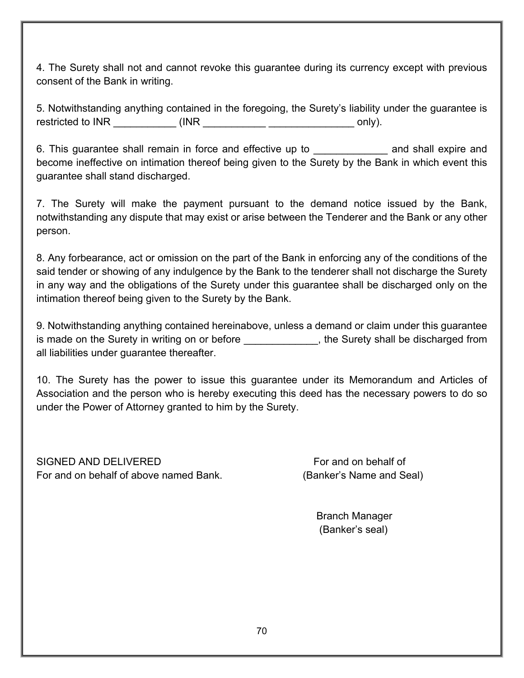4. The Surety shall not and cannot revoke this guarantee during its currency except with previous consent of the Bank in writing.

5. Notwithstanding anything contained in the foregoing, the Surety's liability under the guarantee is restricted to INR \_\_\_\_\_\_\_\_\_\_\_ (INR \_\_\_\_\_\_\_\_\_\_\_ \_\_\_\_\_\_\_\_\_\_\_\_\_\_\_ only).

6. This guarantee shall remain in force and effective up to **Example 20** and shall expire and become ineffective on intimation thereof being given to the Surety by the Bank in which event this guarantee shall stand discharged.

7. The Surety will make the payment pursuant to the demand notice issued by the Bank, notwithstanding any dispute that may exist or arise between the Tenderer and the Bank or any other person.

8. Any forbearance, act or omission on the part of the Bank in enforcing any of the conditions of the said tender or showing of any indulgence by the Bank to the tenderer shall not discharge the Surety in any way and the obligations of the Surety under this guarantee shall be discharged only on the intimation thereof being given to the Surety by the Bank.

9. Notwithstanding anything contained hereinabove, unless a demand or claim under this guarantee is made on the Surety in writing on or before **the surety shall be discharged from** all liabilities under guarantee thereafter.

10. The Surety has the power to issue this guarantee under its Memorandum and Articles of Association and the person who is hereby executing this deed has the necessary powers to do so under the Power of Attorney granted to him by the Surety.

SIGNED AND DELIVERED FOR AN ALL TO BE SIGNED AND DELIVERED For and on behalf of above named Bank. (Banker's Name and Seal)

Branch Manager (Banker's seal)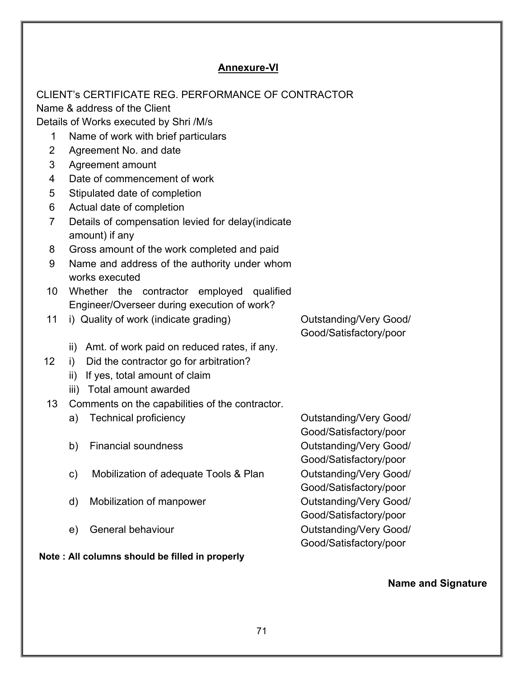# **Annexure-VI**

|                | CLIENT's CERTIFICATE REG. PERFORMANCE OF CONTRACTOR<br>Name & address of the Client |                               |  |  |  |  |
|----------------|-------------------------------------------------------------------------------------|-------------------------------|--|--|--|--|
|                | Details of Works executed by Shri /M/s                                              |                               |  |  |  |  |
| 1              | Name of work with brief particulars                                                 |                               |  |  |  |  |
| $\overline{2}$ | Agreement No. and date                                                              |                               |  |  |  |  |
| 3              | Agreement amount                                                                    |                               |  |  |  |  |
| 4              | Date of commencement of work                                                        |                               |  |  |  |  |
| 5              | Stipulated date of completion                                                       |                               |  |  |  |  |
| 6              | Actual date of completion                                                           |                               |  |  |  |  |
| $\overline{7}$ | Details of compensation levied for delay(indicate                                   |                               |  |  |  |  |
|                | amount) if any                                                                      |                               |  |  |  |  |
| 8              | Gross amount of the work completed and paid                                         |                               |  |  |  |  |
| 9              | Name and address of the authority under whom                                        |                               |  |  |  |  |
|                | works executed                                                                      |                               |  |  |  |  |
| 10             | Whether the contractor employed qualified                                           |                               |  |  |  |  |
|                | Engineer/Overseer during execution of work?                                         |                               |  |  |  |  |
| 11             | i) Quality of work (indicate grading)                                               | <b>Outstanding/Very Good/</b> |  |  |  |  |
|                |                                                                                     | Good/Satisfactory/poor        |  |  |  |  |
|                | ii) Amt. of work paid on reduced rates, if any.                                     |                               |  |  |  |  |
| 12             | Did the contractor go for arbitration?<br>i)                                        |                               |  |  |  |  |
|                | ii) If yes, total amount of claim                                                   |                               |  |  |  |  |
|                | iii) Total amount awarded                                                           |                               |  |  |  |  |
| 13             | Comments on the capabilities of the contractor.                                     |                               |  |  |  |  |
|                | <b>Technical proficiency</b><br>a)                                                  | <b>Outstanding/Very Good/</b> |  |  |  |  |
|                |                                                                                     | Good/Satisfactory/poor        |  |  |  |  |
|                | <b>Financial soundness</b><br>b)                                                    | <b>Outstanding/Very Good/</b> |  |  |  |  |
|                |                                                                                     | Good/Satisfactory/poor        |  |  |  |  |
|                | Mobilization of adequate Tools & Plan<br>c)                                         | <b>Outstanding/Very Good/</b> |  |  |  |  |
|                |                                                                                     | Good/Satisfactory/poor        |  |  |  |  |
|                | Mobilization of manpower<br>d)                                                      | <b>Outstanding/Very Good/</b> |  |  |  |  |
|                |                                                                                     | Good/Satisfactory/poor        |  |  |  |  |
|                | General behaviour<br>e)                                                             | <b>Outstanding/Very Good/</b> |  |  |  |  |
|                |                                                                                     | Good/Satisfactory/poor        |  |  |  |  |
|                | Note: All columns should be filled in properly                                      |                               |  |  |  |  |

**Name and Signature**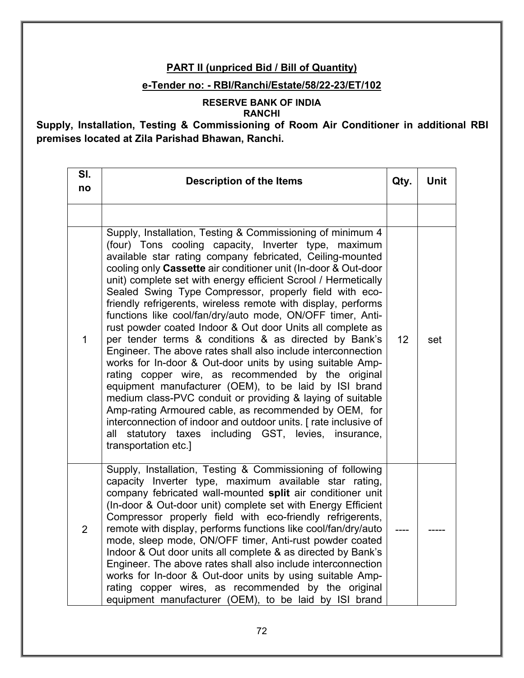## **PART II (unpriced Bid / Bill of Quantity)**

### **e-Tender no: - RBI/Ranchi/Estate/58/22-23/ET/102**

#### **RESERVE BANK OF INDIA RANCHI**

# **Supply, Installation, Testing & Commissioning of Room Air Conditioner in additional RBI premises located at Zila Parishad Bhawan, Ranchi.**

| SI.<br>no    | <b>Description of the Items</b><br>Qty.                                                                                                                                                                                                                                                                                                                                                                                                                                                                                                                                                                                                                                                                                                                                                                                                                                                                                                                                                                                                                                                                                                                       |    | <b>Unit</b> |
|--------------|---------------------------------------------------------------------------------------------------------------------------------------------------------------------------------------------------------------------------------------------------------------------------------------------------------------------------------------------------------------------------------------------------------------------------------------------------------------------------------------------------------------------------------------------------------------------------------------------------------------------------------------------------------------------------------------------------------------------------------------------------------------------------------------------------------------------------------------------------------------------------------------------------------------------------------------------------------------------------------------------------------------------------------------------------------------------------------------------------------------------------------------------------------------|----|-------------|
|              |                                                                                                                                                                                                                                                                                                                                                                                                                                                                                                                                                                                                                                                                                                                                                                                                                                                                                                                                                                                                                                                                                                                                                               |    |             |
| $\mathbf{1}$ | Supply, Installation, Testing & Commissioning of minimum 4<br>(four) Tons cooling capacity, Inverter type, maximum<br>available star rating company febricated, Ceiling-mounted<br>cooling only Cassette air conditioner unit (In-door & Out-door<br>unit) complete set with energy efficient Scrool / Hermetically<br>Sealed Swing Type Compressor, properly field with eco-<br>friendly refrigerents, wireless remote with display, performs<br>functions like cool/fan/dry/auto mode, ON/OFF timer, Anti-<br>rust powder coated Indoor & Out door Units all complete as<br>per tender terms & conditions & as directed by Bank's<br>Engineer. The above rates shall also include interconnection<br>works for In-door & Out-door units by using suitable Amp-<br>rating copper wire, as recommended by the original<br>equipment manufacturer (OEM), to be laid by ISI brand<br>medium class-PVC conduit or providing & laying of suitable<br>Amp-rating Armoured cable, as recommended by OEM, for<br>interconnection of indoor and outdoor units. [rate inclusive of<br>including GST, levies, insurance,<br>all statutory taxes<br>transportation etc.] | 12 | set         |
| 2            | Supply, Installation, Testing & Commissioning of following<br>capacity Inverter type, maximum available star rating,<br>company febricated wall-mounted split air conditioner unit<br>(In-door & Out-door unit) complete set with Energy Efficient<br>Compressor properly field with eco-friendly refrigerents,<br>remote with display, performs functions like cool/fan/dry/auto<br>mode, sleep mode, ON/OFF timer, Anti-rust powder coated<br>Indoor & Out door units all complete & as directed by Bank's<br>Engineer. The above rates shall also include interconnection<br>works for In-door & Out-door units by using suitable Amp-<br>rating copper wires, as recommended by the original<br>equipment manufacturer (OEM), to be laid by ISI brand                                                                                                                                                                                                                                                                                                                                                                                                     |    |             |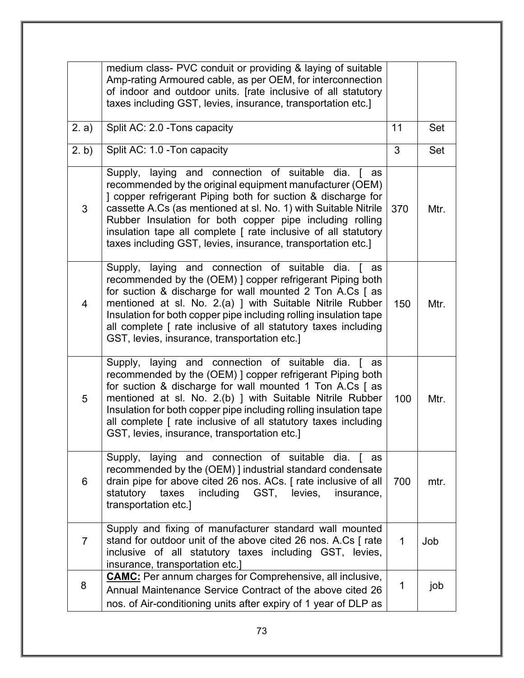|                | medium class- PVC conduit or providing & laying of suitable<br>Amp-rating Armoured cable, as per OEM, for interconnection<br>of indoor and outdoor units. [rate inclusive of all statutory<br>taxes including GST, levies, insurance, transportation etc.]                                                                                                                                                                                       |              |      |
|----------------|--------------------------------------------------------------------------------------------------------------------------------------------------------------------------------------------------------------------------------------------------------------------------------------------------------------------------------------------------------------------------------------------------------------------------------------------------|--------------|------|
| 2. a)          | Split AC: 2.0 - Tons capacity                                                                                                                                                                                                                                                                                                                                                                                                                    | 11           | Set  |
| 2. b)          | Split AC: 1.0 - Ton capacity                                                                                                                                                                                                                                                                                                                                                                                                                     | 3            | Set  |
| 3              | Supply, laying and connection of suitable dia. [ as<br>recommended by the original equipment manufacturer (OEM)<br>] copper refrigerant Piping both for suction & discharge for<br>cassette A.Cs (as mentioned at sl. No. 1) with Suitable Nitrile<br>Rubber Insulation for both copper pipe including rolling<br>insulation tape all complete [ rate inclusive of all statutory<br>taxes including GST, levies, insurance, transportation etc.] | 370          | Mtr. |
| 4              | Supply, laying and connection of suitable<br>dia. I<br>as<br>recommended by the (OEM) ] copper refrigerant Piping both<br>for suction & discharge for wall mounted 2 Ton A.Cs [ as<br>mentioned at sl. No. 2.(a) ] with Suitable Nitrile Rubber<br>Insulation for both copper pipe including rolling insulation tape<br>all complete [ rate inclusive of all statutory taxes including<br>GST, levies, insurance, transportation etc.]           | 150          | Mtr. |
| 5              | Supply, laying and connection of suitable dia. [ as<br>recommended by the (OEM) ] copper refrigerant Piping both<br>for suction & discharge for wall mounted 1 Ton A.Cs [ as<br>mentioned at sl. No. 2.(b) ] with Suitable Nitrile Rubber<br>Insulation for both copper pipe including rolling insulation tape<br>all complete [ rate inclusive of all statutory taxes including<br>GST, levies, insurance, transportation etc.]                 | 100          | Mtr. |
| 6              | Supply, laying and connection of suitable dia. [ as<br>recommended by the (OEM) ] industrial standard condensate<br>drain pipe for above cited 26 nos. ACs. [rate inclusive of all<br>taxes<br>including GST, levies,<br>statutory<br>insurance,<br>transportation etc.]                                                                                                                                                                         |              | mtr. |
| $\overline{7}$ | Supply and fixing of manufacturer standard wall mounted<br>stand for outdoor unit of the above cited 26 nos. A.Cs [rate]<br>inclusive of all statutory taxes including GST, levies,<br>insurance, transportation etc.]                                                                                                                                                                                                                           | $\mathbf{1}$ | Job  |
| 8              | <b>CAMC:</b> Per annum charges for Comprehensive, all inclusive,<br>Annual Maintenance Service Contract of the above cited 26<br>nos. of Air-conditioning units after expiry of 1 year of DLP as                                                                                                                                                                                                                                                 | 1            | job  |